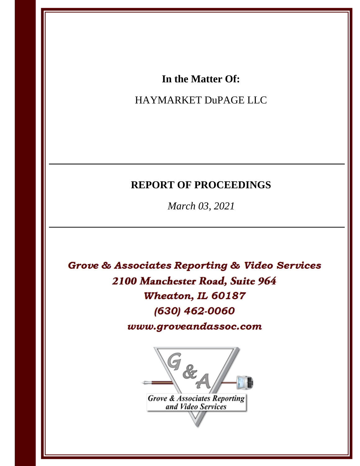## In the Matter Of:

# HAYMARKET DuPAGE LLC

# **REPORT OF PROCEEDINGS**

March 03, 2021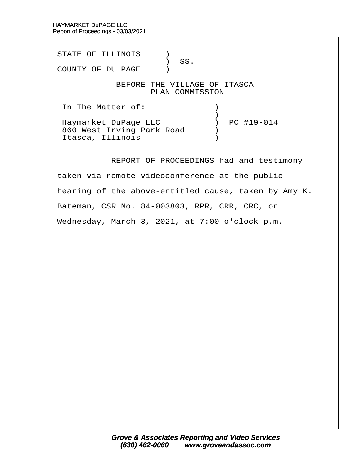STATE OF ILLINOIS )  $\big)$  SS. COUNTY OF DU PAGE )

## BEFORE THE VILLAGE OF ITASCA PLAN COMMISSION

In The Matter of:  $\qquad \qquad$  )  $\hspace{0.5cm}$   $\hspace{0.5cm}$   $\hspace{0.5cm}$   $\hspace{0.5cm}$   $\hspace{0.5cm}$   $\hspace{0.5cm}$   $\hspace{0.5cm}$   $\hspace{0.5cm}$   $\hspace{0.5cm}$   $\hspace{0.5cm}$   $\hspace{0.5cm}$   $\hspace{0.5cm}$   $\hspace{0.5cm}$   $\hspace{0.5cm}$   $\hspace{0.5cm}$   $\hspace{0.5cm}$   $\hspace{0.5cm}$   $\hspace{0.5cm}$   $\hspace{$ Haymarket DuPage LLC ) PC #19-014 860 West Irving Park Road ) Itasca, Illinois (1998)

REPORT OF PROCEEDINGS had and testimony

taken via remote videoconference at the public

hearing of the above-entitled cause, taken by Amy K.

Bateman, CSR No. 84-003803, RPR, CRR, CRC, on

Wednesday, March 3, 2021, at 7:00 o'clock p.m.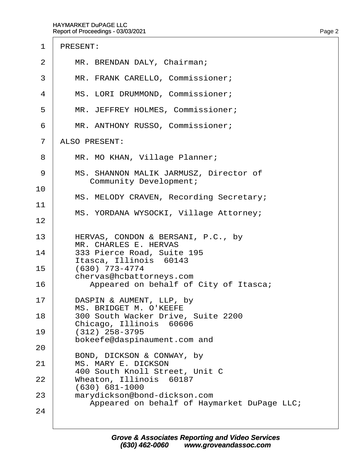- 1 PRESENT:
- 2 | MR. BRENDAN DALY, Chairman;
- 3 | MR. FRANK CARELLO, Commissioner;
- 4 | MS. LORI DRUMMOND, Commissioner;
- 5 | MR. JEFFREY HOLMES, Commissioner;
- 6 | MR. ANTHONY RUSSO, Commissioner;
- 7 ALSO PRESENT:
- 8 | MR. MO KHAN, Village Planner;
- 9 | MS. SHANNON MALIK JARMUSZ, Director of Community Development; 10
- MS. MELODY CRAVEN, Recording Secretary: 11
- MS. YORDANA WYSOCKI, Village Attorney; 12
- 13 | HERVAS, CONDON & BERSANI, P.C., by MR. CHARLES E. HERVAS
- 14 | 333 Pierce Road, Suite 195 Itasca, Illinois 60143
- 15· · · (630) 773-4774 chervas@hcbattorneys.com 16 | Appeared on behalf of City of Itasca;
- 17 | DASPIN & AUMENT, LLP, by MS. BRIDGET M. O'KEEFE
- 18 | 300 South Wacker Drive, Suite 2200 Chicago, Illinois 60606
- 19· · · (312) 258-3795 bokeefe@daspinaument.com and
- 20
- BOND, DICKSON & CONWAY, by
- 21 | MS. MARY E. DICKSON
- 400 South Knoll Street, Unit C<br>22 Mheaton, Illinois, 60187 Wheaton, Illinois 60187
- 630) 681-1000<br>& marvdickson mar marydickson@bond-dickson.com
- Appeared on behalf of Haymarket DuPage LLC;

24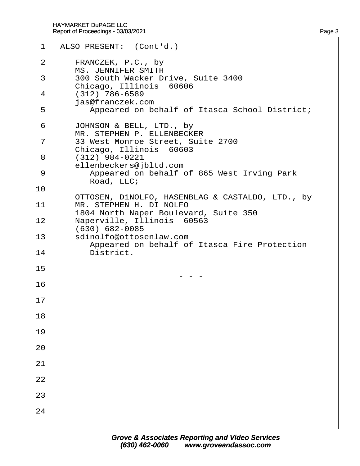|          | 1 ALSO PRESENT: (Cont'd.)                                                            |
|----------|--------------------------------------------------------------------------------------|
| 2        | FRANCZEK, P.C., by<br><b>MS. JENNIFER SMITH</b>                                      |
| 3        | 300 South Wacker Drive, Suite 3400<br>Chicago, Illinois 60606                        |
| 4        | (312) 786-6589<br>jas@franczek.com                                                   |
| 5        | Appeared on behalf of Itasca School District;                                        |
| 6        | JOHNSON & BELL, LTD., by<br>MR. STEPHEN P. ELLENBECKER                               |
| 7        | 33 West Monroe Street, Suite 2700<br>Chicago, Illinois 60603                         |
| 8        | (312) 984-0221<br>ellenbeckers@jbltd.com                                             |
| 9        | Appeared on behalf of 865 West Irving Park<br>Road, LLC;                             |
| 10       | OTTOSEN, DINOLFO, HASENBLAG & CASTALDO, LTD., by                                     |
| 11       | MR. STEPHEN H. DI NOLFO<br>1804 North Naper Boulevard, Suite 350                     |
| 12       | Naperville, Illinois 60563<br>(630) 682-0085                                         |
| 13<br>14 | sdinolfo@ottosenlaw.com<br>Appeared on behalf of Itasca Fire Protection<br>District. |
| 15       |                                                                                      |
| 16       |                                                                                      |
| 17       |                                                                                      |
| 18       |                                                                                      |
| 19       |                                                                                      |
| 20       |                                                                                      |
| 21       |                                                                                      |
| 22       |                                                                                      |
| 23       |                                                                                      |
| 24       |                                                                                      |
|          |                                                                                      |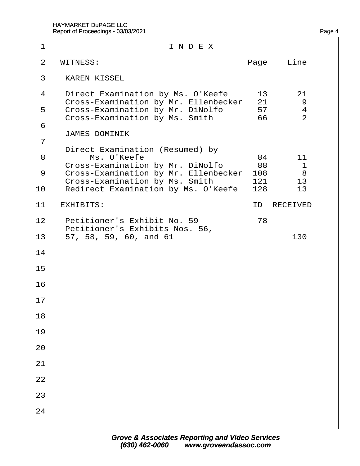| 1                   |                      | INDEX                                                                                                                                                            |      |                      |                                |  |
|---------------------|----------------------|------------------------------------------------------------------------------------------------------------------------------------------------------------------|------|----------------------|--------------------------------|--|
| 2                   | <b>WITNESS:</b>      |                                                                                                                                                                  | Page | Line                 |                                |  |
| 3                   | <b>KAREN KISSEL</b>  |                                                                                                                                                                  |      |                      |                                |  |
| 4<br>5              |                      | Direct Examination by Ms. O'Keefe<br>Cross-Examination by Mr. Ellenbecker<br>Cross-Examination by Mr. DiNolfo<br>Cross-Examination by Ms. Smith                  |      | 13<br>21<br>57<br>66 | 21<br>9<br>4<br>$\overline{2}$ |  |
| 6<br>$\overline{7}$ | <b>JAMES DOMINIK</b> |                                                                                                                                                                  |      |                      |                                |  |
| 8<br>9              |                      | Direct Examination (Resumed) by<br>Ms. O'Keefe<br>Cross-Examination by Mr. DiNolfo<br>Cross-Examination by Mr. Ellenbecker 108<br>Cross-Examination by Ms. Smith | 84   | 11<br>88<br>121      | 1<br>8<br>13                   |  |
| 10                  |                      | Redirect Examination by Ms. O'Keefe 128                                                                                                                          |      |                      | 13                             |  |
| 11                  | <b>EXHIBITS:</b>     |                                                                                                                                                                  | ID   | <b>RECEIVED</b>      |                                |  |
| 12<br>13            |                      | Petitioner's Exhibit No. 59<br>Petitioner's Exhibits Nos. 56,<br>57, 58, 59, 60, and 61                                                                          | 78   | 130                  |                                |  |
| 14                  |                      |                                                                                                                                                                  |      |                      |                                |  |
| 15                  |                      |                                                                                                                                                                  |      |                      |                                |  |
| 16                  |                      |                                                                                                                                                                  |      |                      |                                |  |
| 17                  |                      |                                                                                                                                                                  |      |                      |                                |  |
| 18                  |                      |                                                                                                                                                                  |      |                      |                                |  |
| 19                  |                      |                                                                                                                                                                  |      |                      |                                |  |
| 20                  |                      |                                                                                                                                                                  |      |                      |                                |  |
| 21                  |                      |                                                                                                                                                                  |      |                      |                                |  |
| 22                  |                      |                                                                                                                                                                  |      |                      |                                |  |
| 23                  |                      |                                                                                                                                                                  |      |                      |                                |  |
| 24                  |                      |                                                                                                                                                                  |      |                      |                                |  |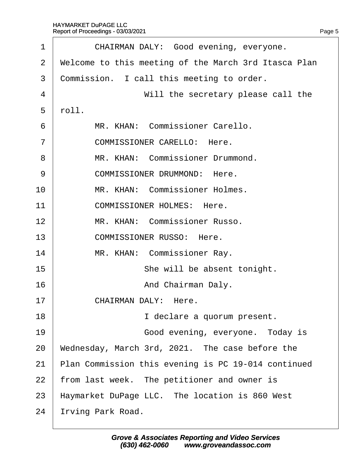| 1              | CHAIRMAN DALY: Good evening, everyone.               |
|----------------|------------------------------------------------------|
| 2              | Welcome to this meeting of the March 3rd Itasca Plan |
| 3              | Commission. I call this meeting to order.            |
| 4              | Will the secretary please call the                   |
| 5              | rbll.                                                |
| 6              | MR. KHAN: Commissioner Carello.                      |
| $\overline{7}$ | <b>COMMISSIONER CARELLO: Here.</b>                   |
| 8              | MR. KHAN: Commissioner Drummond.                     |
| 9              | <b>COMMISSIONER DRUMMOND: Here.</b>                  |
| 10             | MR. KHAN: Commissioner Holmes.                       |
| 11             | <b>COMMISSIONER HOLMES: Here.</b>                    |
| 12             | MR. KHAN: Commissioner Russo.                        |
| 13             | <b>COMMISSIONER RUSSO: Here.</b>                     |
| 14             | MR. KHAN: Commissioner Ray.                          |
| 15             | She will be absent tonight.                          |
| 16             | And Chairman Daly.                                   |
| 17             | <b>CHAIRMAN DALY: Here.</b>                          |
| 18             | I declare a quorum present.                          |
| 19             | Good evening, everyone. Today is                     |
| 20             | Wednesday, March 3rd, 2021. The case before the      |
| 21             | Plan Commission this evening is PC 19-014 continued  |
| 22             | from last week. The petitioner and owner is          |
| 23             | Haymarket DuPage LLC. The location is 860 West       |
| 24             | rving Park Road.                                     |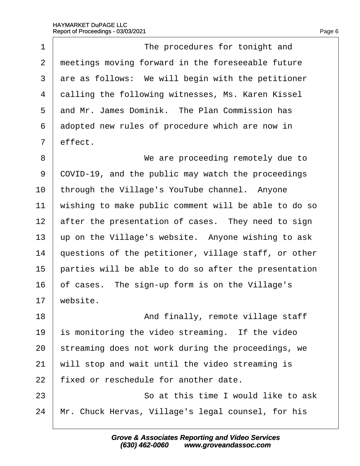| 1              | The procedures for tonight and                       |
|----------------|------------------------------------------------------|
| 2              | meetings moving forward in the foreseeable future    |
| 3              | are as follows: We will begin with the petitioner    |
| 4              | dalling the following witnesses, Ms. Karen Kissel    |
| 5              | and Mr. James Dominik. The Plan Commission has       |
| 6              | adopted new rules of procedure which are now in      |
| $\overline{7}$ | effect.                                              |
| 8              | We are proceeding remotely due to                    |
| 9              | COVID-19, and the public may watch the proceedings   |
| 10             | through the Village's YouTube channel. Anyone        |
| 11             | wishing to make public comment will be able to do so |
| 12             | after the presentation of cases. They need to sign   |
| 13             | up on the Village's website. Anyone wishing to ask   |
| 14             | questions of the petitioner, village staff, or other |
| 15             | parties will be able to do so after the presentation |
| 16             | of cases. The sign-up form is on the Village's       |
| 17             | website.                                             |
| 18             | And finally, remote village staff                    |
| 19             | is monitoring the video streaming. If the video      |
| 20             | streaming does not work during the proceedings, we   |
| 21             | will stop and wait until the video streaming is      |
| 22             | fixed or reschedule for another date.                |
| 23             | So at this time I would like to ask                  |
| 24             | Mr. Chuck Hervas, Village's legal counsel, for his   |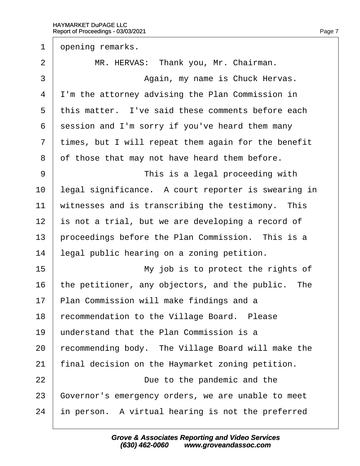1 dpening remarks. 2 | MR. HERVAS: Thank you, Mr. Chairman. 3 | Again, my name is Chuck Hervas. 4 I'm the attorney advising the Plan Commission in 5 this matter. I've said these comments before each 6 session and I'm sorry if you've heard them many 7 times, but I will repeat them again for the benefit 8 of those that may not have heard them before. 9 **I** This is a legal proceeding with 10 legal significance. A court reporter is swearing in 11 witnesses and is transcribing the testimony. This 12 is not a trial, but we are developing a record of 13 proceedings before the Plan Commission. This is a 14 legal public hearing on a zoning petition. 15 **I** My job is to protect the rights of 16 the petitioner, any objectors, and the public. The 17 Plan Commission will make findings and a 18 recommendation to the Village Board. Please 19 understand that the Plan Commission is a 20 recommending body. The Village Board will make the 21 final decision on the Haymarket zoning petition. 22 **Due to the pandemic and the** 23 Governor's emergency orders, we are unable to meet 24 in person. A virtual hearing is not the preferred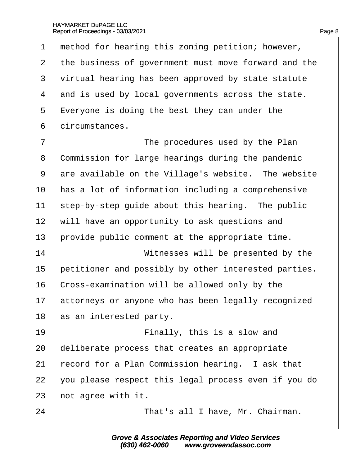| 1  | method for hearing this zoning petition; however,    |
|----|------------------------------------------------------|
| 2  | the business of government must move forward and the |
| 3  | virtual hearing has been approved by state statute   |
| 4  | and is used by local governments across the state.   |
| 5  | $E$ veryone is doing the best they can under the     |
| 6  | dircumstances.                                       |
| 7  | The procedures used by the Plan                      |
| 8  | Commission for large hearings during the pandemic    |
| 9  | are available on the Village's website. The website  |
| 10 | has a lot of information including a comprehensive   |
| 11 | step-by-step guide about this hearing. The public    |
| 12 | will have an opportunity to ask questions and        |
| 13 | provide public comment at the appropriate time.      |
| 14 | Witnesses will be presented by the                   |
| 15 | petitioner and possibly by other interested parties. |
| 16 | Cross-examination will be allowed only by the        |
| 17 | attorneys or anyone who has been legally recognized  |
| 18 | as an interested party.                              |
| 19 | Finally, this is a slow and                          |
| 20 | deliberate process that creates an appropriate       |
| 21 | record for a Plan Commission hearing. I ask that     |
| 22 | you please respect this legal process even if you do |
| 23 | hot agree with it.                                   |
| 24 | That's all I have, Mr. Chairman.                     |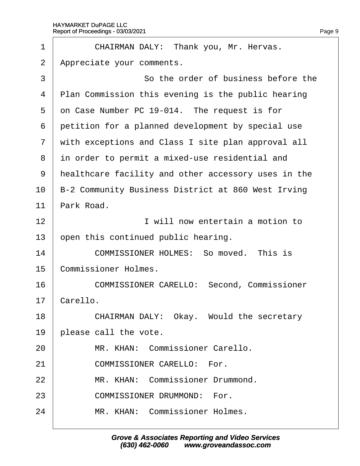| CHAIRMAN DALY: Thank you, Mr. Hervas.               |
|-----------------------------------------------------|
| Appreciate your comments.                           |
| So the order of business before the                 |
| Plan Commission this evening is the public hearing  |
| on Case Number PC 19-014. The request is for        |
| petition for a planned development by special use   |
| with exceptions and Class I site plan approval all  |
| in order to permit a mixed-use residential and      |
| healthcare facility and other accessory uses in the |
| B-2 Community Business District at 860 West Irving  |
| Park Road.                                          |
| I will now entertain a motion to                    |
| open this continued public hearing.                 |
| <b>COMMISSIONER HOLMES: So moved. This is</b>       |
| Commissioner Holmes.                                |
| <b>COMMISSIONER CARELLO: Second, Commissioner</b>   |
| Carello.                                            |
| CHAIRMAN DALY: Okay. Would the secretary            |
| please call the vote.                               |
| MR. KHAN: Commissioner Carello.                     |
| <b>COMMISSIONER CARELLO: For.</b>                   |
| MR. KHAN: Commissioner Drummond.                    |
| <b>COMMISSIONER DRUMMOND: For.</b>                  |
| MR. KHAN: Commissioner Holmes.                      |
|                                                     |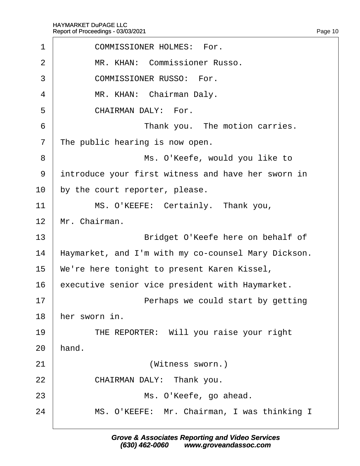| <b>COMMISSIONER HOLMES: For.</b>                    |
|-----------------------------------------------------|
| MR. KHAN: Commissioner Russo.                       |
| <b>COMMISSIONER RUSSO: For.</b>                     |
| MR. KHAN: Chairman Daly.                            |
| <b>CHAIRMAN DALY: For.</b>                          |
| Thank you. The motion carries.                      |
| The public hearing is now open.                     |
| Ms. O'Keefe, would you like to                      |
| introduce your first witness and have her sworn in  |
| by the court reporter, please.                      |
| MS. O'KEEFE: Certainly. Thank you,                  |
| Mr. Chairman.                                       |
| Bridget O'Keefe here on behalf of                   |
| Haymarket, and I'm with my co-counsel Mary Dickson. |
| We're here tonight to present Karen Kissel,         |
| executive senior vice president with Haymarket.     |
| Perhaps we could start by getting                   |
| her sworn in.                                       |
| THE REPORTER: Will you raise your right             |
| hand.                                               |
| (Witness sworn.)                                    |
| CHAIRMAN DALY: Thank you.                           |
| Ms. O'Keefe, go ahead.                              |
| MS. O'KEEFE: Mr. Chairman, I was thinking I         |
|                                                     |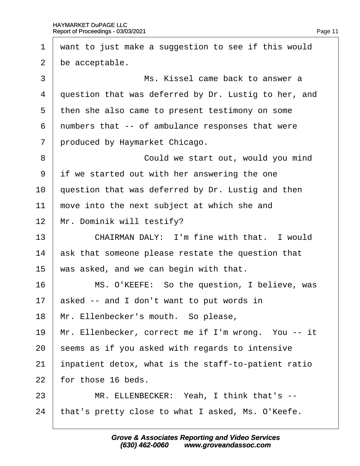$\Gamma$ 

| $\mathbf 1$    | want to just make a suggestion to see if this would  |
|----------------|------------------------------------------------------|
| $\overline{2}$ | be acceptable.                                       |
| 3              | Ms. Kissel came back to answer a                     |
| 4              | question that was deferred by Dr. Lustig to her, and |
| 5              | then she also came to present testimony on some      |
| 6              | numbers that -- of ambulance responses that were     |
| 7              | produced by Haymarket Chicago.                       |
| 8              | Could we start out, would you mind                   |
| 9              | if we started out with her answering the one         |
| 10             | question that was deferred by Dr. Lustig and then    |
| 11             | move into the next subject at which she and          |
| 12             | Mr. Dominik will testify?                            |
| 13             | CHAIRMAN DALY: I'm fine with that. I would           |
| 14             | ask that someone please restate the question that    |
| 15             | was asked, and we can begin with that.               |
| 16             | MS. O'KEEFE: So the question, I believe, was         |
| 17             | asked -- and I don't want to put words in            |
| 18             | Mr. Ellenbecker's mouth. So please,                  |
| 19             | Mr. Ellenbecker, correct me if I'm wrong. You -- it  |
| 20             | seems as if you asked with regards to intensive      |
| 21             | inpatient detox, what is the staff-to-patient ratio  |
| 22             | for those 16 beds.                                   |
| 23             | MR. ELLENBECKER: Yeah, I think that's --             |
|                |                                                      |

24 that's pretty close to what I asked, Ms. O'Keefe.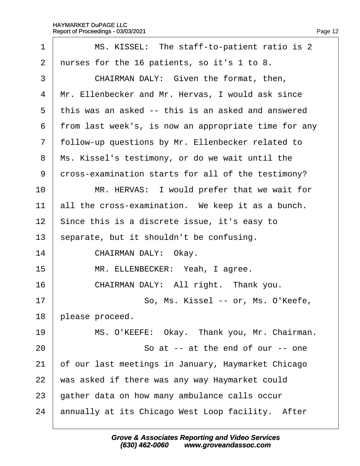| 1              | MS. KISSEL: The staff-to-patient ratio is 2          |
|----------------|------------------------------------------------------|
| $\overline{2}$ | nurses for the 16 patients, so it's 1 to 8.          |
| 3              | CHAIRMAN DALY: Given the format, then,               |
| 4              | Mr. Ellenbecker and Mr. Hervas, I would ask since    |
| 5              | this was an asked -- this is an asked and answered   |
| 6              | from last week's, is now an appropriate time for any |
| $\overline{7}$ | follow-up questions by Mr. Ellenbecker related to    |
| 8              | Ms. Kissel's testimony, or do we wait until the      |
| 9              | dross-examination starts for all of the testimony?   |
| 10             | MR. HERVAS: I would prefer that we wait for          |
| 11             | all the cross-examination. We keep it as a bunch.    |
| 12             | Since this is a discrete issue, it's easy to         |
| 13             | separate, but it shouldn't be confusing.             |
| 14             | CHAIRMAN DALY: Okay.                                 |
| 15             | MR. ELLENBECKER: Yeah, I agree.                      |
| 16             | CHAIRMAN DALY: All right. Thank you.                 |
| 17             | So, Ms. Kissel -- or, Ms. O'Keefe,                   |
| 18             | please proceed.                                      |
| 19             | MS. O'KEEFE: Okay. Thank you, Mr. Chairman.          |
| 20             | So at -- at the end of our -- one                    |
| 21             | of our last meetings in January, Haymarket Chicago   |
| 22             | was asked if there was any way Haymarket could       |
| 23             | gather data on how many ambulance calls occur        |
| 24             | annually at its Chicago West Loop facility. After    |
|                |                                                      |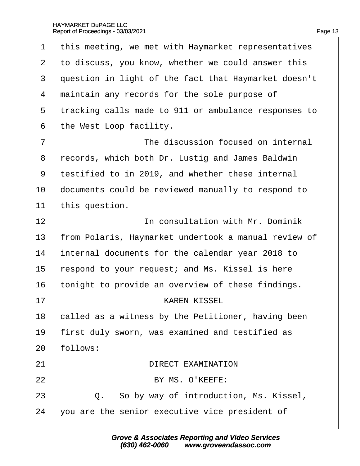| 1              | this meeting, we met with Haymarket representatives  |
|----------------|------------------------------------------------------|
| 2              | to discuss, you know, whether we could answer this   |
| 3              | question in light of the fact that Haymarket doesn't |
| 4              | maintain any records for the sole purpose of         |
| 5              | tracking calls made to 911 or ambulance responses to |
| 6              | the West Loop facility.                              |
| $\overline{7}$ | The discussion focused on internal                   |
| 8              | records, which both Dr. Lustig and James Baldwin     |
| 9              | testified to in 2019, and whether these internal     |
| 10             | documents could be reviewed manually to respond to   |
| 11             | this question.                                       |
| 12             | In consultation with Mr. Dominik                     |
| 13             | from Polaris, Haymarket undertook a manual review of |
| 14             | internal documents for the calendar year 2018 to     |
| 15             | espond to your request; and Ms. Kissel is here       |
| 16             | tonight to provide an overview of these findings.    |
| 17             | <b>KAREN KISSEL</b>                                  |
| 18             | called as a witness by the Petitioner, having been   |
| 19             | first duly sworn, was examined and testified as      |
| 20             | follows:                                             |
| 21             | <b>DIRECT EXAMINATION</b>                            |
| 22             | BY MS. O'KEEFE:                                      |
| 23             | Q. So by way of introduction, Ms. Kissel,            |
| 24             | you are the senior executive vice president of       |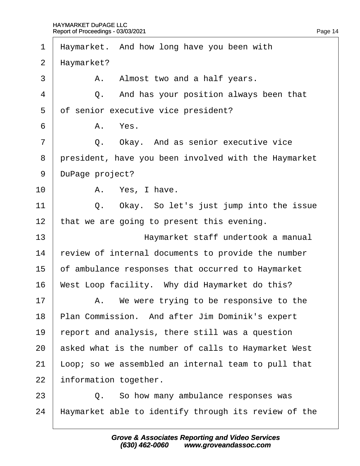| $\mathbf 1$    | Haymarket. And how long have you been with           |
|----------------|------------------------------------------------------|
| $\overline{2}$ | Haymarket?                                           |
| 3              | A. Almost two and a half years.                      |
| $\overline{4}$ | Q. And has your position always been that            |
| 5              | of senior executive vice president?                  |
| 6              | A. Yes.                                              |
| $\overline{7}$ | Q. Okay. And as senior executive vice                |
| 8              | president, have you been involved with the Haymarket |
| 9              | DuPage project?                                      |
| 10             | A. Yes, I have.                                      |
| 11             | Q. Okay. So let's just jump into the issue           |
| 12             | that we are going to present this evening.           |
| 13             | Haymarket staff undertook a manual                   |
| 14             | review of internal documents to provide the number   |
| 15             | of ambulance responses that occurred to Haymarket    |
| 16             | West Loop facility. Why did Haymarket do this?       |
| 17             | A. We were trying to be responsive to the            |
| 18             | Plan Commission. And after Jim Dominik's expert      |
| 19             | report and analysis, there still was a question      |
| 20             | asked what is the number of calls to Haymarket West  |
| 21             | Loop; so we assembled an internal team to pull that  |
| 22             | information together.                                |
| 23             | Q. So how many ambulance responses was               |
| 24             | Haymarket able to identify through its review of the |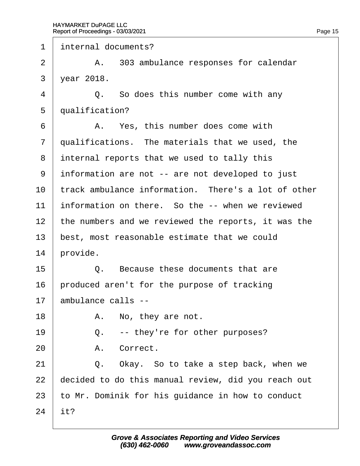1 *internal documents?* 2 | A. 303 ambulance responses for calendar 3 vear 2018.  $4 \mid Q$ . So does this number come with any 5 dualification? 6 | A. Yes, this number does come with 7 dualifications. The materials that we used, the 8 internal reports that we used to tally this ·9· ·information are not -- are not developed to just 10 track ambulance information. There's a lot of other 11 information on there. So the -- when we reviewed 12 the numbers and we reviewed the reports, it was the 13 best, most reasonable estimate that we could 14 **brovide**.  $15 \parallel$  Q. Because these documents that are 16 produced aren't for the purpose of tracking 17 ambulance calls -- $18$  | A. No, they are not. 19  $\vert$  Q. -- they're for other purposes? 20 | A. Correct.  $21$   $\Box$  Q. Okay. So to take a step back, when we 22 decided to do this manual review, did you reach out 23 to Mr. Dominik for his guidance in how to conduct  $24$  it?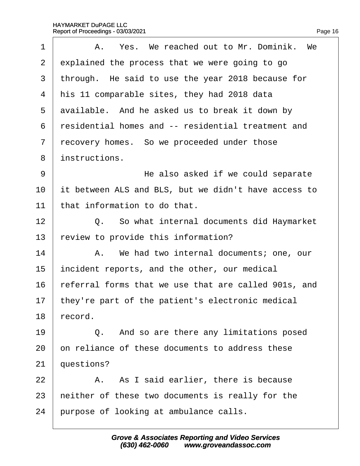| 1  | A. Yes. We reached out to Mr. Dominik. We            |
|----|------------------------------------------------------|
| 2  | explained the process that we were going to go       |
| 3  | through. He said to use the year 2018 because for    |
| 4  | his 11 comparable sites, they had 2018 data          |
| 5  | available. And he asked us to break it down by       |
| 6  | residential homes and -- residential treatment and   |
| 7  | recovery homes. So we proceeded under those          |
| 8  | instructions.                                        |
| 9  | He also asked if we could separate                   |
| 10 | it between ALS and BLS, but we didn't have access to |
| 11 | that information to do that.                         |
| 12 | Q. So what internal documents did Haymarket          |
| 13 | eview to provide this information?                   |
| 14 | A. We had two internal documents; one, our           |
| 15 | incident reports, and the other, our medical         |
| 16 | referral forms that we use that are called 901s, and |
| 17 | they're part of the patient's electronic medical     |
| 18 | record.                                              |
| 19 | Q. And so are there any limitations posed            |
| 20 | on reliance of these documents to address these      |
| 21 | questions?                                           |
| 22 | A. As I said earlier, there is because               |
| 23 | heither of these two documents is really for the     |
| 24 | purpose of looking at ambulance calls.               |
|    |                                                      |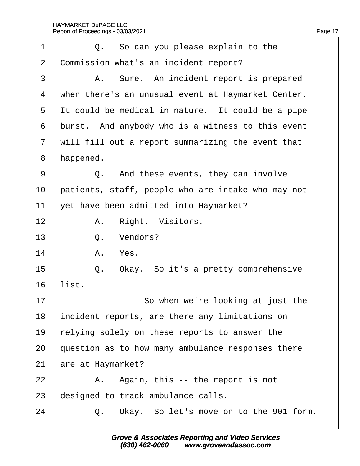| 1              | Q. So can you please explain to the                |
|----------------|----------------------------------------------------|
| $\overline{2}$ | Commission what's an incident report?              |
| 3              | A. Sure. An incident report is prepared            |
| $\overline{4}$ | when there's an unusual event at Haymarket Center. |
| 5              | It could be medical in nature. It could be a pipe  |
| 6              | burst. And anybody who is a witness to this event  |
| $\overline{7}$ | will fill out a report summarizing the event that  |
| 8              | happened.                                          |
| 9              | Q. And these events, they can involve              |
| 10             | patients, staff, people who are intake who may not |
| 11             | yet have been admitted into Haymarket?             |
| 12             | A. Right. Visitors.                                |
| 13             | Q. Vendors?                                        |
| 14             | A. Yes.                                            |
| 15             | Q. Okay. So it's a pretty comprehensive            |
| 16             | list.                                              |
| 17             | So when we're looking at just the                  |
| 18             | incident reports, are there any limitations on     |
| 19             | relying solely on these reports to answer the      |
| 20             | question as to how many ambulance responses there  |
| 21             | are at Haymarket?                                  |
| 22             | A. Again, this -- the report is not                |
| 23             | designed to track ambulance calls.                 |
| 24             | Okay. So let's move on to the 901 form.<br>Q.      |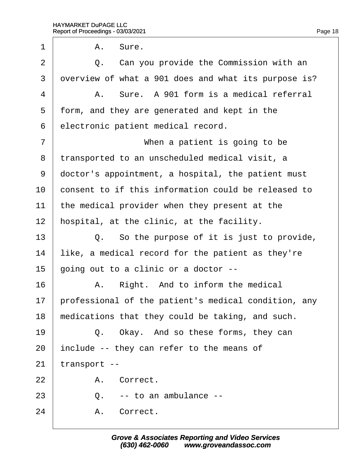1 | A. Sure.

 $2 \mid Q$ . Can you provide the Commission with an 3 dyerview of what a 901 does and what its purpose is?  $4 \mid$  A. Sure. A 901 form is a medical referral 5 form, and they are generated and kept in the 6 electronic patient medical record.  $7 \mid$  When a patient is going to be 8 transported to an unscheduled medical visit, a 9 doctor's appointment, a hospital, the patient must 10 **consent to if this information could be released to** 11 the medical provider when they present at the 12 hospital, at the clinic, at the facility.  $13 \mid Q$ . So the purpose of it is just to provide, 14 like, a medical record for the patient as they're 15 going out to a clinic or a doctor -- $16$  | A. Right. And to inform the medical 17 professional of the patient's medical condition, any 18 medications that they could be taking, and such. 19  $\vert$  Q. Okay. And so these forms, they can 20 include -- they can refer to the means of  $21$  transport --22 | A. Correct.

 $23 \mid Q$ . -- to an ambulance --

24 A. Correct.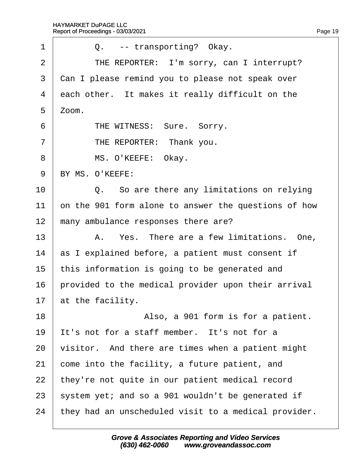| 1              | Q. -- transporting? Okay.                            |
|----------------|------------------------------------------------------|
| $\overline{2}$ | THE REPORTER: I'm sorry, can I interrupt?            |
| 3              | Can I please remind you to please not speak over     |
| 4              | each other. It makes it really difficult on the      |
| 5              | Zoom.                                                |
| 6              | THE WITNESS: Sure. Sorry.                            |
| $\overline{7}$ | THE REPORTER: Thank you.                             |
| 8              | MS. O'KEEFE: Okay.                                   |
| 9              | BY MS. O'KEEFE:                                      |
| 10             | Q. So are there any limitations on relying           |
| 11             | on the 901 form alone to answer the questions of how |
| 12             | many ambulance responses there are?                  |
| 13             | A. Yes. There are a few limitations. One,            |
| 14             | as I explained before, a patient must consent if     |
| 15             | this information is going to be generated and        |
| 16             | provided to the medical provider upon their arrival  |
| 17             | at the facility.                                     |
| 18             | Also, a 901 form is for a patient.                   |
| 19             | It's not for a staff member. It's not for a          |
| 20             | visitor. And there are times when a patient might    |
| 21             | come into the facility, a future patient, and        |
| 22             | they're not quite in our patient medical record      |
| 23             | system yet; and so a 901 wouldn't be generated if    |
| 24             | they had an unscheduled visit to a medical provider. |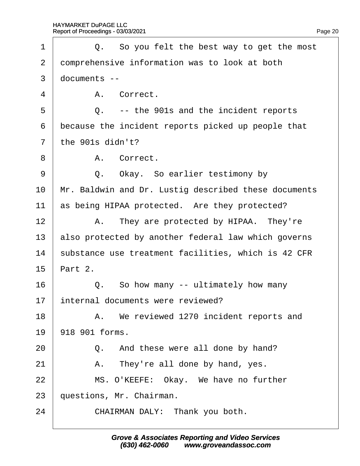| 1              | Q. So you felt the best way to get the most          |
|----------------|------------------------------------------------------|
| $\overline{2}$ | domprehensive information was to look at both        |
| 3              | documents --                                         |
| 4              | A. Correct.                                          |
| 5              | Q. -- the 901s and the incident reports              |
| 6              | because the incident reports picked up people that   |
| $\overline{7}$ | the 901s didn't?                                     |
| 8              | A. Correct.                                          |
| 9              | Q. Okay. So earlier testimony by                     |
| 10             | Mr. Baldwin and Dr. Lustig described these documents |
| 11             | as being HIPAA protected. Are they protected?        |
| 12             | A. They are protected by HIPAA. They're              |
| 13             | also protected by another federal law which governs  |
| 14             | substance use treatment facilities, which is 42 CFR  |
| 15             | Part 2.                                              |
| 16             | Q. So how many -- ultimately how many                |
| 17             | internal documents were reviewed?                    |
| 18             | A. We reviewed 1270 incident reports and             |
| 19             | 918 901 forms.                                       |
| 20             | Q. And these were all done by hand?                  |
| 21             | A. They're all done by hand, yes.                    |
| 22             | MS. O'KEEFE: Okay. We have no further                |
| 23             | questions, Mr. Chairman.                             |
| 24             | CHAIRMAN DALY: Thank you both.                       |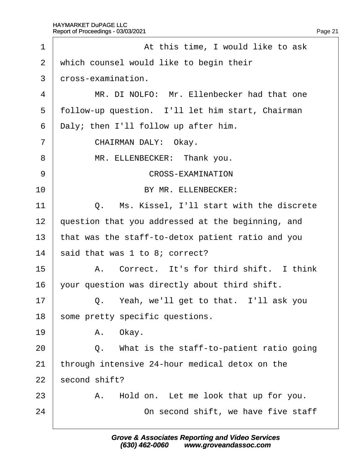| 1              |                                | At this time, I would like to ask                 |
|----------------|--------------------------------|---------------------------------------------------|
| $\overline{2}$ |                                | which counsel would like to begin their           |
| 3              | dross-examination.             |                                                   |
| 4              |                                | MR. DI NOLFO: Mr. Ellenbecker had that one        |
| 5              |                                | follow-up question. I'll let him start, Chairman  |
| 6              |                                | Daly; then I'll follow up after him.              |
| $\overline{7}$ |                                | CHAIRMAN DALY: Okay.                              |
| 8              |                                | MR. ELLENBECKER: Thank you.                       |
| 9              |                                | <b>CROSS-EXAMINATION</b>                          |
| 10             |                                | BY MR. ELLENBECKER:                               |
| 11             | Q.                             | Ms. Kissel, I'll start with the discrete          |
| 12             |                                | question that you addressed at the beginning, and |
| 13             |                                | that was the staff-to-detox patient ratio and you |
| 14             | said that was 1 to 8; correct? |                                                   |
| 15             |                                | A. Correct. It's for third shift. I think         |
| 16             |                                | your question was directly about third shift.     |
| 17             |                                | Q. Yeah, we'll get to that. I'll ask you          |
| 18             |                                | some pretty specific questions.                   |
| 19             | A. Okay.                       |                                                   |
| 20             |                                | Q. What is the staff-to-patient ratio going       |
| 21             |                                | through intensive 24-hour medical detox on the    |
| 22             | second shift?                  |                                                   |
| 23             |                                | A. Hold on. Let me look that up for you.          |
| 24             |                                | On second shift, we have five staff               |
|                |                                |                                                   |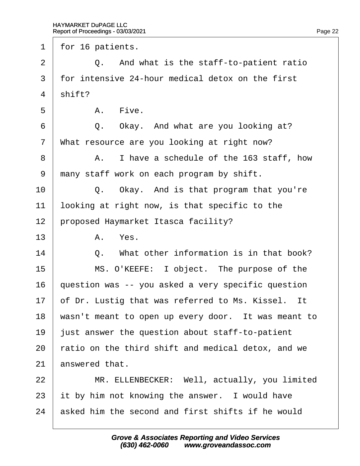1 for 16 patients.

 $2 \mid Q$ . And what is the staff-to-patient ratio 3 for intensive 24-hour medical detox on the first 4  $\sinh(2)$  $5 \parallel$  A. Five.  $6 \mid Q$ . Okay. And what are you looking at? 7 What resource are you looking at right now? 8 | A. I have a schedule of the 163 staff, how 9 many staff work on each program by shift. 10  $\vert$  Q. Okay. And is that program that you're 11 looking at right now, is that specific to the 12 proposed Haymarket Itasca facility?  $13$  A. Yes.  $14$   $\Box$  Q. What other information is in that book? 15 | MS. O'KEEFE: I object. The purpose of the 16 duestion was -- you asked a very specific question 17 of Dr. Lustig that was referred to Ms. Kissel. It 18 wasn't meant to open up every door. It was meant to 19 just answer the question about staff-to-patient 20 tatio on the third shift and medical detox, and we 21 answered that. 22 | MR. ELLENBECKER: Well, actually, you limited 23 it by him not knowing the answer. I would have 24 asked him the second and first shifts if he would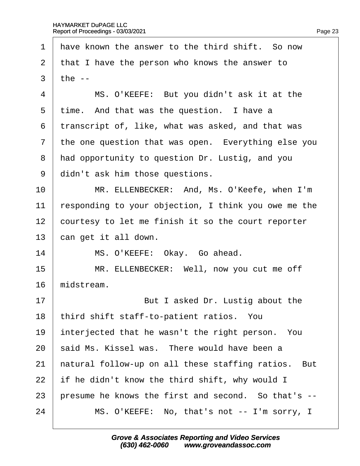| have known the answer to the third shift. So now     |
|------------------------------------------------------|
| that I have the person who knows the answer to       |
| the $-$                                              |
| MS. O'KEEFE: But you didn't ask it at the            |
| time. And that was the question. I have a            |
| transcript of, like, what was asked, and that was    |
| the one question that was open. Everything else you  |
| had opportunity to question Dr. Lustig, and you      |
| didn't ask him those questions.                      |
| MR. ELLENBECKER: And, Ms. O'Keefe, when I'm          |
| responding to your objection, I think you owe me the |
| courtesy to let me finish it so the court reporter   |
| can get it all down.                                 |
| MS. O'KEEFE: Okay. Go ahead.                         |
| MR. ELLENBECKER: Well, now you cut me off            |
| midstream.                                           |
| But I asked Dr. Lustig about the                     |
| third shift staff-to-patient ratios. You             |
| interjected that he wasn't the right person. You     |
| said Ms. Kissel was. There would have been a         |
| hatural follow-up on all these staffing ratios. But  |
| if he didn't know the third shift, why would I       |
| presume he knows the first and second. So that's --  |
| MS. O'KEEFE: No, that's not -- I'm sorry, I          |
|                                                      |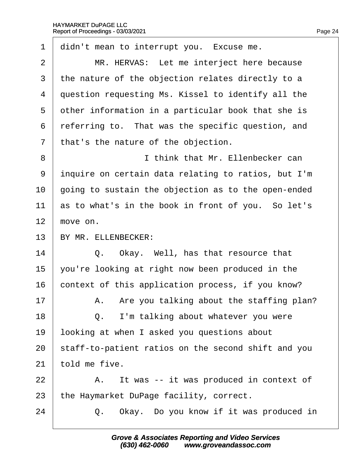| 1              | didn't mean to interrupt you. Excuse me.            |
|----------------|-----------------------------------------------------|
| $\overline{2}$ | MR. HERVAS: Let me interject here because           |
| 3              | the nature of the objection relates directly to a   |
| 4              | question requesting Ms. Kissel to identify all the  |
| 5              | other information in a particular book that she is  |
| 6              | referring to. That was the specific question, and   |
| $\overline{7}$ | that's the nature of the objection.                 |
| 8              | I think that Mr. Ellenbecker can                    |
| 9              | inquire on certain data relating to ratios, but I'm |
| 10             | going to sustain the objection as to the open-ended |
| 11             | as to what's in the book in front of you. So let's  |
| 12             | move on.                                            |
| 13             | BY MR. ELLENBECKER:                                 |
| 14             | Q. Okay. Well, has that resource that               |
| 15             | you're looking at right now been produced in the    |
| 16             | context of this application process, if you know?   |
| 17             | A. Are you talking about the staffing plan?         |
| 18             | I'm talking about whatever you were<br>Q.           |
| 19             | looking at when I asked you questions about         |
| 20             | staff-to-patient ratios on the second shift and you |
| 21             | told me five.                                       |
| 22             | It was -- it was produced in context of<br>А.       |
| 23             | the Haymarket DuPage facility, correct.             |
| 24             | Q. Okay. Do you know if it was produced in          |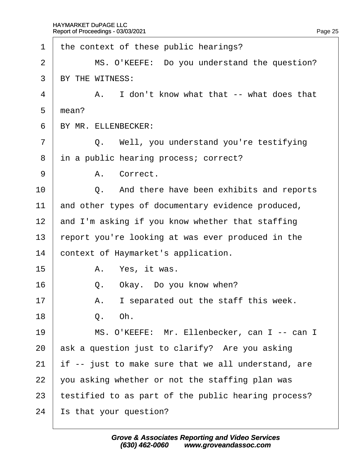| 1              | the context of these public hearings?               |
|----------------|-----------------------------------------------------|
| 2              | MS. O'KEEFE: Do you understand the question?        |
| 3              | BY THE WITNESS:                                     |
| 4              | A. I don't know what that -- what does that         |
| 5              | mean?                                               |
| 6              | BY MR. ELLENBECKER:                                 |
| $\overline{7}$ | Q. Well, you understand you're testifying           |
| 8              | in a public hearing process; correct?               |
| 9              | A. Correct.                                         |
| 10             | Q. And there have been exhibits and reports         |
| 11             | and other types of documentary evidence produced,   |
| 12             | and I'm asking if you know whether that staffing    |
| 13             | report you're looking at was ever produced in the   |
| 14             | context of Haymarket's application.                 |
| 15             | A. Yes, it was.                                     |
| 16             | Okay. Do you know when?<br>Q.                       |
| 17             | I separated out the staff this week.<br>А.          |
| 18             | Q. Oh.                                              |
| 19             | MS. O'KEEFE: Mr. Ellenbecker, can I -- can I        |
| 20             | ask a question just to clarify? Are you asking      |
| 21             | if -- just to make sure that we all understand, are |
| 22             | you asking whether or not the staffing plan was     |
| 23             | testified to as part of the public hearing process? |
| 24             | s that your question?                               |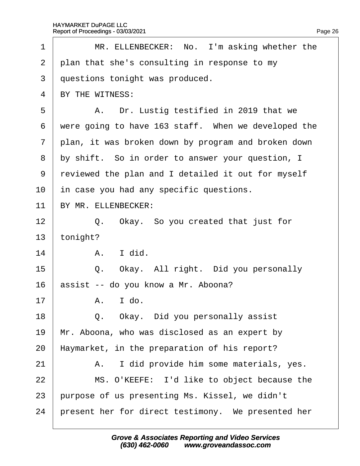| 1              | MR. ELLENBECKER: No. I'm asking whether the         |
|----------------|-----------------------------------------------------|
| $\overline{2}$ | plan that she's consulting in response to my        |
| 3              | questions tonight was produced.                     |
| $\overline{4}$ | BY THE WITNESS:                                     |
| 5              | A. Dr. Lustig testified in 2019 that we             |
| 6              | were going to have 163 staff. When we developed the |
| $\overline{7}$ | plan, it was broken down by program and broken down |
| 8              | by shift. So in order to answer your question, I    |
| 9              | reviewed the plan and I detailed it out for myself  |
| 10             | in case you had any specific questions.             |
| 11             | BY MR. ELLENBECKER:                                 |
| 12             | Q. Okay. So you created that just for               |
| 13             | tonight?                                            |
| 14             | A. I did.                                           |
| 15             | Q. Okay. All right. Did you personally              |
| 16             | assist -- do you know a Mr. Aboona?                 |
| 17             | $A.$ $Ido.$                                         |
| 18             | Q. Okay. Did you personally assist                  |
| 19             | Mr. Aboona, who was disclosed as an expert by       |
| 20             | Haymarket, in the preparation of his report?        |
| 21             | A. I did provide him some materials, yes.           |
| 22             | MS. O'KEEFE: I'd like to object because the         |
| 23             | purpose of us presenting Ms. Kissel, we didn't      |
| 24             | present her for direct testimony. We presented her  |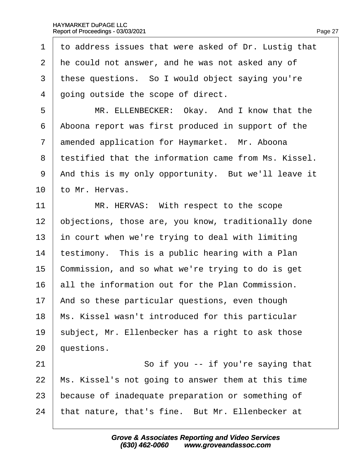1 to address issues that were asked of Dr. Lustig that 2 he could not answer, and he was not asked any of 3 these questions. So I would object saying you're 4 doing outside the scope of direct. 5 | MR. ELLENBECKER: Okay. And I know that the 6 Aboona report was first produced in support of the 7 amended application for Haymarket. Mr. Aboona 8 testified that the information came from Ms. Kissel. 9 And this is my only opportunity. But we'll leave it 10 to Mr. Hervas. 11 | MR. HERVAS: With respect to the scope 12 b bjections, those are, you know, traditionally done 13 in court when we're trying to deal with limiting 14 testimony. This is a public hearing with a Plan 15 Commission, and so what we're trying to do is get 16 all the information out for the Plan Commission. 17 And so these particular questions, even though 18 Ms. Kissel wasn't introduced for this particular 19 subject, Mr. Ellenbecker has a right to ask those 20 *questions.*  $21$   $\sim$  So if you -- if you're saying that 22 Ms. Kissel's not going to answer them at this time 23 because of inadequate preparation or something of 24 that nature, that's fine. But Mr. Ellenbecker at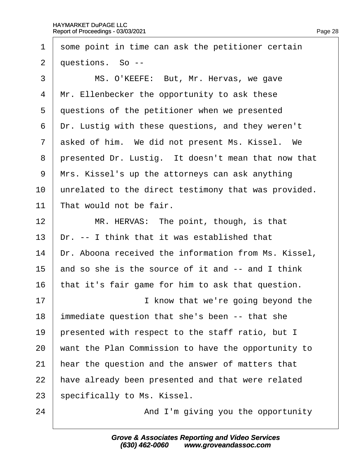| 1              | some point in time can ask the petitioner certain    |
|----------------|------------------------------------------------------|
| 2              | questions. So --                                     |
| 3              | MS. O'KEEFE: But, Mr. Hervas, we gave                |
| 4              | Mr. Ellenbecker the opportunity to ask these         |
| 5              | questions of the petitioner when we presented        |
| 6              | Dr. Lustig with these questions, and they weren't    |
| $\overline{7}$ | asked of him. We did not present Ms. Kissel. We      |
| 8              | presented Dr. Lustig. It doesn't mean that now that  |
| 9              | Mrs. Kissel's up the attorneys can ask anything      |
| 10             | unrelated to the direct testimony that was provided. |
| 11             | That would not be fair.                              |
| 12             | MR. HERVAS: The point, though, is that               |
| 13             | Dr. -- I think that it was established that          |
| 14             | Dr. Aboona received the information from Ms. Kissel, |
| 15             | and so she is the source of it and -- and I think    |
| 16             | that it's fair game for him to ask that question.    |
| 17             | I know that we're going beyond the                   |
| 18             | immediate question that she's been -- that she       |
| 19             | presented with respect to the staff ratio, but I     |
| 20             | want the Plan Commission to have the opportunity to  |
| 21             | hear the question and the answer of matters that     |
| 22             | have already been presented and that were related    |
| 23             | specifically to Ms. Kissel.                          |
| 24             | And I'm giving you the opportunity                   |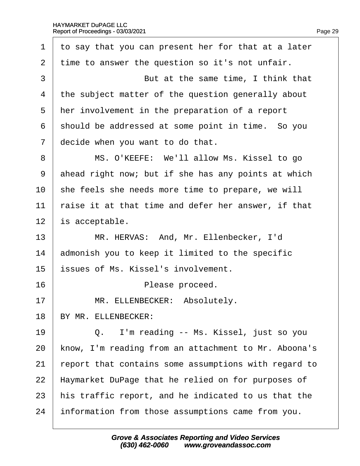| 1              | to say that you can present her for that at a later  |
|----------------|------------------------------------------------------|
| 2              | time to answer the question so it's not unfair.      |
| 3              | But at the same time, I think that                   |
| $\overline{4}$ | the subject matter of the question generally about   |
| 5              | Her involvement in the preparation of a report       |
| 6              | should be addressed at some point in time. So you    |
| 7              | decide when you want to do that.                     |
| 8              | MS. O'KEEFE: We'll allow Ms. Kissel to go            |
| 9              | ahead right now; but if she has any points at which  |
| 10             | she feels she needs more time to prepare, we will    |
| 11             | raise it at that time and defer her answer, if that  |
| 12             | is acceptable.                                       |
| 13             | MR. HERVAS: And, Mr. Ellenbecker, I'd                |
| 14             | admonish you to keep it limited to the specific      |
| 15             | <b>issues of Ms. Kissel's involvement.</b>           |
| 16             | Please proceed.                                      |
| 17             | MR. ELLENBECKER: Absolutely.                         |
| 18             | BY MR. ELLENBECKER:                                  |
| 19             | Q. I'm reading -- Ms. Kissel, just so you            |
| 20             | know, I'm reading from an attachment to Mr. Aboona's |
| 21             | report that contains some assumptions with regard to |
| 22             | Haymarket DuPage that he relied on for purposes of   |
| 23             | his traffic report, and he indicated to us that the  |
| 24             | information from those assumptions came from you.    |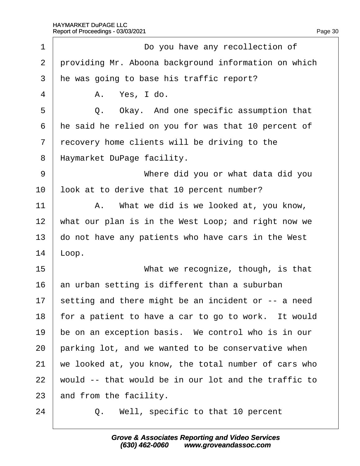| 1              | Do you have any recollection of                      |
|----------------|------------------------------------------------------|
| $\overline{2}$ | providing Mr. Aboona background information on which |
| 3              | the was going to base his traffic report?            |
| 4              | A. Yes, I do.                                        |
| 5              | Q. Okay. And one specific assumption that            |
| 6              | He said he relied on you for was that 10 percent of  |
| $\overline{7}$ | recovery home clients will be driving to the         |
| 8              | Haymarket DuPage facility.                           |
| 9              | Where did you or what data did you                   |
| 10             | look at to derive that 10 percent number?            |
| 11             | A. What we did is we looked at, you know,            |
| 12             | what our plan is in the West Loop; and right now we  |
| 13             | do not have any patients who have cars in the West   |
| 14             | Loop.                                                |
| 15             | What we recognize, though, is that                   |
| 16             | an urban setting is different than a suburban        |
| 17             | setting and there might be an incident or -- a need  |
| 18             | for a patient to have a car to go to work. It would  |
| 19             | be on an exception basis. We control who is in our   |
| 20             | parking lot, and we wanted to be conservative when   |
| 21             | we looked at, you know, the total number of cars who |
| 22             | would -- that would be in our lot and the traffic to |
| 23             | and from the facility.                               |
| 24             | Well, specific to that 10 percent<br>Q.              |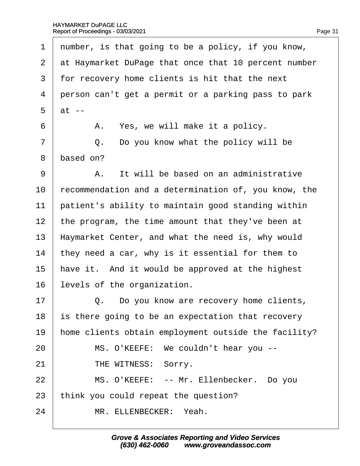1 number, is that going to be a policy, if you know, 2 at Haymarket DuPage that once that 10 percent number 3 for recovery home clients is hit that the next 4 person can't get a permit or a parking pass to park  $5$  at  $6 \mid$  A. Yes, we will make it a policy.  $7 \mid Q$ . Do you know what the policy will be 8 based on?  $9 \mid$  A. It will be based on an administrative 10 recommendation and a determination of, you know, the 11 **patient's ability to maintain good standing within** 12 the program, the time amount that they've been at 13 Haymarket Center, and what the need is, why would 14 they need a car, why is it essential for them to 15 have it. And it would be approved at the highest 16 levels of the organization.  $17 \mid$  Q. Do you know are recovery home clients, 18 is there going to be an expectation that recovery 19 home clients obtain employment outside the facility? 20 | MS. O'KEEFE: We couldn't hear you --21 | THE WITNESS: Sorry. 22 | MS. O'KEEFE: -- Mr. Ellenbecker. Do you 23 think you could repeat the question? 24 | MR. ELLENBECKER: Yeah.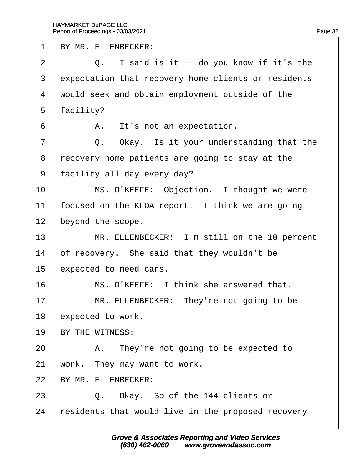| $\mathbf 1$    | BY MR. ELLENBECKER:                                 |
|----------------|-----------------------------------------------------|
| 2              | Q. I said is it -- do you know if it's the          |
| 3              | expectation that recovery home clients or residents |
| 4              | would seek and obtain employment outside of the     |
| 5              | facility?                                           |
| 6              | A. It's not an expectation.                         |
| $\overline{7}$ | Q. Okay. Is it your understanding that the          |
| 8              | recovery home patients are going to stay at the     |
| 9              | facility all day every day?                         |
| 10             | MS. O'KEEFE: Objection. I thought we were           |
| 11             | focused on the KLOA report. I think we are going    |
| 12             | beyond the scope.                                   |
| 13             | MR. ELLENBECKER: I'm still on the 10 percent        |
| 14             | of recovery. She said that they wouldn't be         |
| 15             | expected to need cars.                              |
| 16             | MS. O'KEEFE: I think she answered that.             |
| 17             | MR. ELLENBECKER: They're not going to be            |
| 18             | expected to work.                                   |
| 19             | BY THE WITNESS:                                     |
| 20             | A. They're not going to be expected to              |
| 21             | work. They may want to work.                        |
| 22             | BY MR. ELLENBECKER:                                 |
| 23             | Q. Okay. So of the 144 clients or                   |
| 24             | residents that would live in the proposed recovery  |
|                |                                                     |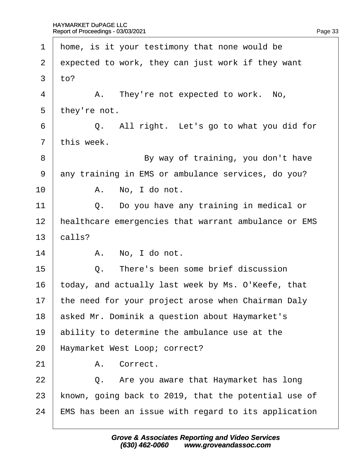| home, is it your testimony that none would be        |
|------------------------------------------------------|
| expected to work, they can just work if they want    |
| $\text{to}$ ?                                        |
| A. They're not expected to work. No,                 |
| they're not.                                         |
| Q. All right. Let's go to what you did for           |
| this week.                                           |
| By way of training, you don't have                   |
| any training in EMS or ambulance services, do you?   |
| A. No, I do not.                                     |
| Q. Do you have any training in medical or            |
| healthcare emergencies that warrant ambulance or EMS |
| calls?                                               |
| A. No, I do not.                                     |
| Q. There's been some brief discussion                |
| today, and actually last week by Ms. O'Keefe, that   |
| the need for your project arose when Chairman Daly   |
| asked Mr. Dominik a question about Haymarket's       |
| ability to determine the ambulance use at the        |
| Haymarket West Loop; correct?                        |
| A. Correct.                                          |
| Q. Are you aware that Haymarket has long             |
| known, going back to 2019, that the potential use of |
| EMS has been an issue with regard to its application |
|                                                      |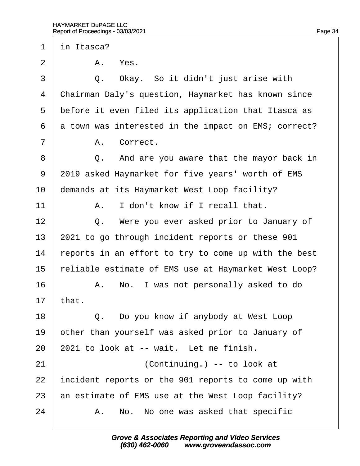| $\mathbf 1$ | in Itasca?                                           |
|-------------|------------------------------------------------------|
| 2           | A. Yes.                                              |
| 3           | Q. Okay. So it didn't just arise with                |
| 4           | Chairman Daly's question, Haymarket has known since  |
| 5           | before it even filed its application that Itasca as  |
| 6           | a town was interested in the impact on EMS; correct? |
| 7           | A. Correct.                                          |
| 8           | Q. And are you aware that the mayor back in          |
| 9           | 2019 asked Haymarket for five years' worth of EMS    |
| 10          | demands at its Haymarket West Loop facility?         |
| 11          | A. I don't know if I recall that.                    |
| 12          | Q. Were you ever asked prior to January of           |
| 13          | 2021 to go through incident reports or these 901     |
| 14          | eports in an effort to try to come up with the best  |
| 15          | eliable estimate of EMS use at Haymarket West Loop?  |
| 16          | A. No. I was not personally asked to do              |
| 17          | that.                                                |
| 18          | Q. Do you know if anybody at West Loop               |
| 19          | other than yourself was asked prior to January of    |
| 20          | 2021 to look at -- wait. Let me finish.              |
| 21          | (Continuing.) -- to look at                          |
| 22          | incident reports or the 901 reports to come up with  |
| 23          | an estimate of EMS use at the West Loop facility?    |
| 24          | A. No. No one was asked that specific                |
|             |                                                      |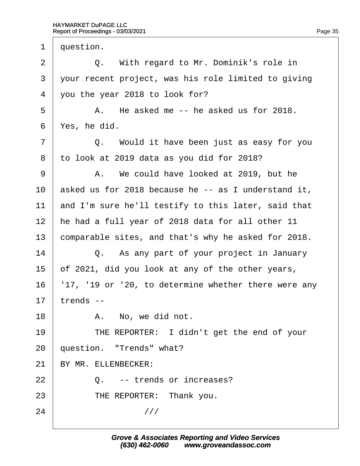1 duestion.

 $2 \mid Q$ . With regard to Mr. Dominik's role in 3 vour recent project, was his role limited to giving 4 vou the year 2018 to look for?  $5 \mid$  A. He asked me -- he asked us for 2018.  $6$  Yes, he did.  $7 \mid$  Q. Would it have been just as easy for you ·8· ·to look at 2019 data as you did for 2018? 9 | A. We could have looked at 2019, but he 10 asked us for 2018 because he -- as I understand it, 11 and I'm sure he'll testify to this later, said that 12 he had a full year of 2018 data for all other 11 13 comparable sites, and that's why he asked for 2018.  $14$   $\Box$  Q. As any part of your project in January 15  $\sigma$  of 2021, did you look at any of the other years, 16 <sup>1</sup>17, '19 or '20, to determine whether there were any 17  $t$ rends -- $18$   $\phantom{1}$  A. No, we did not. 19 **THE REPORTER:** I didn't get the end of your 20 question. "Trends" what? 21 BY MR. ELLENBECKER:  $22 \mid Q_{1}$  -- trends or increases? 23 | THE REPORTER: Thank you.  $24$   $||$   $||$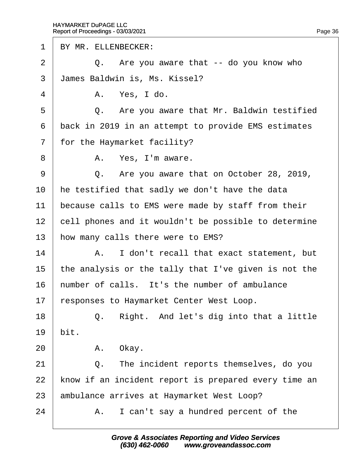| 1              |      | BY MR. ELLENBECKER:                                  |
|----------------|------|------------------------------------------------------|
| $\overline{2}$ |      | Q. Are you aware that -- do you know who             |
| 3              |      | James Baldwin is, Ms. Kissel?                        |
| 4              |      | A. Yes, I do.                                        |
| 5              |      | Q. Are you aware that Mr. Baldwin testified          |
| 6              |      | back in 2019 in an attempt to provide EMS estimates  |
| $\overline{7}$ |      | for the Haymarket facility?                          |
| 8              |      | A. Yes, I'm aware.                                   |
| 9              |      | Q. Are you aware that on October 28, 2019,           |
| 10             |      | he testified that sadly we don't have the data       |
| 11             |      | because calls to EMS were made by staff from their   |
| 12             |      | cell phones and it wouldn't be possible to determine |
| 13             |      | how many calls there were to EMS?                    |
| 14             |      | A. I don't recall that exact statement, but          |
| 15             |      | the analysis or the tally that I've given is not the |
| 16             |      | humber of calls. It's the number of ambulance        |
| 17             |      | responses to Haymarket Center West Loop.             |
| 18             | Q.   | Right. And let's dig into that a little              |
| 19             | bit. |                                                      |
| 20             | А.   | Okay.                                                |
| 21             | Q.   | The incident reports themselves, do you              |
| 22             |      | know if an incident report is prepared every time an |
| 23             |      | ambulance arrives at Haymarket West Loop?            |
| 24             | А.   | I can't say a hundred percent of the                 |
|                |      |                                                      |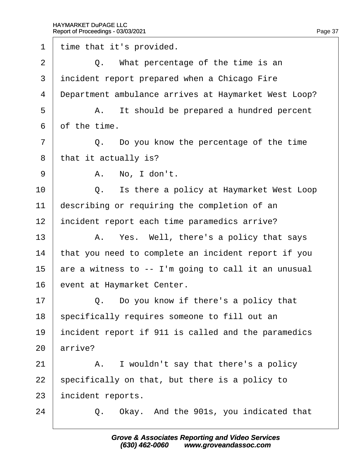1 time that it's provided.  $2 \mid Q$ . What percentage of the time is an 3 incident report prepared when a Chicago Fire 4 Department ambulance arrives at Haymarket West Loop? 5 | A. It should be prepared a hundred percent 6 of the time.  $7 \mid$  Q. Do you know the percentage of the time 8 that it actually is?  $9 \mid$  A. No, I don't. 10 | Q. Is there a policy at Haymarket West Loop 11 describing or requiring the completion of an 12 incident report each time paramedics arrive? 13  $\parallel$  A. Yes. Well, there's a policy that says 14 that you need to complete an incident report if you 15  $\epsilon$  are a witness to -- I'm going to call it an unusual 16 event at Haymarket Center.  $17 \parallel Q$ . Do you know if there's a policy that 18 specifically requires someone to fill out an 19 incident report if 911 is called and the paramedics 20 arrive?  $21$  | A. I wouldn't say that there's a policy 22 specifically on that, but there is a policy to 23 incident reports.  $24$   $\Box$  Q. Okay. And the 901s, you indicated that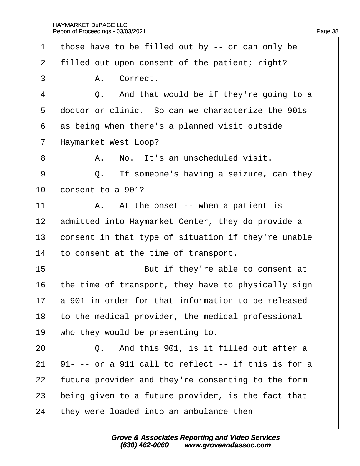1 those have to be filled out by -- or can only be 2 filled out upon consent of the patient; right? 3 | A. Correct.  $4 \mid Q$ . And that would be if they're going to a 5 doctor or clinic. So can we characterize the 901s 6 as being when there's a planned visit outside 7 Haymarket West Loop? 8 | A. No. It's an unscheduled visit.  $9 \mid Q$ . If someone's having a seizure, can they 10  $\,$  consent to a 901? 11  $\parallel$  A. At the onset -- when a patient is 12 admitted into Haymarket Center, they do provide a 13 consent in that type of situation if they're unable 14 to consent at the time of transport. 15 **But if they're able to consent at** 16 the time of transport, they have to physically sign 17 a 901 in order for that information to be released 18 to the medical provider, the medical professional 19 who they would be presenting to.  $20$   $\vert$  Q. And this 901, is it filled out after a 21  $91-$  -- or a 911 call to reflect -- if this is for a 22 future provider and they're consenting to the form 23 being given to a future provider, is the fact that 24 they were loaded into an ambulance then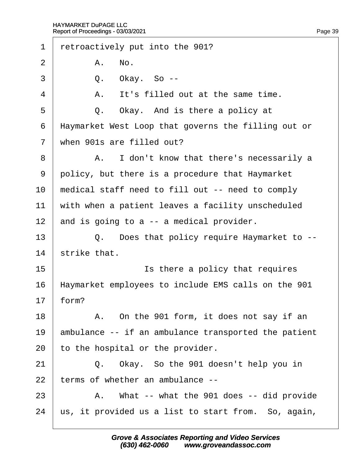| 1              | retroactively put into the 901?                      |
|----------------|------------------------------------------------------|
| 2              | A. No.                                               |
| 3              | Okay. So --<br>Q.                                    |
| 4              | It's filled out at the same time.<br>А.              |
| 5              | Okay. And is there a policy at<br>Q.                 |
| 6              | Haymarket West Loop that governs the filling out or  |
| $\overline{7}$ | when 901s are filled out?                            |
| 8              | A. I don't know that there's necessarily a           |
| 9              | policy, but there is a procedure that Haymarket      |
| 10             | medical staff need to fill out -- need to comply     |
| 11             | with when a patient leaves a facility unscheduled    |
| 12             | and is going to a -- a medical provider.             |
| 13             | Q. Does that policy require Haymarket to --          |
| 14             | strike that.                                         |
| 15             | Is there a policy that requires                      |
| 16             | Haymarket employees to include EMS calls on the 901  |
| 17             | form?                                                |
| 18             | A. On the 901 form, it does not say if an            |
| 19             | ambulance -- if an ambulance transported the patient |
| 20             | to the hospital or the provider.                     |
| 21             | Q. Okay. So the 901 doesn't help you in              |
| 22             | terms of whether an ambulance --                     |
| 23             | A. What -- what the 901 does -- did provide          |
| 24             | us, it provided us a list to start from. So, again,  |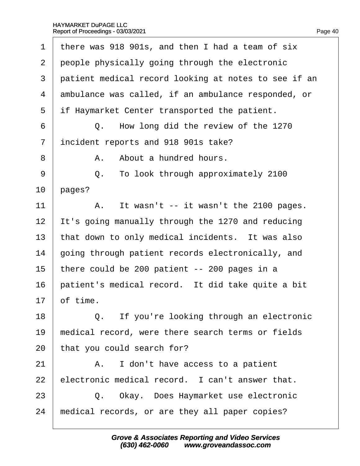| 1              | there was 918 901s, and then I had a team of six     |
|----------------|------------------------------------------------------|
| $\overline{2}$ | people physically going through the electronic       |
| 3              | patient medical record looking at notes to see if an |
| 4              | ambulance was called, if an ambulance responded, or  |
| 5              | if Haymarket Center transported the patient.         |
| 6              | Q. How long did the review of the 1270               |
| $\overline{7}$ | incident reports and 918 901s take?                  |
| 8              | A. About a hundred hours.                            |
| 9              | To look through approximately 2100<br>Q.             |
| 10             | pages?                                               |
| 11             | A. It wasn't -- it wasn't the 2100 pages.            |
| 12             | It's going manually through the 1270 and reducing    |
| 13             | that down to only medical incidents. It was also     |
| 14             | going through patient records electronically, and    |
| 15             | there could be 200 patient -- 200 pages in a         |
| 16             | patient's medical record. It did take quite a bit    |
| 17             | of time.                                             |
| 18             | Q. If you're looking through an electronic           |
| 19             | medical record, were there search terms or fields    |
| 20             | that you could search for?                           |
| 21             | A. I don't have access to a patient                  |
| 22             | electronic medical record. I can't answer that.      |
| 23             | Q. Okay. Does Haymarket use electronic               |
| 24             | medical records, or are they all paper copies?       |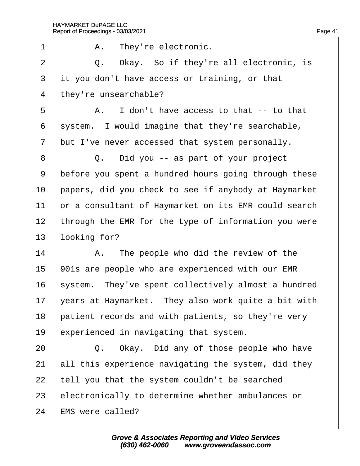$\sqrt{ }$ 

| $\overline{1}$ | A. They're electronic.                               |
|----------------|------------------------------------------------------|
| $\overline{2}$ | Q. Okay. So if they're all electronic, is            |
| 3              | it you don't have access or training, or that        |
| 4              | they're unsearchable?                                |
| 5              | A. I don't have access to that -- to that            |
| 6              | system. I would imagine that they're searchable,     |
| $\overline{7}$ | but I've never accessed that system personally.      |
| 8              | Q. Did you -- as part of your project                |
| 9              | before you spent a hundred hours going through these |
| 10             | papers, did you check to see if anybody at Haymarket |
| 11             | or a consultant of Haymarket on its EMR could search |
| 12             | through the EMR for the type of information you were |
| 13             | looking for?                                         |
| 14             | A. The people who did the review of the              |
| 15             | 901s are people who are experienced with our EMR     |
| 16             | system. They've spent collectively almost a hundred  |
| 17             | years at Haymarket. They also work quite a bit with  |
| 18             | patient records and with patients, so they're very   |
| 19             | experienced in navigating that system.               |
| 20             | Q. Okay. Did any of those people who have            |
| 21             | all this experience navigating the system, did they  |
| 22             | tell you that the system couldn't be searched        |
| 23             | electronically to determine whether ambulances or    |
| 24             | <b>EMS</b> were called?                              |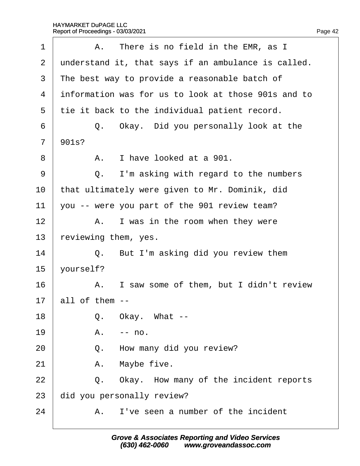| 1              | A. There is no field in the EMR, as I               |
|----------------|-----------------------------------------------------|
| 2              | understand it, that says if an ambulance is called. |
| 3              | The best way to provide a reasonable batch of       |
| $\overline{4}$ | information was for us to look at those 901s and to |
| 5              | tie it back to the individual patient record.       |
| 6              | Q. Okay. Did you personally look at the             |
| $\overline{7}$ | 901s?                                               |
| 8              | A. I have looked at a 901.                          |
| 9              | Q. I'm asking with regard to the numbers            |
| 10             | that ultimately were given to Mr. Dominik, did      |
| 11             | you -- were you part of the 901 review team?        |
| 12             | A. I was in the room when they were                 |
| 13             | reviewing them, yes.                                |
| 14             | Q. But I'm asking did you review them               |
| 15             | yourself?                                           |
| 16             | A. I saw some of them, but I didn't review          |
| 17             | all of them --                                      |
| 18             | Q. Okay. What --                                    |
| 19             | Α.<br>$-$ no.                                       |
| 20             | Q. How many did you review?                         |
| 21             | A. Maybe five.                                      |
| 22             | Q. Okay. How many of the incident reports           |
| 23             | did you personally review?                          |
| 24             | A. I've seen a number of the incident               |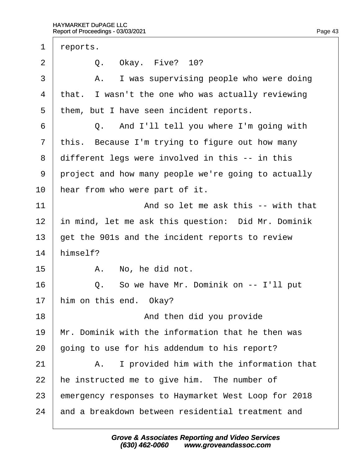| 1              | reports.                                            |
|----------------|-----------------------------------------------------|
| $\overline{2}$ | Q. Okay. Five? 10?                                  |
| 3              | I was supervising people who were doing<br>А.       |
| 4              | that. I wasn't the one who was actually reviewing   |
| 5              | them, but I have seen incident reports.             |
| 6              | Q. And I'll tell you where I'm going with           |
| $\overline{7}$ | this. Because I'm trying to figure out how many     |
| 8              | different legs were involved in this -- in this     |
| 9              | project and how many people we're going to actually |
| 10             | hear from who were part of it.                      |
| 11             | And so let me ask this -- with that                 |
| 12             | in mind, let me ask this question: Did Mr. Dominik  |
| 13             | get the 901s and the incident reports to review     |
| 14             | himself?                                            |
| 15             | A. No, he did not.                                  |
| 16             | Q. So we have Mr. Dominik on -- I'll put            |
| 17             | him on this end. Okay?                              |
| 18             | And then did you provide                            |
| 19             | Mr. Dominik with the information that he then was   |
| 20             | going to use for his addendum to his report?        |
| 21             | I provided him with the information that<br>A.      |
| 22             | he instructed me to give him. The number of         |
| 23             | emergency responses to Haymarket West Loop for 2018 |
| 24             | and a breakdown between residential treatment and   |
|                |                                                     |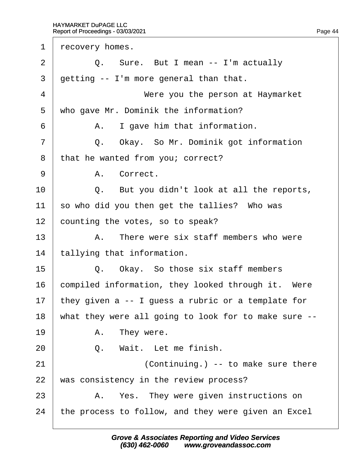|  | recovery homes.                                      |
|--|------------------------------------------------------|
|  | Q. Sure. But I mean -- I'm actually                  |
|  | getting -- I'm more general than that.               |
|  | Were you the person at Haymarket                     |
|  | who gave Mr. Dominik the information?                |
|  | A. I gave him that information.                      |
|  | Q. Okay. So Mr. Dominik got information              |
|  | that he wanted from you; correct?                    |
|  | A. Correct.                                          |
|  | Q. But you didn't look at all the reports,           |
|  | so who did you then get the tallies? Who was         |
|  | counting the votes, so to speak?                     |
|  | A. There were six staff members who were             |
|  | tallying that information.                           |
|  | Q. Okay. So those six staff members                  |
|  | compiled information, they looked through it. Were   |
|  | they given a -- I guess a rubric or a template for   |
|  | what they were all going to look for to make sure -- |
|  | A. They were.                                        |
|  | Q. Wait. Let me finish.                              |
|  | (Continuing.) -- to make sure there                  |
|  | was consistency in the review process?               |
|  |                                                      |
|  | A. Yes. They were given instructions on              |
|  |                                                      |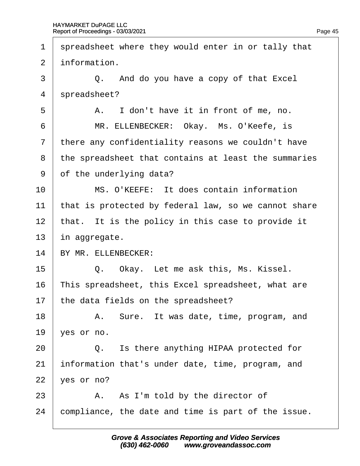- 1 spreadsheet where they would enter in or tally that
- 2 information.
- $\overline{3}$   $\overline{Q}$ . And do you have a copy of that Excel
- 4 spreadsheet?
- $5 \mid$  A. I don't have it in front of me, no.
- 6 | MR. ELLENBECKER: Okay. Ms. O'Keefe, is
- 7 there any confidentiality reasons we couldn't have
- 8 the spreadsheet that contains at least the summaries
- 9 of the underlying data?
- 10 | MS. O'KEEFE: It does contain information
- 11 that is protected by federal law, so we cannot share
- 12 that. It is the policy in this case to provide it
- 13 in aggregate.
- 14 BY MR. ELLENBECKER:
- $15$   $\Box$  Q. Okay. Let me ask this, Ms. Kissel.
- 16 This spreadsheet, this Excel spreadsheet, what are
- 17 the data fields on the spreadsheet?
- 18 | A. Sure. It was date, time, program, and
- 19  $\sqrt{e}$ s or no.
- $20$   $\Box$  Q. Is there anything HIPAA protected for
- 21 information that's under date, time, program, and
- $22$  ves or no?
- $23$  | A. As I'm told by the director of
- 24 compliance, the date and time is part of the issue.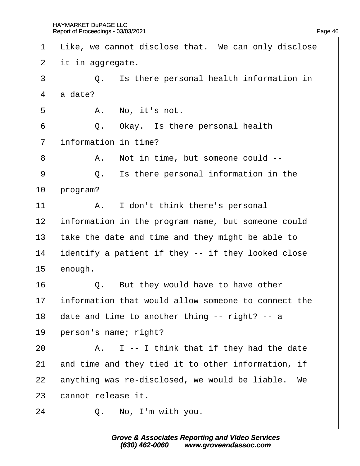| $\mathbf 1$    | Like, we cannot disclose that. We can only disclose |
|----------------|-----------------------------------------------------|
| $\overline{2}$ | it in aggregate.                                    |
| 3              | Q. Is there personal health information in          |
| 4              | a date?                                             |
| 5              | A. No, it's not.                                    |
| 6              | Q. Okay. Is there personal health                   |
| $\overline{7}$ | information in time?                                |
| 8              | A. Not in time, but someone could --                |
| 9              | Q. Is there personal information in the             |
| 10             | program?                                            |
| 11             | A. I don't think there's personal                   |
| 12             | information in the program name, but someone could  |
| 13             | take the date and time and they might be able to    |
| 14             | dentify a patient if they -- if they looked close   |
| 15             | enough.                                             |
| 16             | Q. But they would have to have other                |
| 17             | information that would allow someone to connect the |
| 18             | date and time to another thing -- right? -- a       |
| 19             | person's name; right?                               |
| 20             | A. I -- I think that if they had the date           |
| 21             | and time and they tied it to other information, if  |
| 22             | anything was re-disclosed, we would be liable. We   |
| 23             | cannot release it.                                  |
| 24             | Q. No, I'm with you.                                |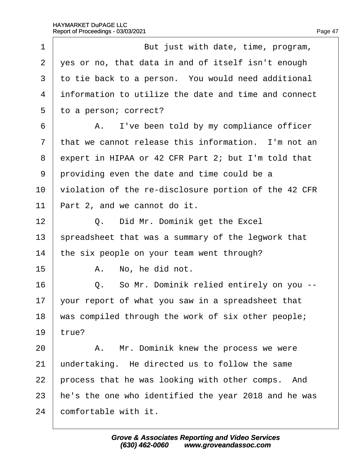| 1              | But just with date, time, program,                   |
|----------------|------------------------------------------------------|
| $\overline{2}$ | yes or no, that data in and of itself isn't enough   |
| 3              | to tie back to a person. You would need additional   |
| 4              | information to utilize the date and time and connect |
| 5              | to a person; correct?                                |
| 6              | A. I've been told by my compliance officer           |
| 7              | that we cannot release this information. I'm not an  |
| 8              | expert in HIPAA or 42 CFR Part 2; but I'm told that  |
| 9              | providing even the date and time could be a          |
| 10             | violation of the re-disclosure portion of the 42 CFR |
| 11             | Part 2, and we cannot do it.                         |
| 12             | Q. Did Mr. Dominik get the Excel                     |
| 13             | spreadsheet that was a summary of the legwork that   |
| 14             | the six people on your team went through?            |
| 15             | A. No, he did not.                                   |
| 16             | Q. So Mr. Dominik relied entirely on you --          |
| 17             | your report of what you saw in a spreadsheet that    |
| 18             | was compiled through the work of six other people;   |
| 19             | true?                                                |
| 20             | A. Mr. Dominik knew the process we were              |
| 21             | undertaking. He directed us to follow the same       |
| 22             | process that he was looking with other comps. And    |
| 23             | he's the one who identified the year 2018 and he was |
| 24             | comfortable with it.                                 |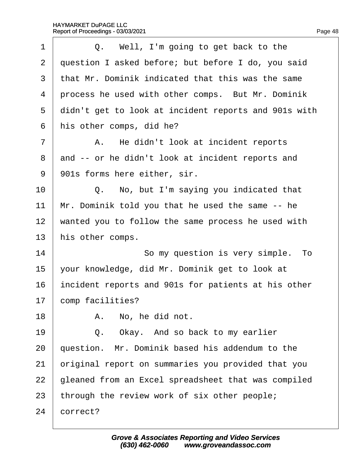| 1              | Q. Well, I'm going to get back to the                |
|----------------|------------------------------------------------------|
| $\overline{2}$ | question I asked before; but before I do, you said   |
| 3              | that Mr. Dominik indicated that this was the same    |
| 4              | process he used with other comps. But Mr. Dominik    |
| 5              | didn't get to look at incident reports and 901s with |
| 6              | his other comps, did he?                             |
| $\overline{7}$ | A. He didn't look at incident reports                |
| 8              | and -- or he didn't look at incident reports and     |
| 9              | 901s forms here either, sir.                         |
| 10             | Q. No, but I'm saying you indicated that             |
| 11             | Mr. Dominik told you that he used the same -- he     |
| 12             | wanted you to follow the same process he used with   |
| 13             | his other comps.                                     |
| 14             | So my question is very simple. To                    |
| 15             | your knowledge, did Mr. Dominik get to look at       |
| 16             | incident reports and 901s for patients at his other  |
| 17             | comp facilities?                                     |
| 18             | No, he did not.<br>А.                                |
| 19             | Okay. And so back to my earlier<br>Q.                |
| 20             | question. Mr. Dominik based his addendum to the      |
| 21             | priginal report on summaries you provided that you   |
| 22             | gleaned from an Excel spreadsheet that was compiled  |
| 23             | through the review work of six other people;         |
| 24             | correct?                                             |

Page 48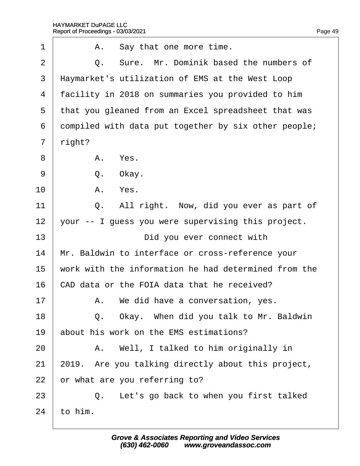| A. Say that one more time.                           |
|------------------------------------------------------|
| Q. Sure. Mr. Dominik based the numbers of            |
| Haymarket's utilization of EMS at the West Loop      |
| facility in 2018 on summaries you provided to him    |
| that you gleaned from an Excel spreadsheet that was  |
| dompiled with data put together by six other people; |
| right?                                               |
| A. Yes.                                              |
| Q. Okay.                                             |
| A. Yes.                                              |
| Q. All right. Now, did you ever as part of           |
| your -- I guess you were supervising this project.   |
| Did you ever connect with                            |
| Mr. Baldwin to interface or cross-reference your     |
| work with the information he had determined from the |
| CAD data or the FOIA data that he received?          |
| A. We did have a conversation, yes.                  |
| Q. Okay. When did you talk to Mr. Baldwin            |
| about his work on the EMS estimations?               |
| A. Well, I talked to him originally in               |
| 2019. Are you talking directly about this project,   |
| or what are you referring to?                        |
| Q. Let's go back to when you first talked            |
| to him.                                              |
|                                                      |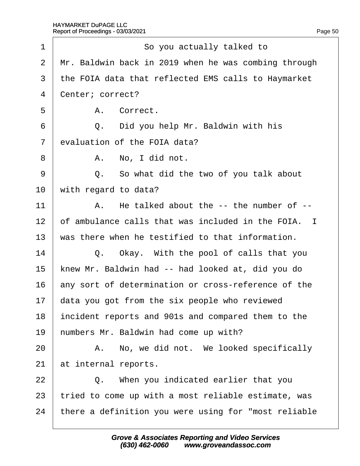| 1              | So you actually talked to                             |
|----------------|-------------------------------------------------------|
| $\overline{2}$ | Mr. Baldwin back in 2019 when he was combing through  |
| 3              | the FOIA data that reflected EMS calls to Haymarket   |
| 4              | Center; correct?                                      |
| 5              | A. Correct.                                           |
| 6              | Q. Did you help Mr. Baldwin with his                  |
| $\overline{7}$ | evaluation of the FOIA data?                          |
| 8              | A. No, I did not.                                     |
| 9              | Q. So what did the two of you talk about              |
| 10             | with regard to data?                                  |
| 11             | A. He talked about the -- the number of --            |
| 12             | of ambulance calls that was included in the FOIA. I   |
| 13             | was there when he testified to that information.      |
| 14             | Q. Okay. With the pool of calls that you              |
| 15             | knew Mr. Baldwin had -- had looked at, did you do     |
| 16             | any sort of determination or cross-reference of the   |
| 17             | data you got from the six people who reviewed         |
| 18             | incident reports and 901s and compared them to the    |
| 19             | humbers Mr. Baldwin had come up with?                 |
| 20             | A. No, we did not. We looked specifically             |
| 21             | at internal reports.                                  |
| 22             | Q. When you indicated earlier that you                |
| 23             | tried to come up with a most reliable estimate, was   |
| 24             | there a definition you were using for "most reliable" |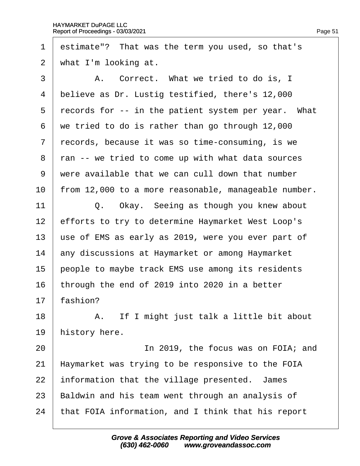1 destimate"? That was the term you used, so that's 2 what I'm looking at. 3 | A. Correct. What we tried to do is, I 4 believe as Dr. Lustig testified, there's 12,000 5 records for -- in the patient system per year. What ·6· ·we tried to do is rather than go through 12,000 7 records, because it was so time-consuming, is we ·8· ·ran -- we tried to come up with what data sources ·9· ·were available that we can cull down that number 10 from 12,000 to a more reasonable, manageable number. 11  $\vert$  Q. Okay. Seeing as though you knew about 12 efforts to try to determine Haymarket West Loop's 13 use of EMS as early as 2019, were you ever part of 14 any discussions at Haymarket or among Haymarket 15 people to maybe track EMS use among its residents 16 through the end of 2019 into 2020 in a better 17 fashion? 18 | A. If I might just talk a little bit about 19 history here. 20 **IDED** 10 2019, the focus was on FOIA; and 21 Haymarket was trying to be responsive to the FOIA 22 information that the village presented. James 23 Baldwin and his team went through an analysis of 24 that FOIA information, and I think that his report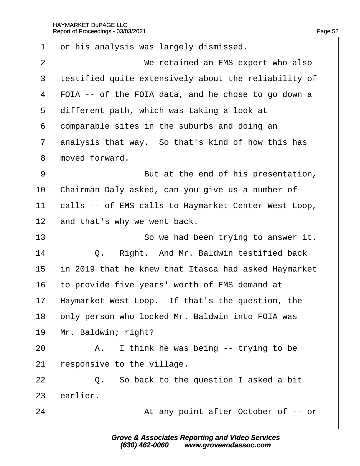| 1              | or his analysis was largely dismissed.               |
|----------------|------------------------------------------------------|
| 2              | We retained an EMS expert who also                   |
| 3              | testified quite extensively about the reliability of |
| $\overline{4}$ | FOIA -- of the FOIA data, and he chose to go down a  |
| 5              | different path, which was taking a look at           |
| 6              | domparable sites in the suburbs and doing an         |
| $\overline{7}$ | analysis that way. So that's kind of how this has    |
| 8              | moved forward.                                       |
| 9              | But at the end of his presentation,                  |
| 10             | Chairman Daly asked, can you give us a number of     |
| 11             | calls -- of EMS calls to Haymarket Center West Loop, |
| 12             | and that's why we went back.                         |
| 13             | So we had been trying to answer it.                  |
| 14             | Right. And Mr. Baldwin testified back<br>Q.          |
| 15             | in 2019 that he knew that Itasca had asked Haymarket |
| 16             | to provide five years' worth of EMS demand at        |
| 17             | Haymarket West Loop. If that's the question, the     |
| 18             | only person who locked Mr. Baldwin into FOIA was     |
| 19             | Mr. Baldwin; right?                                  |
| 20             | A. I think he was being -- trying to be              |
| 21             | esponsive to the village.                            |
| 22             | Q. So back to the question I asked a bit             |
| 23             | earlier.                                             |
| 24             | At any point after October of -- or                  |
|                |                                                      |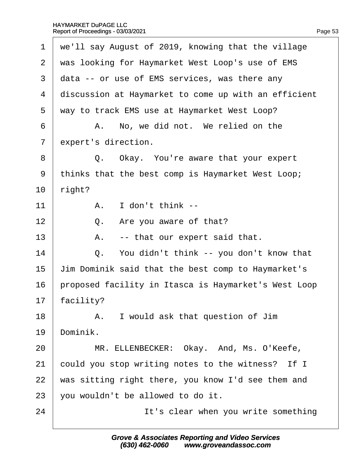| we'll say August of 2019, knowing that the village   |
|------------------------------------------------------|
| was looking for Haymarket West Loop's use of EMS     |
| data -- or use of EMS services, was there any        |
| discussion at Haymarket to come up with an efficient |
| way to track EMS use at Haymarket West Loop?         |
| A. No, we did not. We relied on the                  |
| expert's direction.                                  |
| Q. Okay. You're aware that your expert               |
| thinks that the best comp is Haymarket West Loop;    |
| right?                                               |
| A. I don't think --                                  |
| Q. Are you aware of that?                            |
| -- that our expert said that.<br>А.                  |
| Q. You didn't think -- you don't know that           |
| Jim Dominik said that the best comp to Haymarket's   |
| proposed facility in Itasca is Haymarket's West Loop |
| facility?                                            |
| A. I would ask that question of Jim                  |
| Dominik.                                             |
| MR. ELLENBECKER: Okay. And, Ms. O'Keefe,             |
| could you stop writing notes to the witness? If I    |
| was sitting right there, you know I'd see them and   |
| you wouldn't be allowed to do it.                    |
| It's clear when you write something                  |
|                                                      |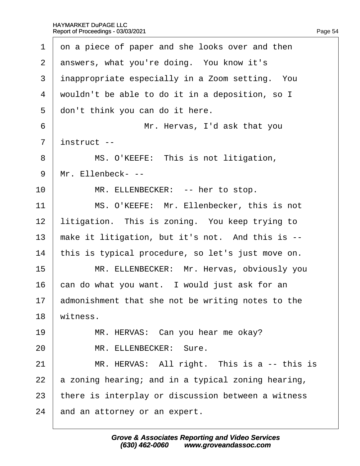| $\mathbf 1$    | on a piece of paper and she looks over and then    |
|----------------|----------------------------------------------------|
| $\mathbf{2}$   | answers, what you're doing. You know it's          |
| 3              | inappropriate especially in a Zoom setting. You    |
| 4              | wouldn't be able to do it in a deposition, so I    |
| 5              | don't think you can do it here.                    |
| 6              | Mr. Hervas, I'd ask that you                       |
| $\overline{7}$ | instruct --                                        |
| 8              | MS. O'KEEFE: This is not litigation,               |
| 9              | Mr. Ellenbeck---                                   |
| 10             | MR. ELLENBECKER: -- her to stop.                   |
| 11             | MS. O'KEEFE: Mr. Ellenbecker, this is not          |
| 12             | litigation. This is zoning. You keep trying to     |
| 13             | make it litigation, but it's not. And this is --   |
| 14             | this is typical procedure, so let's just move on.  |
| 15             | MR. ELLENBECKER: Mr. Hervas, obviously you         |
| 16             | can do what you want. I would just ask for an      |
| 17             | admonishment that she not be writing notes to the  |
| 18             | witness.                                           |
| 19             | MR. HERVAS: Can you hear me okay?                  |
| 20             | MR. ELLENBECKER: Sure.                             |
| 21             | MR. HERVAS: All right. This is a -- this is        |
| 22             | a zoning hearing; and in a typical zoning hearing, |
| 23             | there is interplay or discussion between a witness |
| 24             | and an attorney or an expert.                      |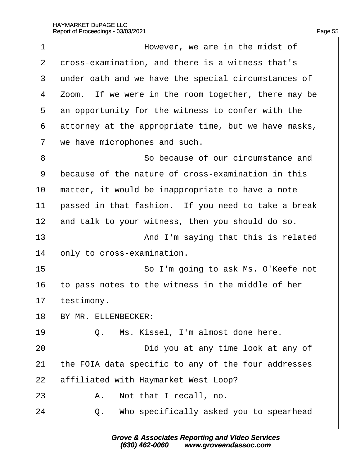| 1              | However, we are in the midst of                      |
|----------------|------------------------------------------------------|
| 2              | dross-examination, and there is a witness that's     |
| 3              | under oath and we have the special circumstances of  |
| 4              | Zoom. If we were in the room together, there may be  |
| 5              | an opportunity for the witness to confer with the    |
| 6              | attorney at the appropriate time, but we have masks, |
| $\overline{7}$ | we have microphones and such.                        |
| 8              | So because of our circumstance and                   |
| 9              | because of the nature of cross-examination in this   |
| 10             | matter, it would be inappropriate to have a note     |
| 11             | passed in that fashion. If you need to take a break  |
| 12             | and talk to your witness, then you should do so.     |
| 13             | And I'm saying that this is related                  |
| 14             | only to cross-examination.                           |
| 15             | So I'm going to ask Ms. O'Keefe not                  |
| 16             | to pass notes to the witness in the middle of her    |
| 17             | testimony.                                           |
| 18             | BY MR. ELLENBECKER:                                  |
| 19             | Ms. Kissel, I'm almost done here.<br>Q.              |
| 20             | Did you at any time look at any of                   |
| 21             | the FOIA data specific to any of the four addresses  |
| 22             | affiliated with Haymarket West Loop?                 |
| 23             | A. Not that I recall, no.                            |
| 24             | Who specifically asked you to spearhead<br>Q.        |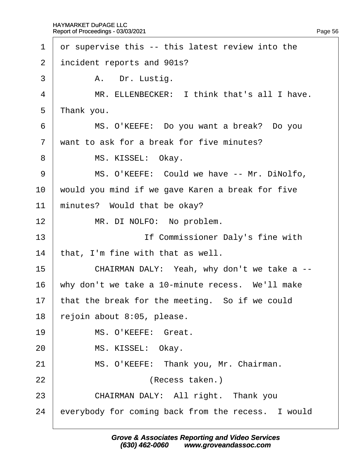| $\mathbf 1$    | or supervise this -- this latest review into the   |
|----------------|----------------------------------------------------|
| 2              | incident reports and 901s?                         |
| 3              | A. Dr. Lustig.                                     |
| 4              | MR. ELLENBECKER: I think that's all I have.        |
| 5              | Thank you.                                         |
| 6              | MS. O'KEEFE: Do you want a break? Do you           |
| $\overline{7}$ | want to ask for a break for five minutes?          |
| 8              | MS. KISSEL: Okay.                                  |
| 9              | MS. O'KEEFE: Could we have -- Mr. DiNolfo,         |
| 10             | would you mind if we gave Karen a break for five   |
| 11             | minutes? Would that be okay?                       |
| 12             | MR. DI NOLFO: No problem.                          |
| 13             | If Commissioner Daly's fine with                   |
| 14             | that, I'm fine with that as well.                  |
| 15             | CHAIRMAN DALY: Yeah, why don't we take a --        |
| 16             | why don't we take a 10-minute recess. We'll make   |
| 17             | that the break for the meeting. So if we could     |
| 18             | ∤ejoin about 8:05, please.                         |
| 19             | MS. O'KEEFE: Great.                                |
| 20             | MS. KISSEL: Okay.                                  |
| 21             | MS. O'KEEFE: Thank you, Mr. Chairman.              |
| 22             | (Recess taken.)                                    |
| 23             | CHAIRMAN DALY: All right. Thank you                |
| 24             | everybody for coming back from the recess. I would |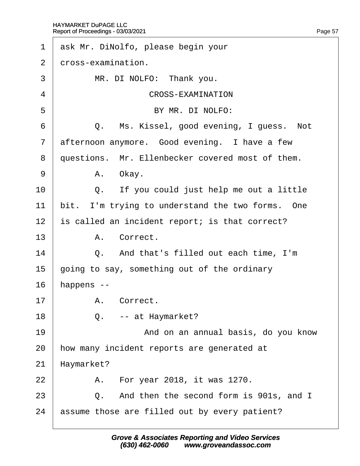| 1              | ask Mr. DiNolfo, please begin your               |
|----------------|--------------------------------------------------|
| $\overline{2}$ | dross-examination.                               |
| 3              | MR. DI NOLFO: Thank you.                         |
| 4              | <b>CROSS-EXAMINATION</b>                         |
| 5              | BY MR. DI NOLFO:                                 |
| 6              | Q. Ms. Kissel, good evening, I guess. Not        |
| $\overline{7}$ | afternoon anymore. Good evening. I have a few    |
| 8              | questions. Mr. Ellenbecker covered most of them. |
| 9              | A. Okay.                                         |
| 10             | Q. If you could just help me out a little        |
| 11             | bit. I'm trying to understand the two forms. One |
| 12             | is called an incident report; is that correct?   |
| 13             | A. Correct.                                      |
| 14             | Q. And that's filled out each time, I'm          |
| 15             | going to say, something out of the ordinary      |
| 16             | happens --                                       |
| 17             | A. Correct.                                      |
| 18             | Q. -- at Haymarket?                              |
| 19             | And on an annual basis, do you know              |
| 20             | how many incident reports are generated at       |
| 21             | Haymarket?                                       |
| 22             | A. For year 2018, it was 1270.                   |
| 23             | Q. And then the second form is 901s, and I       |
| 24             | assume those are filled out by every patient?    |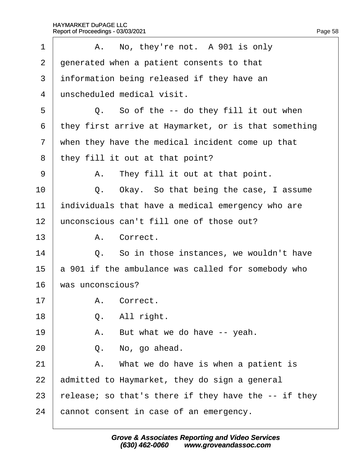| 1              | A. No, they're not. A 901 is only                    |
|----------------|------------------------------------------------------|
| 2              | generated when a patient consents to that            |
| 3              | information being released if they have an           |
| $\overline{4}$ | unscheduled medical visit.                           |
| 5              | Q. So of the -- do they fill it out when             |
| 6              | they first arrive at Haymarket, or is that something |
| $\overline{7}$ | when they have the medical incident come up that     |
| 8              | they fill it out at that point?                      |
| 9              | A. They fill it out at that point.                   |
| 10             | Q. Okay. So that being the case, I assume            |
| 11             | individuals that have a medical emergency who are    |
| 12             | unconscious can't fill one of those out?             |
| 13             | A. Correct.                                          |
| 14             | Q. So in those instances, we wouldn't have           |
| 15             | a 901 if the ambulance was called for somebody who   |
| 16             | was unconscious?                                     |
| 17             | A. Correct.                                          |
| 18             | Q. All right.                                        |
| 19             | But what we do have -- yeah.<br>А.                   |
| 20             | No, go ahead.<br>Q.                                  |
| 21             | A. What we do have is when a patient is              |
| 22             | admitted to Haymarket, they do sign a general        |
| 23             | felease; so that's there if they have the -- if they |
| 24             | cannot consent in case of an emergency.              |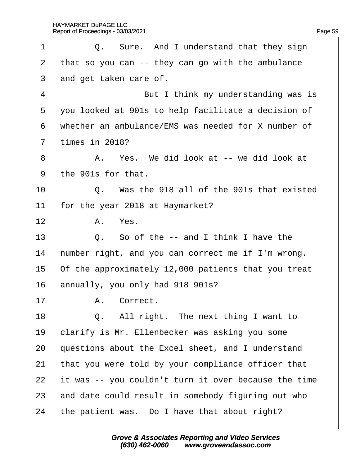| 1              | Q. Sure. And I understand that they sign             |
|----------------|------------------------------------------------------|
| $\overline{2}$ | that so you can -- they can go with the ambulance    |
| 3              | and get taken care of.                               |
| 4              | But I think my understanding was is                  |
| 5              | you looked at 901s to help facilitate a decision of  |
| 6              | whether an ambulance/EMS was needed for X number of  |
| $\overline{7}$ | times in 2018?                                       |
| 8              | A. Yes. We did look at -- we did look at             |
| 9              | the 901s for that.                                   |
| 10             | Q. Was the 918 all of the 901s that existed          |
| 11             | for the year 2018 at Haymarket?                      |
| 12             | A. Yes.                                              |
| 13             | Q. So of the -- and I think I have the               |
| 14             | humber right, and you can correct me if I'm wrong.   |
| 15             | Of the approximately 12,000 patients that you treat  |
| 16             | annually, you only had 918 901s?                     |
| 17             | A. Correct.                                          |
| 18             | Q. All right. The next thing I want to               |
| 19             | clarify is Mr. Ellenbecker was asking you some       |
| 20             | questions about the Excel sheet, and I understand    |
| 21             | that you were told by your compliance officer that   |
| 22             | it was -- you couldn't turn it over because the time |
| 23             | and date could result in somebody figuring out who   |
| 24             | the patient was. Do I have that about right?         |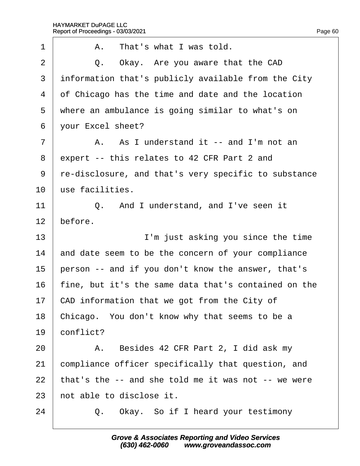| 1              | A. That's what I was told.                           |
|----------------|------------------------------------------------------|
| $\overline{2}$ | Q. Okay. Are you aware that the CAD                  |
| 3              | information that's publicly available from the City  |
| 4              | of Chicago has the time and date and the location    |
| 5              | where an ambulance is going similar to what's on     |
| 6              | your Excel sheet?                                    |
| 7              | A. As I understand it -- and I'm not an              |
| 8              | expert -- this relates to 42 CFR Part 2 and          |
| 9              | re-disclosure, and that's very specific to substance |
| 10             | use facilities.                                      |
| 11             | Q. And I understand, and I've seen it                |
| 12             | before.                                              |
| 13             | I'm just asking you since the time                   |
| 14             | and date seem to be the concern of your compliance   |
| 15             | person -- and if you don't know the answer, that's   |
| 16             | fine, but it's the same data that's contained on the |
| 17             | CAD information that we got from the City of         |
| 18             | Chicago. You don't know why that seems to be a       |
| 19             | conflict?                                            |
| 20             | A. Besides 42 CFR Part 2, I did ask my               |
| 21             | compliance officer specifically that question, and   |
| 22             | that's the -- and she told me it was not -- we were  |
| 23             | hot able to disclose it.                             |
| 24             | Q. Okay. So if I heard your testimony                |
|                |                                                      |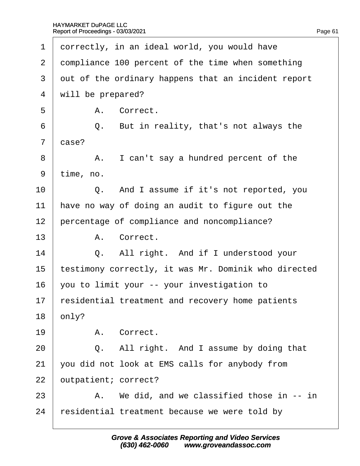| 1              | dorrectly, in an ideal world, you would have         |
|----------------|------------------------------------------------------|
| $\overline{2}$ | dompliance 100 percent of the time when something    |
| 3              | out of the ordinary happens that an incident report  |
| 4              | will be prepared?                                    |
| 5              | A. Correct.                                          |
| 6              | Q. But in reality, that's not always the             |
| $\overline{7}$ | dase?                                                |
| 8              | A. I can't say a hundred percent of the              |
| 9              | time, no.                                            |
| 10             | Q. And I assume if it's not reported, you            |
| 11             | have no way of doing an audit to figure out the      |
| 12             | percentage of compliance and noncompliance?          |
| 13             | A. Correct.                                          |
| 14             | Q. All right. And if I understood your               |
| 15             | testimony correctly, it was Mr. Dominik who directed |
| 16             | you to limit your -- your investigation to           |
| 17             | residential treatment and recovery home patients     |
| 18             | only?                                                |
| 19             | A. Correct.                                          |
| 20             | Q. All right. And I assume by doing that             |
| 21             | you did not look at EMS calls for anybody from       |
| 22             | outpatient; correct?                                 |
| 23             | A. We did, and we classified those in -- in          |
| 24             | residential treatment because we were told by        |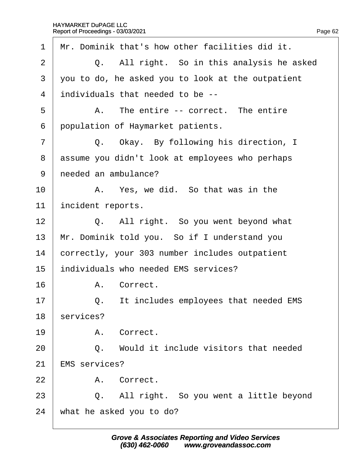| 1              | Mr. Dominik that's how other facilities did it.   |
|----------------|---------------------------------------------------|
| 2              | Q. All right. So in this analysis he asked        |
| 3              | you to do, he asked you to look at the outpatient |
| $\overline{4}$ | individuals that needed to be --                  |
| 5              | A. The entire -- correct. The entire              |
| 6              | population of Haymarket patients.                 |
| $\overline{7}$ | Q. Okay. By following his direction, I            |
| 8              | assume you didn't look at employees who perhaps   |
| 9              | needed an ambulance?                              |
| 10             | A. Yes, we did. So that was in the                |
| 11             | incident reports.                                 |
| 12             | Q. All right. So you went beyond what             |
| 13             | Mr. Dominik told you. So if I understand you      |
| 14             | correctly, your 303 number includes outpatient    |
| 15             | individuals who needed EMS services?              |
| 16             | A. Correct.                                       |
| 17             | Q. It includes employees that needed EMS          |
| 18             | services?                                         |
| 19             | A. Correct.                                       |
| 20             | Q. Would it include visitors that needed          |
| 21             | <b>EMS</b> services?                              |
| 22             | A. Correct.                                       |
| 23             | Q. All right. So you went a little beyond         |
| 24             | what he asked you to do?                          |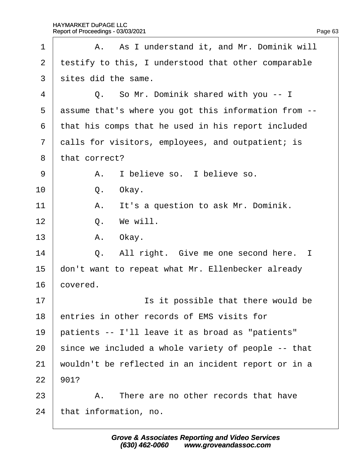| 1              | A. As I understand it, and Mr. Dominik will          |
|----------------|------------------------------------------------------|
| 2              | testify to this, I understood that other comparable  |
| 3              | sites did the same.                                  |
| 4              | Q. So Mr. Dominik shared with you -- I               |
| 5              | assume that's where you got this information from -- |
| 6              | that his comps that he used in his report included   |
| $\overline{7}$ | dalls for visitors, employees, and outpatient; is    |
| 8              | that correct?                                        |
| 9              | A. I believe so. I believe so.                       |
| 10             | Q.<br>Okay.                                          |
| 11             | It's a question to ask Mr. Dominik.<br>А.            |
| 12             | Q. We will.                                          |
| 13             | A. Okay.                                             |
| 14             | Q. All right. Give me one second here. I             |
| 15             | don't want to repeat what Mr. Ellenbecker already    |
| 16             | covered.                                             |
| 17             | Is it possible that there would be                   |
| 18             | entries in other records of EMS visits for           |
| 19             | patients -- I'll leave it as broad as "patients"     |
| 20             | since we included a whole variety of people -- that  |
| 21             | wouldn't be reflected in an incident report or in a  |
| 22             | 901?                                                 |
| 23             | A. There are no other records that have              |
| 24             | that information, no.                                |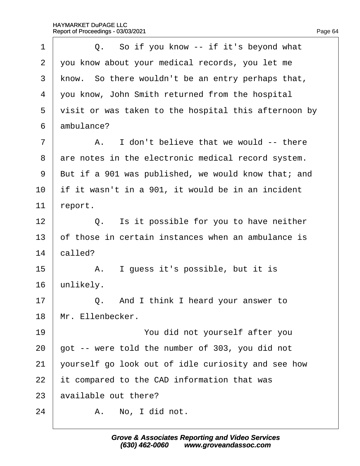| 1              | Q. So if you know -- if it's beyond what             |
|----------------|------------------------------------------------------|
| $\overline{2}$ | you know about your medical records, you let me      |
| 3              | know. So there wouldn't be an entry perhaps that,    |
| 4              | you know, John Smith returned from the hospital      |
| 5              | visit or was taken to the hospital this afternoon by |
| 6              | ambulance?                                           |
| 7              | A. I don't believe that we would -- there            |
| 8              | are notes in the electronic medical record system.   |
| 9              | But if a 901 was published, we would know that; and  |
| 10             | if it wasn't in a 901, it would be in an incident    |
| 11             | report.                                              |
| 12             | Q. Is it possible for you to have neither            |
| 13             | of those in certain instances when an ambulance is   |
| 14             | called?                                              |
| 15             | A. I guess it's possible, but it is                  |
| 16             | unlikely.                                            |
| 17             | Q. And I think I heard your answer to                |
| 18             | Mr. Ellenbecker.                                     |
| 19             | You did not yourself after you                       |
| 20             | got -- were told the number of 303, you did not      |
| 21             | yourself go look out of idle curiosity and see how   |
| 22             | it compared to the CAD information that was          |
| 23             | available out there?                                 |
| 24             | A. No, I did not.                                    |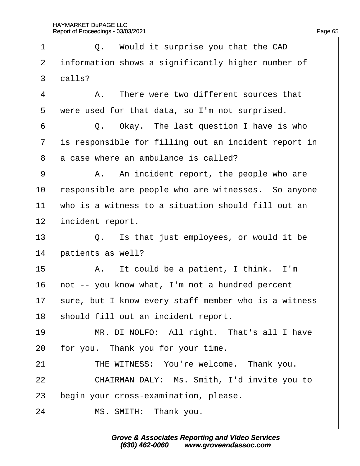| 1              | Q. Would it surprise you that the CAD                |  |  |  |
|----------------|------------------------------------------------------|--|--|--|
| $\overline{2}$ | information shows a significantly higher number of   |  |  |  |
| 3              | dalls?                                               |  |  |  |
| 4              | A. There were two different sources that             |  |  |  |
| 5              | were used for that data, so I'm not surprised.       |  |  |  |
| 6              | Q. Okay. The last question I have is who             |  |  |  |
| $\overline{7}$ | is responsible for filling out an incident report in |  |  |  |
| 8              | a case where an ambulance is called?                 |  |  |  |
| 9              | A. An incident report, the people who are            |  |  |  |
| 10             | responsible are people who are witnesses. So anyone  |  |  |  |
| 11             | who is a witness to a situation should fill out an   |  |  |  |
| 12             | incident report.                                     |  |  |  |
| 13             | Q. Is that just employees, or would it be            |  |  |  |
| 14             | patients as well?                                    |  |  |  |
| 15             | A. It could be a patient, I think. I'm               |  |  |  |
| 16             | hot -- you know what, I'm not a hundred percent      |  |  |  |
| 17             | sure, but I know every staff member who is a witness |  |  |  |
| 18             | should fill out an incident report.                  |  |  |  |
| 19             | MR. DI NOLFO: All right. That's all I have           |  |  |  |
| 20             | for you. Thank you for your time.                    |  |  |  |
| 21             | THE WITNESS: You're welcome. Thank you.              |  |  |  |
| 22             | CHAIRMAN DALY: Ms. Smith, I'd invite you to          |  |  |  |
| 23             | begin your cross-examination, please.                |  |  |  |
| 24             | MS. SMITH: Thank you.                                |  |  |  |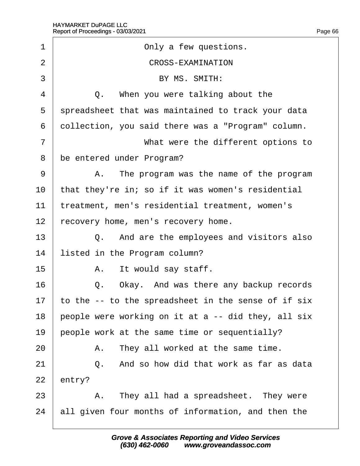| 1              | Only a few questions.                               |  |  |
|----------------|-----------------------------------------------------|--|--|
| $\overline{2}$ | <b>CROSS-EXAMINATION</b>                            |  |  |
| 3              | BY MS. SMITH:                                       |  |  |
| 4              | Q. When you were talking about the                  |  |  |
| 5              | spreadsheet that was maintained to track your data  |  |  |
| 6              | dollection, you said there was a "Program" column.  |  |  |
| $\overline{7}$ | What were the different options to                  |  |  |
| 8              | be entered under Program?                           |  |  |
| 9              | A. The program was the name of the program          |  |  |
| 10             | that they're in; so if it was women's residential   |  |  |
| 11             | treatment, men's residential treatment, women's     |  |  |
| 12             | recovery home, men's recovery home.                 |  |  |
| 13             | Q. And are the employees and visitors also          |  |  |
| 14             | listed in the Program column?                       |  |  |
| 15             | A. It would say staff.                              |  |  |
| 16             | Q. Okay. And was there any backup records           |  |  |
| 17             | to the -- to the spreadsheet in the sense of if six |  |  |
| 18             | people were working on it at a -- did they, all six |  |  |
| 19             | people work at the same time or sequentially?       |  |  |
| 20             | A. They all worked at the same time.                |  |  |
| 21             | And so how did that work as far as data<br>Q.       |  |  |
| 22             | entry?                                              |  |  |
| 23             | A. They all had a spreadsheet. They were            |  |  |
| 24             | all given four months of information, and then the  |  |  |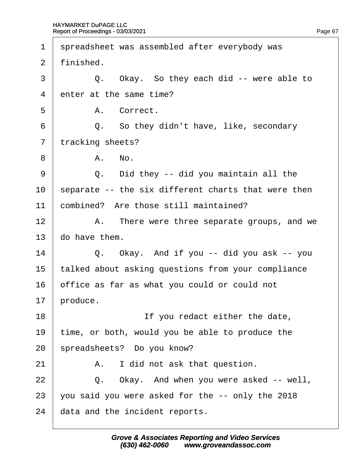| 1              | spreadsheet was assembled after everybody was       |  |  |  |
|----------------|-----------------------------------------------------|--|--|--|
| 2              | finished.                                           |  |  |  |
| 3              | Q. Okay. So they each did -- were able to           |  |  |  |
| $\overline{4}$ | enter at the same time?                             |  |  |  |
| 5              | A. Correct.                                         |  |  |  |
| 6              | Q. So they didn't have, like, secondary             |  |  |  |
| $\overline{7}$ | tracking sheets?                                    |  |  |  |
| 8              | A. No.                                              |  |  |  |
| 9              | Q. Did they -- did you maintain all the             |  |  |  |
| 10             | separate -- the six different charts that were then |  |  |  |
| 11             | combined? Are those still maintained?               |  |  |  |
| 12             | A. There were three separate groups, and we         |  |  |  |
| 13             | do have them.                                       |  |  |  |
| 14             | Q. Okay. And if you -- did you ask -- you           |  |  |  |
| 15             | talked about asking questions from your compliance  |  |  |  |
| 16             | office as far as what you could or could not        |  |  |  |
| 17             | produce.                                            |  |  |  |
| 18             | If you redact either the date,                      |  |  |  |
| 19             | time, or both, would you be able to produce the     |  |  |  |
| 20             | spreadsheets? Do you know?                          |  |  |  |
| 21             | I did not ask that question.<br>А.                  |  |  |  |
| 22             | Okay. And when you were asked -- well,<br>Q.        |  |  |  |
| 23             | you said you were asked for the -- only the 2018    |  |  |  |
| 24             | data and the incident reports.                      |  |  |  |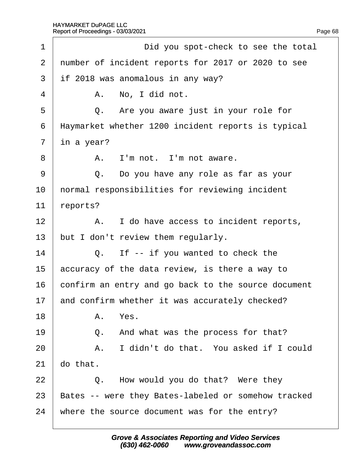| 1              | Did you spot-check to see the total                 |  |  |  |
|----------------|-----------------------------------------------------|--|--|--|
| $\overline{2}$ | number of incident reports for 2017 or 2020 to see  |  |  |  |
| 3              | if 2018 was anomalous in any way?                   |  |  |  |
| 4              | A. No, I did not.                                   |  |  |  |
| 5              | Q. Are you aware just in your role for              |  |  |  |
| 6              | Haymarket whether 1200 incident reports is typical  |  |  |  |
| $\overline{7}$ | in a year?                                          |  |  |  |
| 8              | A. I'm not. I'm not aware.                          |  |  |  |
| 9              | Q. Do you have any role as far as your              |  |  |  |
| 10             | hormal responsibilities for reviewing incident      |  |  |  |
| 11             | /reports?                                           |  |  |  |
| 12             | A. I do have access to incident reports,            |  |  |  |
| 13             | but I don't review them regularly.                  |  |  |  |
| 14             | Q. If -- if you wanted to check the                 |  |  |  |
| 15             | accuracy of the data review, is there a way to      |  |  |  |
| 16             | confirm an entry and go back to the source document |  |  |  |
| 17             | and confirm whether it was accurately checked?      |  |  |  |
| 18             | A. Yes.                                             |  |  |  |
| 19             | Q. And what was the process for that?               |  |  |  |
| 20             | A. I didn't do that. You asked if I could           |  |  |  |
| 21             | do that.                                            |  |  |  |
| 22             | Q. How would you do that? Were they                 |  |  |  |
| 23             | Bates -- were they Bates-labeled or somehow tracked |  |  |  |
| 24             | where the source document was for the entry?        |  |  |  |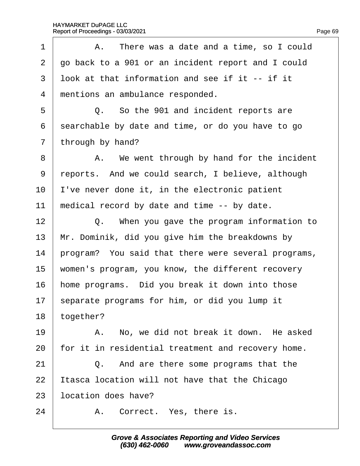| A. There was a date and a time, so I could          |  |  |  |
|-----------------------------------------------------|--|--|--|
| go back to a 901 or an incident report and I could  |  |  |  |
| Ibok at that information and see if it -- if it     |  |  |  |
| mentions an ambulance responded.                    |  |  |  |
| Q. So the 901 and incident reports are              |  |  |  |
| searchable by date and time, or do you have to go   |  |  |  |
| through by hand?                                    |  |  |  |
| A. We went through by hand for the incident         |  |  |  |
| reports. And we could search, I believe, although   |  |  |  |
| I've never done it, in the electronic patient       |  |  |  |
| medical record by date and time -- by date.         |  |  |  |
| Q. When you gave the program information to         |  |  |  |
| Mr. Dominik, did you give him the breakdowns by     |  |  |  |
| program? You said that there were several programs, |  |  |  |
| women's program, you know, the different recovery   |  |  |  |
| home programs. Did you break it down into those     |  |  |  |
| separate programs for him, or did you lump it       |  |  |  |
| together?                                           |  |  |  |
| A. No, we did not break it down. He asked           |  |  |  |
| for it in residential treatment and recovery home.  |  |  |  |
| Q. And are there some programs that the             |  |  |  |
| Itasca location will not have that the Chicago      |  |  |  |
| location does have?                                 |  |  |  |
| A. Correct. Yes, there is.                          |  |  |  |
|                                                     |  |  |  |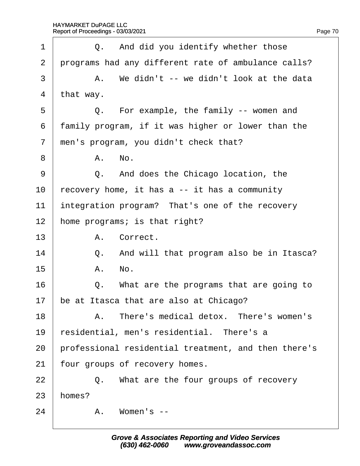|                                                     | Q. And did you identify whether those                |  |  |  |
|-----------------------------------------------------|------------------------------------------------------|--|--|--|
| programs had any different rate of ambulance calls? |                                                      |  |  |  |
|                                                     | A. We didn't -- we didn't look at the data           |  |  |  |
| that way.                                           |                                                      |  |  |  |
|                                                     | Q. For example, the family -- women and              |  |  |  |
| family program, if it was higher or lower than the  |                                                      |  |  |  |
| men's program, you didn't check that?               |                                                      |  |  |  |
|                                                     | A. No.                                               |  |  |  |
|                                                     | Q. And does the Chicago location, the                |  |  |  |
|                                                     | recovery home, it has a -- it has a community        |  |  |  |
|                                                     | integration program? That's one of the recovery      |  |  |  |
| home programs; is that right?                       |                                                      |  |  |  |
|                                                     | A. Correct.                                          |  |  |  |
|                                                     | Q. And will that program also be in Itasca?          |  |  |  |
|                                                     | A. No.                                               |  |  |  |
|                                                     | Q. What are the programs that are going to           |  |  |  |
| be at Itasca that are also at Chicago?              |                                                      |  |  |  |
|                                                     | A. There's medical detox. There's women's            |  |  |  |
| residential, men's residential. There's a           |                                                      |  |  |  |
|                                                     | professional residential treatment, and then there's |  |  |  |
|                                                     | four groups of recovery homes.                       |  |  |  |
|                                                     | Q. What are the four groups of recovery              |  |  |  |
|                                                     |                                                      |  |  |  |
|                                                     | A. Women's --                                        |  |  |  |
|                                                     | homes?                                               |  |  |  |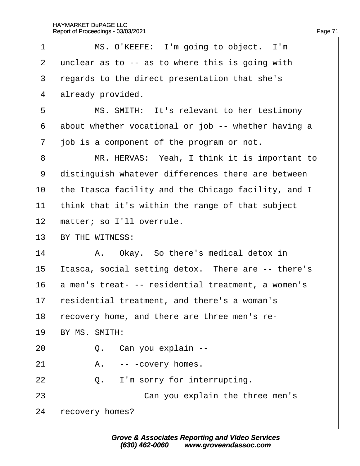| 1              | MS. O'KEEFE: I'm going to object. I'm               |  |  |  |
|----------------|-----------------------------------------------------|--|--|--|
| 2              | unclear as to -- as to where this is going with     |  |  |  |
| 3              | regards to the direct presentation that she's       |  |  |  |
| $\overline{4}$ | already provided.                                   |  |  |  |
| 5              | MS. SMITH: It's relevant to her testimony           |  |  |  |
| 6              | about whether vocational or job -- whether having a |  |  |  |
| $\overline{7}$ | job is a component of the program or not.           |  |  |  |
| 8              | MR. HERVAS: Yeah, I think it is important to        |  |  |  |
| 9              | distinguish whatever differences there are between  |  |  |  |
| 10             | the Itasca facility and the Chicago facility, and I |  |  |  |
| 11             | think that it's within the range of that subject    |  |  |  |
| 12             | matter; so I'll overrule.                           |  |  |  |
| 13             | BY THE WITNESS:                                     |  |  |  |
| 14             | A. Okay. So there's medical detox in                |  |  |  |
| 15             | Itasca, social setting detox. There are -- there's  |  |  |  |
| 16             | a men's treat- -- residential treatment, a women's  |  |  |  |
| 17             | residential treatment, and there's a woman's        |  |  |  |
| 18             | recovery home, and there are three men's re-        |  |  |  |
| 19             | BY MS. SMITH:                                       |  |  |  |
| 20             | Q. Can you explain --                               |  |  |  |
| 21             | A. -- - covery homes.                               |  |  |  |
| 22             | I'm sorry for interrupting.<br>Q.                   |  |  |  |
| 23             | Can you explain the three men's                     |  |  |  |
| 24             | recovery homes?                                     |  |  |  |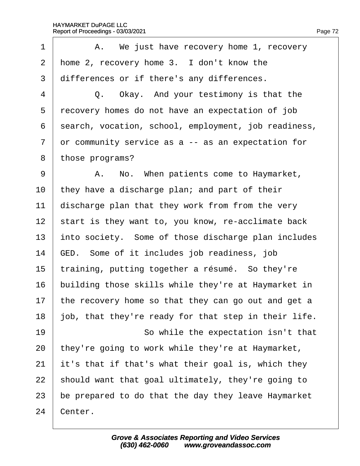| 1  | A. We just have recovery home 1, recovery            |
|----|------------------------------------------------------|
| 2  | home 2, recovery home 3. I don't know the            |
| 3  | differences or if there's any differences.           |
| 4  | Q. Okay. And your testimony is that the              |
| 5  | recovery homes do not have an expectation of job     |
| 6  | search, vocation, school, employment, job readiness, |
| 7  | or community service as a -- as an expectation for   |
| 8  | those programs?                                      |
| 9  | A. No. When patients come to Haymarket,              |
| 10 | they have a discharge plan; and part of their        |
| 11 | discharge plan that they work from from the very     |
| 12 | start is they want to, you know, re-acclimate back   |
| 13 | into society. Some of those discharge plan includes  |
| 14 | GED. Some of it includes job readiness, job          |
| 15 | training, putting together a résumé. So they're      |
| 16 | building those skills while they're at Haymarket in  |
| 17 | the recovery home so that they can go out and get a  |
| 18 | ob, that they're ready for that step in their life.  |
| 19 | So while the expectation isn't that                  |
| 20 | they're going to work while they're at Haymarket,    |
| 21 | it's that if that's what their goal is, which they   |
| 22 | should want that goal ultimately, they're going to   |
| 23 | be prepared to do that the day they leave Haymarket  |
| 24 | Center.                                              |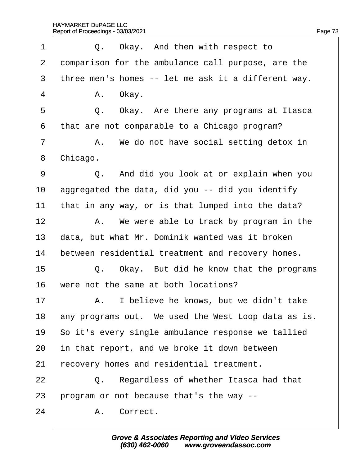| 1              | Q. Okay. And then with respect to                   |
|----------------|-----------------------------------------------------|
| $\overline{2}$ | domparison for the ambulance call purpose, are the  |
| 3              | three men's homes -- let me ask it a different way. |
| 4              | A. Okay.                                            |
| 5              | Okay. Are there any programs at Itasca<br>Q.        |
| 6              | that are not comparable to a Chicago program?       |
| 7              | A. We do not have social setting detox in           |
| 8              | Chicago.                                            |
| 9              | Q. And did you look at or explain when you          |
| 10             | aggregated the data, did you -- did you identify    |
| 11             | that in any way, or is that lumped into the data?   |
| 12             | A. We were able to track by program in the          |
| 13             | data, but what Mr. Dominik wanted was it broken     |
| 14             | between residential treatment and recovery homes.   |
| 15             | Q. Okay. But did he know that the programs          |
| 16             | were not the same at both locations?                |
| 17             | A. I believe he knows, but we didn't take           |
| 18             | any programs out. We used the West Loop data as is. |
| 19             | So it's every single ambulance response we tallied  |
| 20             | in that report, and we broke it down between        |
| 21             | recovery homes and residential treatment.           |
| 22             | Q. Regardless of whether Itasca had that            |
| 23             | program or not because that's the way --            |
| 24             | A. Correct.                                         |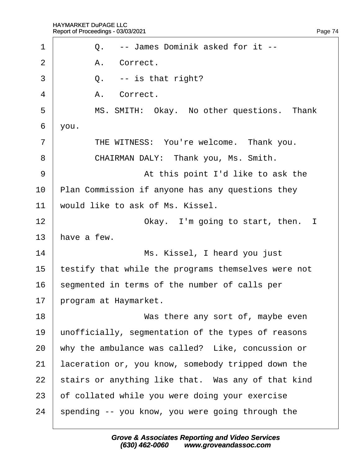| 1              | Q. -- James Dominik asked for it --                 |
|----------------|-----------------------------------------------------|
| $\overline{2}$ | A. Correct.                                         |
| 3              | Q. -- is that right?                                |
| 4              | A. Correct.                                         |
| 5              | MS. SMITH: Okay. No other questions. Thank          |
| 6              | you.                                                |
| $\overline{7}$ | THE WITNESS: You're welcome. Thank you.             |
| 8              | CHAIRMAN DALY: Thank you, Ms. Smith.                |
| 9              | At this point I'd like to ask the                   |
| 10             | Plan Commission if anyone has any questions they    |
| 11             | would like to ask of Ms. Kissel.                    |
| 12             | Okay. I'm going to start, then. I                   |
| 13             | have a few.                                         |
| 14             | Ms. Kissel, I heard you just                        |
| 15             | testify that while the programs themselves were not |
| 16             | segmented in terms of the number of calls per       |
| 17             | program at Haymarket.                               |
| 18             | Was there any sort of, maybe even                   |
| 19             | unofficially, segmentation of the types of reasons  |
| 20             | why the ambulance was called? Like, concussion or   |
| 21             | aceration or, you know, somebody tripped down the   |
| 22             | stairs or anything like that. Was any of that kind  |
| 23             | of collated while you were doing your exercise      |
| 24             | spending -- you know, you were going through the    |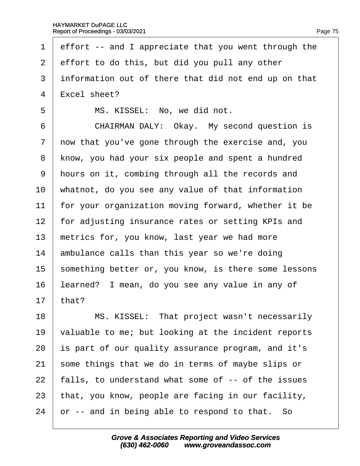| 1              | effort -- and I appreciate that you went through the |
|----------------|------------------------------------------------------|
| $\overline{2}$ | effort to do this, but did you pull any other        |
| 3              | information out of there that did not end up on that |
| $\overline{4}$ | Excel sheet?                                         |
| 5              | MS. KISSEL: No, we did not.                          |
| 6              | CHAIRMAN DALY: Okay. My second question is           |
| 7              | now that you've gone through the exercise and, you   |
| 8              | know, you had your six people and spent a hundred    |
| 9              | hours on it, combing through all the records and     |
| 10             | whatnot, do you see any value of that information    |
| 11             | for your organization moving forward, whether it be  |
| 12             | for adjusting insurance rates or setting KPIs and    |
| 13             | metrics for, you know, last year we had more         |
| 14             | ambulance calls than this year so we're doing        |
| 15             | something better or, you know, is there some lessons |
| 16             | learned? I mean, do you see any value in any of      |
| 17             | that?                                                |
| 18             | MS. KISSEL: That project wasn't necessarily          |
| 19             | valuable to me; but looking at the incident reports  |
| 20             | s part of our quality assurance program, and it's    |
| 21             | some things that we do in terms of maybe slips or    |
| 22             | falls, to understand what some of -- of the issues   |
| 23             | that, you know, people are facing in our facility,   |
| 24             | or -- and in being able to respond to that. So       |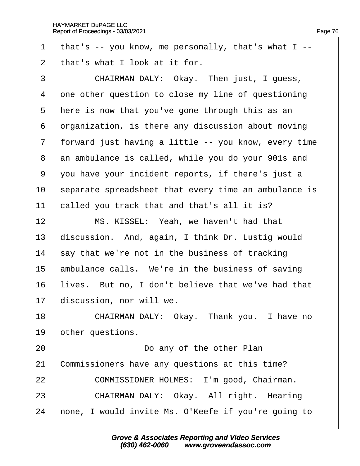·1· ·that's -- you know, me personally, that's what I -- 2 that's what I look at it for. 3 | CHAIRMAN DALY: Okay. Then just, I guess, 4 one other question to close my line of questioning 5 Here is now that you've gone through this as an 6 drganization, is there any discussion about moving 7 forward just having a little -- you know, every time 8 an ambulance is called, while you do your 901s and ·9· ·you have your incident reports, if there's just a 10 separate spreadsheet that every time an ambulance is 11 called you track that and that's all it is? 12 | MS. KISSEL: Yeah, we haven't had that 13 discussion. And, again, I think Dr. Lustig would 14 say that we're not in the business of tracking 15 ambulance calls. We're in the business of saving 16 lives. But no, I don't believe that we've had that 17 discussion, nor will we. 18 | CHAIRMAN DALY: Okay. Thank you. I have no 19 bther questions. 20 **Do any of the other Plan** 21 Commissioners have any questions at this time? 22 **COMMISSIONER HOLMES: I'm good, Chairman.** 23 | CHAIRMAN DALY: Okay. All right. Hearing 24 hone, I would invite Ms. O'Keefe if you're going to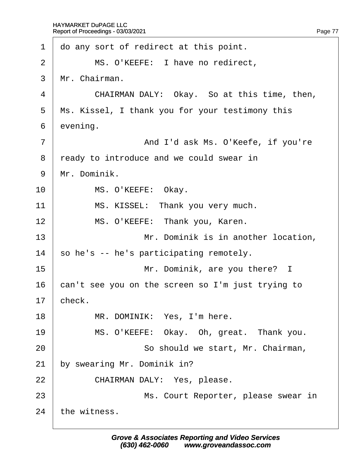| $\mathbf 1$    | do any sort of redirect at this point.            |
|----------------|---------------------------------------------------|
| $\overline{2}$ | MS. O'KEEFE: I have no redirect,                  |
| 3              | Mr. Chairman.                                     |
| 4              | CHAIRMAN DALY: Okay. So at this time, then,       |
| 5              | Ms. Kissel, I thank you for your testimony this   |
| 6              | evening.                                          |
| $\overline{7}$ | And I'd ask Ms. O'Keefe, if you're                |
| 8              | ready to introduce and we could swear in          |
| 9              | Mr. Dominik.                                      |
| 10             | MS. O'KEEFE: Okay.                                |
| 11             | MS. KISSEL: Thank you very much.                  |
| 12             | MS. O'KEEFE: Thank you, Karen.                    |
| 13             | Mr. Dominik is in another location,               |
| 14             | so he's -- he's participating remotely.           |
| 15             | Mr. Dominik, are you there? I                     |
| 16             | can't see you on the screen so I'm just trying to |
| 17             | check.                                            |
| 18             | MR. DOMINIK: Yes, I'm here.                       |
| 19             | MS. O'KEEFE: Okay. Oh, great. Thank you.          |
| 20             | So should we start, Mr. Chairman,                 |
| 21             | by swearing Mr. Dominik in?                       |
| 22             | CHAIRMAN DALY: Yes, please.                       |
| 23             | Ms. Court Reporter, please swear in               |
| 24             | the witness.                                      |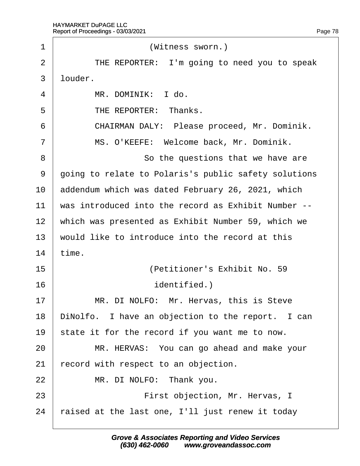| 1              | (Witness sworn.)                                     |
|----------------|------------------------------------------------------|
| $\overline{2}$ | THE REPORTER: I'm going to need you to speak         |
| 3              | louder.                                              |
| 4              | MR. DOMINIK: I do.                                   |
| 5              | THE REPORTER: Thanks.                                |
| 6              | CHAIRMAN DALY: Please proceed, Mr. Dominik.          |
| 7              | MS. O'KEEFE: Welcome back, Mr. Dominik.              |
| 8              | So the questions that we have are                    |
| 9              | going to relate to Polaris's public safety solutions |
| 10             | addendum which was dated February 26, 2021, which    |
| 11             | was introduced into the record as Exhibit Number --  |
| 12             | which was presented as Exhibit Number 59, which we   |
| 13             | would like to introduce into the record at this      |
| 14             | time.                                                |
| 15             | (Petitioner's Exhibit No. 59                         |
| 16             | identified.)                                         |
| 17             | MR. DI NOLFO: Mr. Hervas, this is Steve              |
| 18             | DiNolfo. I have an objection to the report. I can    |
| 19             | state it for the record if you want me to now.       |
| 20             | MR. HERVAS: You can go ahead and make your           |
| 21             | record with respect to an objection.                 |
| 22             | MR. DI NOLFO: Thank you.                             |
| 23             | First objection, Mr. Hervas, I                       |
| 24             | raised at the last one, I'll just renew it today     |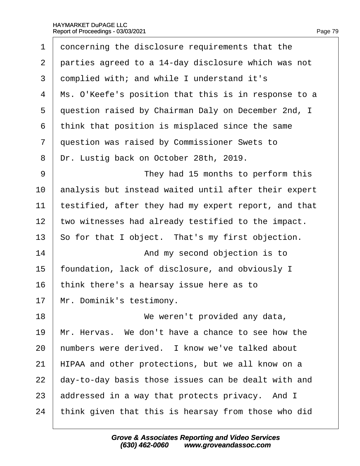|  | Page 79 |
|--|---------|
|  |         |

| 1              | doncerning the disclosure requirements that the      |
|----------------|------------------------------------------------------|
| $\overline{2}$ | parties agreed to a 14-day disclosure which was not  |
| 3              | domplied with; and while I understand it's           |
| 4              | Ms. O'Keefe's position that this is in response to a |
| 5              | question raised by Chairman Daly on December 2nd, I  |
| 6              | think that position is misplaced since the same      |
| $\overline{7}$ | question was raised by Commissioner Swets to         |
| 8              | Dr. Lustig back on October 28th, 2019.               |
| 9              | They had 15 months to perform this                   |
| 10             | analysis but instead waited until after their expert |
| 11             | testified, after they had my expert report, and that |
| 12             | two witnesses had already testified to the impact.   |
| 13             | So for that I object. That's my first objection.     |
| 14             | And my second objection is to                        |
| 15             | foundation, lack of disclosure, and obviously I      |
| 16             | think there's a hearsay issue here as to             |
| 17             | Mr. Dominik's testimony.                             |
| 18             | We weren't provided any data,                        |
| 19             | Mr. Hervas. We don't have a chance to see how the    |
| 20             | humbers were derived. I know we've talked about      |
| 21             | HIPAA and other protections, but we all know on a    |
| 22             | day-to-day basis those issues can be dealt with and  |
| 23             | addressed in a way that protects privacy. And I      |
| 24             | think given that this is hearsay from those who did  |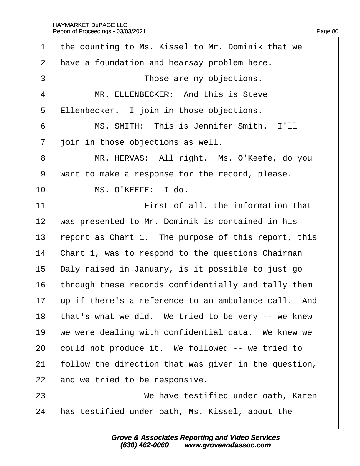| 1              | the counting to Ms. Kissel to Mr. Dominik that we    |
|----------------|------------------------------------------------------|
| $\overline{2}$ | have a foundation and hearsay problem here.          |
| 3              | Those are my objections.                             |
| 4              | MR. ELLENBECKER: And this is Steve                   |
| 5              | Ellenbecker. I join in those objections.             |
| 6              | MS. SMITH: This is Jennifer Smith. I'll              |
| $\overline{7}$ | join in those objections as well.                    |
| 8              | MR. HERVAS: All right. Ms. O'Keefe, do you           |
| 9              | want to make a response for the record, please.      |
| 10             | MS. O'KEEFE: I do.                                   |
| 11             | First of all, the information that                   |
| 12             | was presented to Mr. Dominik is contained in his     |
| 13             | report as Chart 1. The purpose of this report, this  |
| 14             | Chart 1, was to respond to the questions Chairman    |
| 15             | Daly raised in January, is it possible to just go    |
| 16             | through these records confidentially and tally them  |
| 17             | up if there's a reference to an ambulance call. And  |
| 18             | that's what we did. We tried to be very -- we knew   |
| 19             | we were dealing with confidential data. We knew we   |
| 20             | could not produce it. We followed -- we tried to     |
| 21             | follow the direction that was given in the question, |
| 22             | and we tried to be responsive.                       |
| 23             | We have testified under oath, Karen                  |
| 24             | has testified under oath, Ms. Kissel, about the      |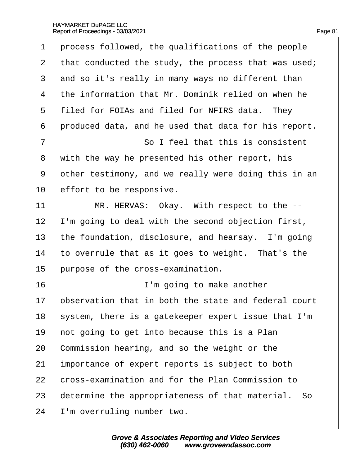| 1  | process followed, the qualifications of the people   |
|----|------------------------------------------------------|
| 2  | that conducted the study, the process that was used; |
| 3  | and so it's really in many ways no different than    |
| 4  | the information that Mr. Dominik relied on when he   |
| 5  | filed for FOIAs and filed for NFIRS data. They       |
| 6  | produced data, and he used that data for his report. |
| 7  | So I feel that this is consistent                    |
| 8  | with the way he presented his other report, his      |
| 9  | other testimony, and we really were doing this in an |
| 10 | effort to be responsive.                             |
| 11 | MR. HERVAS: Okay. With respect to the --             |
| 12 | 'm going to deal with the second objection first,    |
| 13 | the foundation, disclosure, and hearsay. I'm going   |
| 14 | to overrule that as it goes to weight. That's the    |
| 15 | purpose of the cross-examination.                    |
| 16 | I'm going to make another                            |
| 17 | observation that in both the state and federal court |
| 18 | system, there is a gatekeeper expert issue that I'm  |
| 19 | hot going to get into because this is a Plan         |
| 20 | Commission hearing, and so the weight or the         |
| 21 | importance of expert reports is subject to both      |
| 22 | cross-examination and for the Plan Commission to     |
| 23 | determine the appropriateness of that material. So   |
| 24 | 'm overruling number two.                            |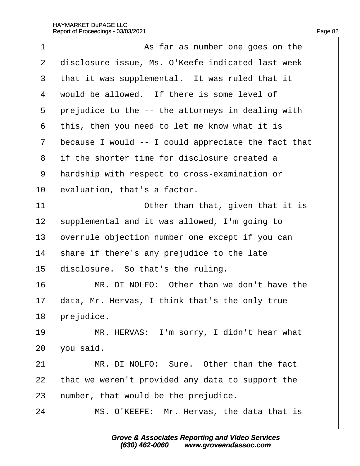| 1              | As far as number one goes on the                    |
|----------------|-----------------------------------------------------|
| $\overline{2}$ | disclosure issue, Ms. O'Keefe indicated last week   |
| 3              | that it was supplemental. It was ruled that it      |
| 4              | would be allowed. If there is some level of         |
| 5              | prejudice to the -- the attorneys in dealing with   |
| 6              | this, then you need to let me know what it is       |
| $\overline{7}$ | because I would -- I could appreciate the fact that |
| 8              | if the shorter time for disclosure created a        |
| 9              | hardship with respect to cross-examination or       |
| 10             | evaluation, that's a factor.                        |
| 11             | Other than that, given that it is                   |
| 12             | supplemental and it was allowed, I'm going to       |
| 13             | overrule objection number one except if you can     |
| 14             | share if there's any prejudice to the late          |
| 15             | disclosure. So that's the ruling.                   |
| 16             | MR. DI NOLFO: Other than we don't have the          |
| 17             | data, Mr. Hervas, I think that's the only true      |
| 18             | prejudice.                                          |
| 19             | MR. HERVAS: I'm sorry, I didn't hear what           |
| 20             | you said.                                           |
| 21             | MR. DI NOLFO: Sure. Other than the fact             |
| 22             | that we weren't provided any data to support the    |
| 23             | humber, that would be the prejudice.                |
| 24             | MS. O'KEEFE: Mr. Hervas, the data that is           |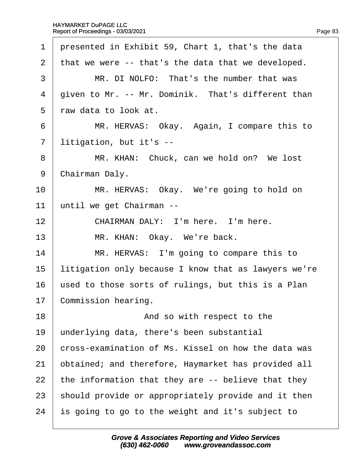1 presented in Exhibit 59, Chart 1, that's the data 2 that we were -- that's the data that we developed.  $\overline{3}$  | MR, DI NOLFO: That's the number that was 4 diven to Mr. -- Mr. Dominik. That's different than 5 raw data to look at. 6 | MR. HERVAS: Okay. Again, I compare this to 7 litigation, but it's --8 | MR. KHAN: Chuck, can we hold on? We lost 9 Chairman Daly. 10 | MR. HERVAS: Okay. We're going to hold on 11 until we get Chairman -- $12$   $\phantom{1}$  CHAIRMAN DALY: I'm here. I'm here. 13 | MR. KHAN: Okay. We're back.  $14$  | MR. HERVAS: I'm going to compare this to 15 litigation only because I know that as lawyers we're 16 used to those sorts of rulings, but this is a Plan 17 Commission hearing. 18 **18** And so with respect to the 19 underlying data, there's been substantial 20  $\,$  cross-examination of Ms. Kissel on how the data was 21 botained; and therefore, Haymarket has provided all 22 the information that they are  $-$  believe that they 23 should provide or appropriately provide and it then 24 is going to go to the weight and it's subject to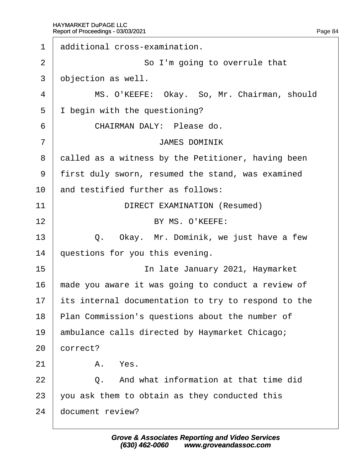| 1              | additional cross-examination.                       |
|----------------|-----------------------------------------------------|
| $\overline{2}$ | So I'm going to overrule that                       |
| 3              | objection as well.                                  |
| 4              | MS. O'KEEFE: Okay. So, Mr. Chairman, should         |
| 5              | begin with the questioning?                         |
| 6              | CHAIRMAN DALY: Please do.                           |
| $\overline{7}$ | <b>JAMES DOMINIK</b>                                |
| 8              | dalled as a witness by the Petitioner, having been  |
| 9              | first duly sworn, resumed the stand, was examined   |
| 10             | and testified further as follows:                   |
| 11             | <b>DIRECT EXAMINATION (Resumed)</b>                 |
| 12             | BY MS. O'KEEFE:                                     |
| 13             | Q. Okay. Mr. Dominik, we just have a few            |
| 14             | questions for you this evening.                     |
| 15             | In late January 2021, Haymarket                     |
| 16             | made you aware it was going to conduct a review of  |
| 17             | its internal documentation to try to respond to the |
| 18             | Plan Commission's questions about the number of     |
| 19             | ambulance calls directed by Haymarket Chicago;      |
| 20             | correct?                                            |
| 21             | A. Yes.                                             |
| 22             | Q. And what information at that time did            |
| 23             | you ask them to obtain as they conducted this       |
| 24             | document review?                                    |
|                |                                                     |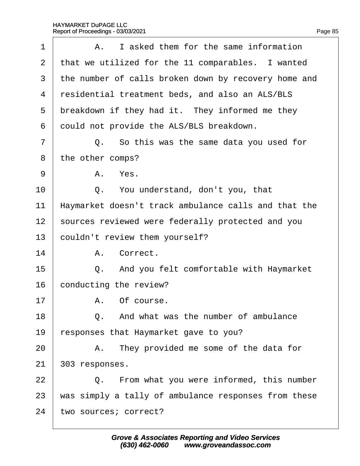| 1              | A. I asked them for the same information             |
|----------------|------------------------------------------------------|
| $\overline{2}$ | that we utilized for the 11 comparables. I wanted    |
| 3              | the number of calls broken down by recovery home and |
| 4              | residential treatment beds, and also an ALS/BLS      |
| 5              | breakdown if they had it. They informed me they      |
| 6              | dould not provide the ALS/BLS breakdown.             |
| $\overline{7}$ | Q. So this was the same data you used for            |
| 8              | the other comps?                                     |
| 9              | A. Yes.                                              |
| 10             | Q. You understand, don't you, that                   |
| 11             | Haymarket doesn't track ambulance calls and that the |
| 12             | sources reviewed were federally protected and you    |
| 13             | couldn't review them yourself?                       |
| 14             | A. Correct.                                          |
| 15             | Q. And you felt comfortable with Haymarket           |
| 16             | conducting the review?                               |
| 17             | A. Of course.                                        |
| 18             | Q. And what was the number of ambulance              |
| 19             | responses that Haymarket gave to you?                |
| 20             | A. They provided me some of the data for             |
| 21             | 303 responses.                                       |
| 22             | Q. From what you were informed, this number          |
| 23             | was simply a tally of ambulance responses from these |
| 24             | two sources; correct?                                |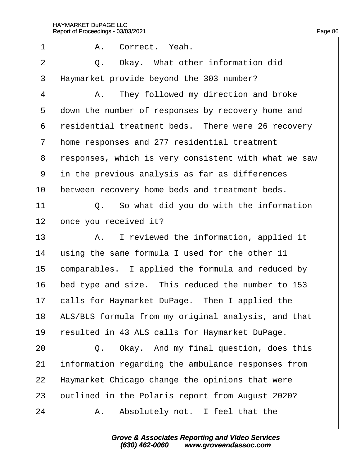| 1              | A. Correct. Yeah.                                    |
|----------------|------------------------------------------------------|
| $\overline{2}$ | Q. Okay. What other information did                  |
| 3              | Haymarket provide beyond the 303 number?             |
| $\overline{4}$ | A. They followed my direction and broke              |
| 5              | down the number of responses by recovery home and    |
| 6              | residential treatment beds. There were 26 recovery   |
| 7              | home responses and 277 residential treatment         |
| 8              | responses, which is very consistent with what we saw |
| 9              | in the previous analysis as far as differences       |
| 10             | between recovery home beds and treatment beds.       |
| 11             | Q. So what did you do with the information           |
| 12             | once you received it?                                |
| 13             | A. I reviewed the information, applied it            |
| 14             | using the same formula I used for the other 11       |
| 15             | comparables. I applied the formula and reduced by    |
| 16             | bed type and size. This reduced the number to 153    |
| 17             | calls for Haymarket DuPage. Then I applied the       |
| 18             | ALS/BLS formula from my original analysis, and that  |
| 19             | resulted in 43 ALS calls for Haymarket DuPage.       |
| 20             | Q. Okay. And my final question, does this            |
| 21             | information regarding the ambulance responses from   |
| 22             | Haymarket Chicago change the opinions that were      |
| 23             | putlined in the Polaris report from August 2020?     |
| 24             | Absolutely not. I feel that the<br>А.                |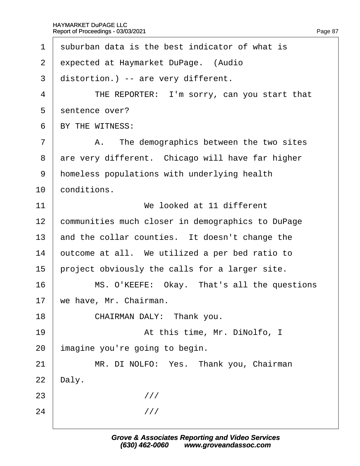| 1              | suburban data is the best indicator of what is    |
|----------------|---------------------------------------------------|
| $\overline{2}$ | expected at Haymarket DuPage. (Audio              |
| 3              | distortion.) -- are very different.               |
| 4              | THE REPORTER: I'm sorry, can you start that       |
| 5              | sentence over?                                    |
| 6              | BY THE WITNESS:                                   |
| 7              | A. The demographics between the two sites         |
| 8              | are very different. Chicago will have far higher  |
| 9              | homeless populations with underlying health       |
| 10             | conditions.                                       |
| 11             | We looked at 11 different                         |
| 12             | communities much closer in demographics to DuPage |
| 13             | and the collar counties. It doesn't change the    |
| 14             | putcome at all. We utilized a per bed ratio to    |
| 15             | project obviously the calls for a larger site.    |
| 16             | MS. O'KEEFE: Okay. That's all the questions       |
| 17             | we have, Mr. Chairman.                            |
| 18             | CHAIRMAN DALY: Thank you.                         |
| 19             | At this time, Mr. DiNolfo, I                      |
| 20             | Imagine you're going to begin.                    |
| 21             | MR. DI NOLFO: Yes. Thank you, Chairman            |
| 22             | Daly.                                             |
| 23             | $^{\prime\prime\prime}$                           |
| 24             | $\frac{1}{2}$                                     |
|                |                                                   |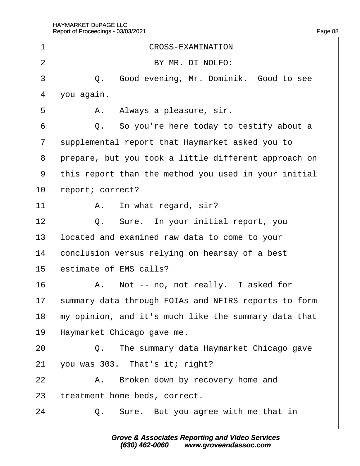| 1              | <b>CROSS-EXAMINATION</b>                             |
|----------------|------------------------------------------------------|
| $\overline{2}$ | BY MR. DI NOLFO:                                     |
| 3              | Q. Good evening, Mr. Dominik. Good to see            |
| 4              | you again.                                           |
| 5              | A. Always a pleasure, sir.                           |
| 6              | Q. So you're here today to testify about a           |
| $\overline{7}$ | supplemental report that Haymarket asked you to      |
| 8              | prepare, but you took a little different approach on |
| 9              | this report than the method you used in your initial |
| 10             | report; correct?                                     |
| 11             | A. In what regard, sir?                              |
| 12             | Q. Sure. In your initial report, you                 |
| 13             | located and examined raw data to come to your        |
| 14             | conclusion versus relying on hearsay of a best       |
| 15             | estimate of EMS calls?                               |
| 16             | A. Not -- no, not really. I asked for                |
| 17             | summary data through FOIAs and NFIRS reports to form |
| 18             | my opinion, and it's much like the summary data that |
| 19             | Haymarket Chicago gave me.                           |
| 20             | The summary data Haymarket Chicago gave<br>Q.        |
| 21             | you was 303. That's it; right?                       |
| 22             | A. Broken down by recovery home and                  |
| 23             | treatment home beds, correct.                        |
| 24             | Q. Sure. But you agree with me that in               |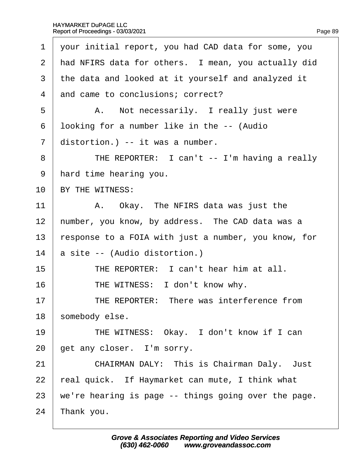| 1              | your initial report, you had CAD data for some, you  |
|----------------|------------------------------------------------------|
| $\overline{2}$ | had NFIRS data for others. I mean, you actually did  |
| 3              | the data and looked at it yourself and analyzed it   |
| 4              | and came to conclusions; correct?                    |
| 5              | A. Not necessarily. I really just were               |
| 6              | Iboking for a number like in the -- (Audio           |
| $\overline{7}$ | distortion.) -- it was a number.                     |
| 8              | THE REPORTER: I can't -- I'm having a really         |
| 9              | hard time hearing you.                               |
| 10             | BY THE WITNESS:                                      |
| 11             | A. Okay. The NFIRS data was just the                 |
| 12             | humber, you know, by address. The CAD data was a     |
| 13             | response to a FOIA with just a number, you know, for |
| 14             | a site -- (Audio distortion.)                        |
| 15             | THE REPORTER: I can't hear him at all.               |
| 16             | THE WITNESS: I don't know why.                       |
| 17             | THE REPORTER: There was interference from            |
| 18             | somebody else.                                       |
| 19             | THE WITNESS: Okay. I don't know if I can             |
| 20             | get any closer. I'm sorry.                           |
| 21             | <b>CHAIRMAN DALY: This is Chairman Daly. Just</b>    |
| 22             | real quick. If Haymarket can mute, I think what      |
| 23             | we're hearing is page -- things going over the page. |
| 24             | ∏hank you.                                           |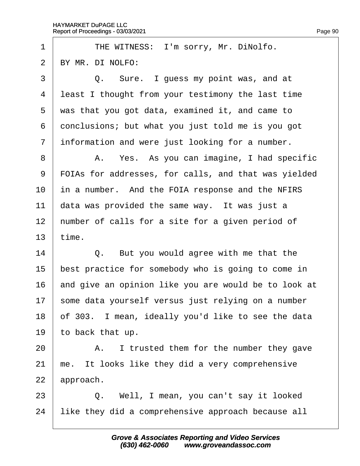1 | THE WITNESS: I'm sorry, Mr. DiNolfo.  $2$  BY MR. DI NOLFO:  $\overline{3}$   $\overline{)}$  Q. Sure. I guess my point was, and at 4 least I thought from your testimony the last time 5 was that you got data, examined it, and came to 6 donclusions; but what you just told me is you got 7 information and were just looking for a number. 8 | A. Yes. As you can imagine, I had specific 9 FOIAs for addresses, for calls, and that was yielded 10 in a number. And the FOIA response and the NFIRS 11 data was provided the same way. It was just a 12 humber of calls for a site for a given period of 13  $time.$  $14$   $\Box$  Q. But you would agree with me that the 15 best practice for somebody who is going to come in 16 and give an opinion like you are would be to look at 17 some data yourself versus just relying on a number 18 bt 303. I mean, ideally you'd like to see the data 19 to back that up.  $20$  | A. I trusted them for the number they gave 21 me. It looks like they did a very comprehensive 22 approach.  $23$   $\Box$  Q. Well, I mean, you can't say it looked

24 like they did a comprehensive approach because all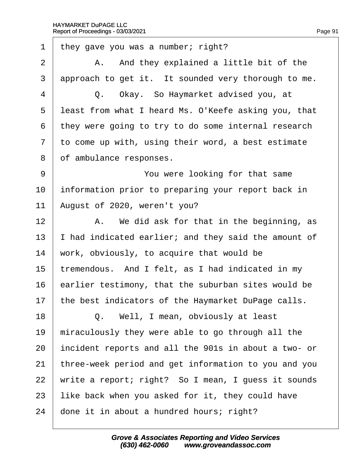| 1  | they gave you was a number; right?                   |
|----|------------------------------------------------------|
| 2  | A. And they explained a little bit of the            |
| 3  | approach to get it. It sounded very thorough to me.  |
| 4  | Q. Okay. So Haymarket advised you, at                |
| 5  | least from what I heard Ms. O'Keefe asking you, that |
| 6  | they were going to try to do some internal research  |
| 7  | to come up with, using their word, a best estimate   |
| 8  | of ambulance responses.                              |
| 9  | You were looking for that same                       |
| 10 | information prior to preparing your report back in   |
| 11 | August of 2020, weren't you?                         |
| 12 | A. We did ask for that in the beginning, as          |
| 13 | had indicated earlier; and they said the amount of   |
| 14 | work, obviously, to acquire that would be            |
| 15 | tremendous. And I felt, as I had indicated in my     |
| 16 | earlier testimony, that the suburban sites would be  |
| 17 | the best indicators of the Haymarket DuPage calls.   |
| 18 | Q. Well, I mean, obviously at least                  |
| 19 | miraculously they were able to go through all the    |
| 20 | incident reports and all the 901s in about a two- or |
| 21 | three-week period and get information to you and you |
| 22 | write a report; right? So I mean, I guess it sounds  |
| 23 | like back when you asked for it, they could have     |
| 24 | done it in about a hundred hours; right?             |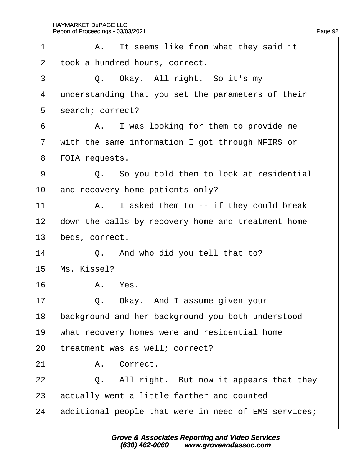| 1              | A. It seems like from what they said it              |
|----------------|------------------------------------------------------|
| $\overline{2}$ | took a hundred hours, correct.                       |
| 3              | Q. Okay. All right. So it's my                       |
| 4              | understanding that you set the parameters of their   |
| 5              | search; correct?                                     |
| 6              | A. I was looking for them to provide me              |
| $\overline{7}$ | with the same information I got through NFIRS or     |
| 8              | FOIA requests.                                       |
| 9              | Q. So you told them to look at residential           |
| 10             | and recovery home patients only?                     |
| 11             | A. I asked them to -- if they could break            |
| 12             | down the calls by recovery home and treatment home   |
| 13             | beds, correct.                                       |
| 14             | Q. And who did you tell that to?                     |
| 15             | Ms. Kissel?                                          |
| 16             | A. Yes.                                              |
| 17             | Okay. And I assume given your<br>Q.                  |
| 18             | background and her background you both understood    |
| 19             | what recovery homes were and residential home        |
| 20             | treatment was as well; correct?                      |
| 21             | A. Correct.                                          |
| 22             | Q. All right. But now it appears that they           |
| 23             | actually went a little farther and counted           |
| 24             | additional people that were in need of EMS services; |
|                |                                                      |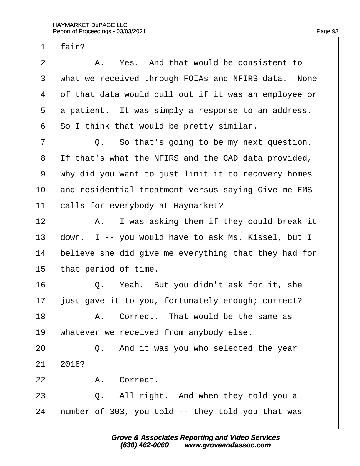| $\mathbf 1$  | fair?                                                |
|--------------|------------------------------------------------------|
| $\mathbf{2}$ | A. Yes. And that would be consistent to              |
| 3            | what we received through FOIAs and NFIRS data. None  |
| 4            | of that data would cull out if it was an employee or |
| 5            | a patient. It was simply a response to an address.   |
| 6            | So I think that would be pretty similar.             |
| 7            | Q. So that's going to be my next question.           |
| 8            | If that's what the NFIRS and the CAD data provided,  |
| 9            | why did you want to just limit it to recovery homes  |
| 10           | and residential treatment versus saying Give me EMS  |
| 11           | calls for everybody at Haymarket?                    |
| 12           | A. I was asking them if they could break it          |
| 13           | down. I -- you would have to ask Ms. Kissel, but I   |
| 14           | believe she did give me everything that they had for |
| 15           | that period of time.                                 |
| 16           | Q. Yeah. But you didn't ask for it, she              |
| 17           | just gave it to you, fortunately enough; correct?    |
| 18           | A. Correct. That would be the same as                |
| 19           | whatever we received from anybody else.              |
| 20           | Q. And it was you who selected the year              |
| 21           | 2018?                                                |
| 22           | A. Correct.                                          |
| 23           | Q. All right. And when they told you a               |
| 24           | humber of 303, you told -- they told you that was    |
|              |                                                      |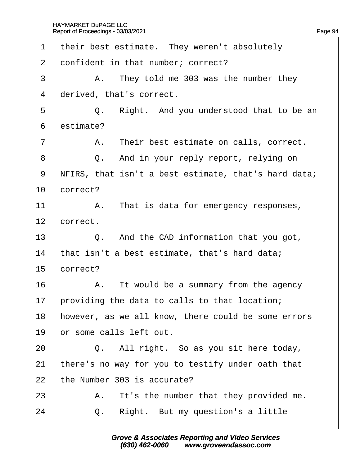| 1               | their best estimate. They weren't absolutely         |
|-----------------|------------------------------------------------------|
| 2               | donfident in that number; correct?                   |
| 3               | A. They told me 303 was the number they              |
| 4               | derived, that's correct.                             |
| 5               | Q. Right. And you understood that to be an           |
| 6               | estimate?                                            |
| $\overline{7}$  | A. Their best estimate on calls, correct.            |
| 8               | Q. And in your reply report, relying on              |
| 9               | NFIRS, that isn't a best estimate, that's hard data; |
| 10              | correct?                                             |
| 11              | A. That is data for emergency responses,             |
| 12 <sub>2</sub> | correct.                                             |
| 13              | Q. And the CAD information that you got,             |
| 14              | that isn't a best estimate, that's hard data;        |
| 15              | correct?                                             |
| 16              | A. It would be a summary from the agency             |
| 17              | providing the data to calls to that location;        |
| 18              | however, as we all know, there could be some errors  |
| 19              | or some calls left out.                              |
| 20              | Q. All right. So as you sit here today,              |
| 21              | there's no way for you to testify under oath that    |
| 22              | the Number 303 is accurate?                          |
| 23              | It's the number that they provided me.<br>А.         |
| 24              | Right. But my question's a little<br>Q.              |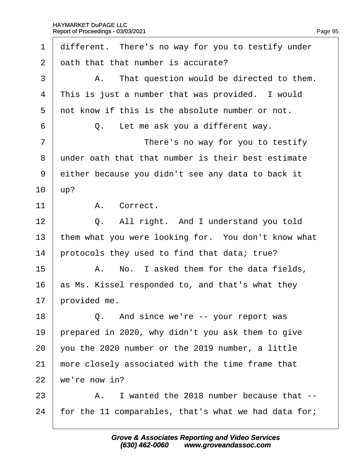| 1              | different. There's no way for you to testify under   |
|----------------|------------------------------------------------------|
| $\overline{2}$ | dath that that number is accurate?                   |
| 3              | A. That question would be directed to them.          |
| $\overline{4}$ | This is just a number that was provided. I would     |
| 5              | not know if this is the absolute number or not.      |
| 6              | Q. Let me ask you a different way.                   |
| 7              | There's no way for you to testify                    |
| 8              | under oath that that number is their best estimate   |
| 9              | either because you didn't see any data to back it    |
| 10             | $\mu$ p?                                             |
| 11             | Correct.<br>$A_{-}$                                  |
| 12             | Q. All right. And I understand you told              |
| 13             | them what you were looking for. You don't know what  |
| 14             | protocols they used to find that data; true?         |
| 15             | A. No. I asked them for the data fields,             |
| 16             | as Ms. Kissel responded to, and that's what they     |
| 17             | provided me.                                         |
| 18             | Q. And since we're -- your report was                |
| 19             | prepared in 2020, why didn't you ask them to give    |
| 20             | you the 2020 number or the 2019 number, a little     |
| 21             | more closely associated with the time frame that     |
| 22             | we're now in?                                        |
| 23             | A. I wanted the 2018 number because that --          |
| 24             | for the 11 comparables, that's what we had data for; |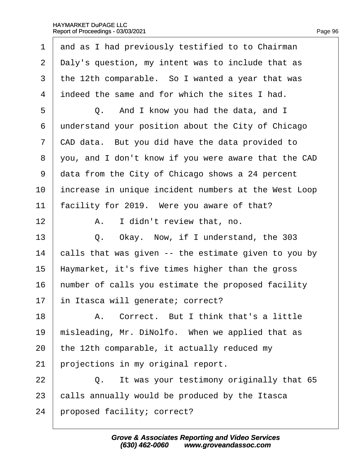| 1              | and as I had previously testified to to Chairman     |
|----------------|------------------------------------------------------|
| $\overline{2}$ | Daly's question, my intent was to include that as    |
| 3              | the 12th comparable. So I wanted a year that was     |
| 4              | indeed the same and for which the sites I had.       |
| 5              | Q. And I know you had the data, and I                |
| 6              | understand your position about the City of Chicago   |
| 7              | CAD data. But you did have the data provided to      |
| 8              | you, and I don't know if you were aware that the CAD |
| 9              | data from the City of Chicago shows a 24 percent     |
| 10             | increase in unique incident numbers at the West Loop |
| 11             | facility for 2019. Were you aware of that?           |
| 12             | A. I didn't review that, no.                         |
| 13             | Q. Okay. Now, if I understand, the 303               |
| 14             | calls that was given -- the estimate given to you by |
| 15             | Haymarket, it's five times higher than the gross     |
| 16             | humber of calls you estimate the proposed facility   |
| 17             | in Itasca will generate; correct?                    |
| 18             | A. Correct. But I think that's a little              |
| 19             | misleading, Mr. DiNolfo. When we applied that as     |
| 20             | the 12th comparable, it actually reduced my          |
| 21             | projections in my original report.                   |
| 22             | Q. It was your testimony originally that 65          |
| 23             | calls annually would be produced by the Itasca       |
| 24             | proposed facility; correct?                          |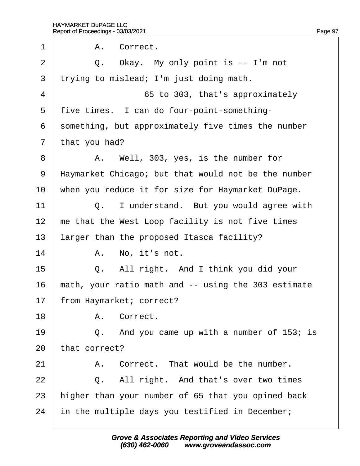| 1              | A. Correct.                                         |
|----------------|-----------------------------------------------------|
| 2              | Q. Okay. My only point is -- I'm not                |
| 3              | trying to mislead; I'm just doing math.             |
| $\overline{4}$ | 65 to 303, that's approximately                     |
| 5              | five times. I can do four-point-something-          |
| 6              | something, but approximately five times the number  |
| $\overline{7}$ | that you had?                                       |
| 8              | A. Well, 303, yes, is the number for                |
| 9              | Haymarket Chicago; but that would not be the number |
| 10             | when you reduce it for size for Haymarket DuPage.   |
| 11             | Q. I understand. But you would agree with           |
| 12             | me that the West Loop facility is not five times    |
| 13             | larger than the proposed Itasca facility?           |
| 14             | A. No, it's not.                                    |
| 15             | Q. All right. And I think you did your              |
| 16             | math, your ratio math and -- using the 303 estimate |
| 17             | from Haymarket; correct?                            |
| 18             | A. Correct.                                         |
| 19             | And you came up with a number of 153; is<br>Q.      |
| 20             | that correct?                                       |
| 21             | A. Correct. That would be the number.               |
| 22             | Q. All right. And that's over two times             |
| 23             | higher than your number of 65 that you opined back  |
| 24             | in the multiple days you testified in December;     |
|                |                                                     |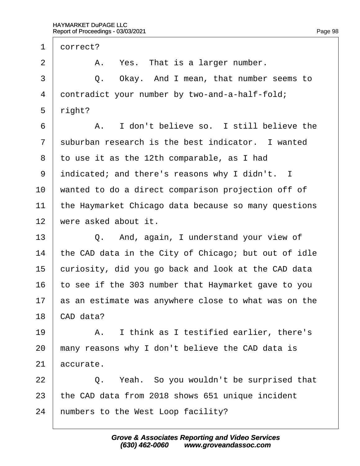| 1              | dorrect?                                             |
|----------------|------------------------------------------------------|
| $\overline{2}$ | A. Yes. That is a larger number.                     |
| 3              | Q. Okay. And I mean, that number seems to            |
| 4              | dontradict your number by two-and-a-half-fold;       |
| 5              | right?                                               |
| 6              | A. I don't believe so. I still believe the           |
| $\overline{7}$ | suburban research is the best indicator. I wanted    |
| 8              | to use it as the 12th comparable, as I had           |
| 9              | indicated; and there's reasons why I didn't. I       |
| 10             | wanted to do a direct comparison projection off of   |
| 11             | the Haymarket Chicago data because so many questions |
| 12             | were asked about it.                                 |
| 13             | Q. And, again, I understand your view of             |
| 14             | the CAD data in the City of Chicago; but out of idle |
| 15             | curiosity, did you go back and look at the CAD data  |
| 16             | to see if the 303 number that Haymarket gave to you  |
| 17             | as an estimate was anywhere close to what was on the |
| 18             | CAD data?                                            |
| 19             | A. I think as I testified earlier, there's           |
| 20             | many reasons why I don't believe the CAD data is     |
| 21             | accurate.                                            |
| 22             | Q. Yeah. So you wouldn't be surprised that           |
| 23             | the CAD data from 2018 shows 651 unique incident     |
| 24             | humbers to the West Loop facility?                   |
|                |                                                      |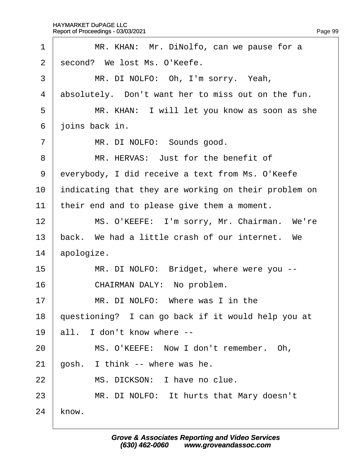| 1               | MR. KHAN: Mr. DiNolfo, can we pause for a            |
|-----------------|------------------------------------------------------|
| $\overline{2}$  | second? We lost Ms. O'Keefe.                         |
| 3               | MR. DI NOLFO: Oh, I'm sorry. Yeah,                   |
| 4               | absolutely. Don't want her to miss out on the fun.   |
| 5               | MR. KHAN: I will let you know as soon as she         |
| 6               | joins back in.                                       |
| $\overline{7}$  | MR. DI NOLFO: Sounds good.                           |
| 8               | MR. HERVAS: Just for the benefit of                  |
| 9               | everybody, I did receive a text from Ms. O'Keefe     |
| 10              | indicating that they are working on their problem on |
| 11              | their end and to please give them a moment.          |
| 12 <sub>2</sub> | MS. O'KEEFE: I'm sorry, Mr. Chairman. We're          |
| 13              | back. We had a little crash of our internet. We      |
| 14              | apologize.                                           |
| 15              | MR. DI NOLFO: Bridget, where were you --             |
| 16              | CHAIRMAN DALY: No problem.                           |
| 17              | MR. DI NOLFO: Where was I in the                     |
| 18              | questioning? I can go back if it would help you at   |
| 19              | all. I don't know where --                           |
| 20              | MS. O'KEEFE: Now I don't remember. Oh,               |
| 21              | gosh. I think -- where was he.                       |
| 22              | MS. DICKSON: I have no clue.                         |
| 23              | MR. DI NOLFO: It hurts that Mary doesn't             |
| 24              | know.                                                |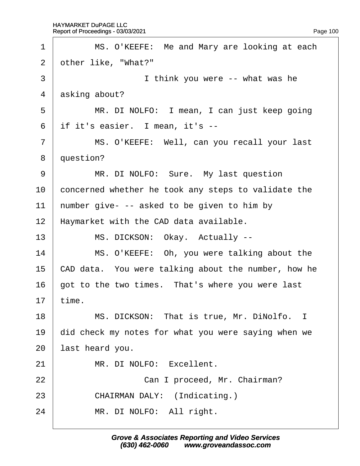| $\mathbf 1$ | MS. O'KEEFE: Me and Mary are looking at each        |  |
|-------------|-----------------------------------------------------|--|
| 2           | other like, "What?"                                 |  |
| 3           | I think you were -- what was he                     |  |
| 4           | asking about?                                       |  |
| 5           | MR. DI NOLFO: I mean, I can just keep going         |  |
| 6           | if it's easier. I mean, it's --                     |  |
| 7           | MS. O'KEEFE: Well, can you recall your last         |  |
| 8           | question?                                           |  |
| 9           | MR. DI NOLFO: Sure. My last question                |  |
| 10          | concerned whether he took any steps to validate the |  |
| 11          | humber give- -- asked to be given to him by         |  |
| 12          | Haymarket with the CAD data available.              |  |
| 13          | MS. DICKSON: Okay. Actually --                      |  |
| 14          | MS. O'KEEFE: Oh, you were talking about the         |  |
| 15          | CAD data. You were talking about the number, how he |  |
| 16          | got to the two times. That's where you were last    |  |
| 17          | time.                                               |  |
| 18          | MS. DICKSON: That is true, Mr. DiNolfo. I           |  |
| 19          | did check my notes for what you were saying when we |  |
| 20          | last heard you.                                     |  |
| 21          | MR. DI NOLFO: Excellent.                            |  |
| 22          | Can I proceed, Mr. Chairman?                        |  |
| 23          | <b>CHAIRMAN DALY: (Indicating.)</b>                 |  |
| 24          | MR. DI NOLFO: All right.                            |  |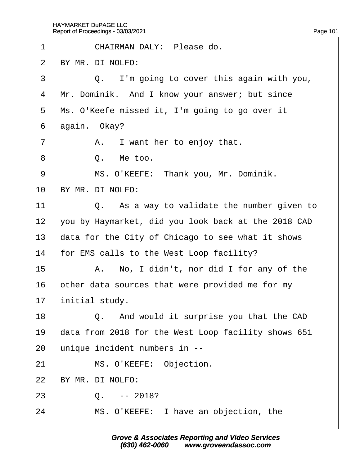| 1               | CHAIRMAN DALY: Please do.                           |
|-----------------|-----------------------------------------------------|
| 2               | BY MR. DI NOLFO:                                    |
| 3               | Q. I'm going to cover this again with you,          |
| 4               | Mr. Dominik. And I know your answer; but since      |
| 5               | Ms. O'Keefe missed it, I'm going to go over it      |
| 6               | again. Okay?                                        |
| $\overline{7}$  | A. I want her to enjoy that.                        |
| 8               | Q. Me too.                                          |
| 9               | MS. O'KEEFE: Thank you, Mr. Dominik.                |
| 10              | BY MR. DI NOLFO:                                    |
| 11              | Q. As a way to validate the number given to         |
| 12 <sub>2</sub> | you by Haymarket, did you look back at the 2018 CAD |
| 13              | data for the City of Chicago to see what it shows   |
| 14              | for EMS calls to the West Loop facility?            |
| 15              | A. No, I didn't, nor did I for any of the           |
| 16              | other data sources that were provided me for my     |
| 17              | initial study.                                      |
| 18              | Q. And would it surprise you that the CAD           |
| 19              | data from 2018 for the West Loop facility shows 651 |
| 20              | unique incident numbers in --                       |
| 21              | MS. O'KEEFE: Objection.                             |
| 22              | BY MR. DI NOLFO:                                    |
| 23              | $Q. -2018?$                                         |
| 24              | MS. O'KEEFE: I have an objection, the               |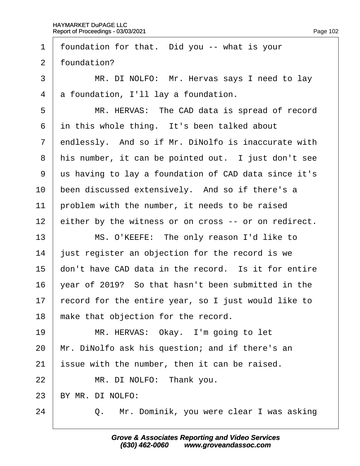1 foundation for that. Did you -- what is your 2 foundation? 3 | MR. DI NOLFO: Mr. Hervas says I need to lay 4 **a** foundation, I'll lay a foundation. 5 | MR. HERVAS: The CAD data is spread of record 6 in this whole thing. It's been talked about 7 endlessly. And so if Mr. DiNolfo is inaccurate with 8 his number, it can be pointed out. I just don't see ·9· ·us having to lay a foundation of CAD data since it's 10 been discussed extensively. And so if there's a 11 problem with the number, it needs to be raised 12 bither by the witness or on cross -- or on redirect. 13 | MS. O'KEEFE: The only reason I'd like to 14 just register an objection for the record is we 15 don't have CAD data in the record. Is it for entire 16 vear of 2019? So that hasn't been submitted in the 17 record for the entire year, so I just would like to 18 make that objection for the record. 19 | MR. HERVAS: Okay. I'm going to let 20 Mr. DiNolfo ask his question; and if there's an 21 issue with the number, then it can be raised. 22 | MR. DI NOLFO: Thank you. 23 BY MR. DI NOLFO:

24 **Q.** Mr. Dominik, you were clear I was asking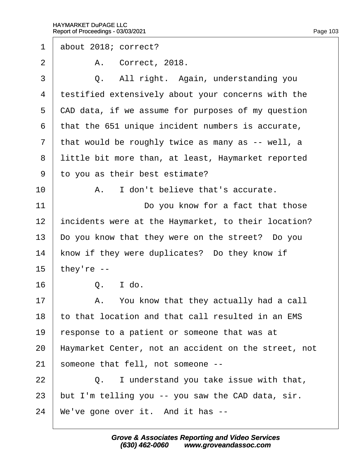1 about 2018; correct? 2 | A. Correct, 2018.  $3 \mid Q$ . All right. Again, understanding you 4 testified extensively about your concerns with the 5 CAD data, if we assume for purposes of my question ·6· ·that the 651 unique incident numbers is accurate, 7 that would be roughly twice as many as -- well, a 8 little bit more than, at least, Haymarket reported 9 to you as their best estimate?  $10$   $\phantom{1}$  A. I don't believe that's accurate. 11 **Do you know for a fact that those** 12 incidents were at the Haymarket, to their location? 13 Do you know that they were on the street? Do you 14 know if they were duplicates? Do they know if 15 they're  $16 \mid$   $\Omega$   $\vdots$   $1d\Omega$  $17$  | A. You know that they actually had a call 18 to that location and that call resulted in an EMS 19 response to a patient or someone that was at 20 Haymarket Center, not an accident on the street, not 21 someone that fell, not someone -- $22$   $\Box$  Q. I understand you take issue with that, 23 but I'm telling you -- you saw the CAD data, sir. 24 We've gone over it. And it has --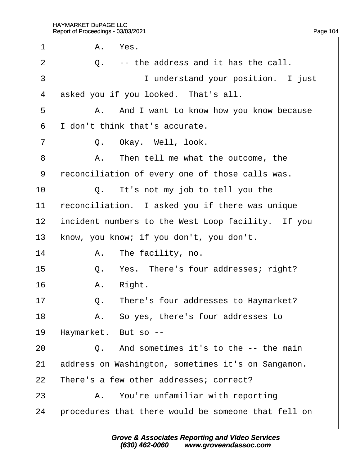| 1              |    | A. Yes.                                             |
|----------------|----|-----------------------------------------------------|
| $\overline{2}$ | Q. | -- the address and it has the call.                 |
| 3              |    | I understand your position. I just                  |
| 4              |    | asked you if you looked. That's all.                |
| 5              |    | A. And I want to know how you know because          |
| 6              |    | don't think that's accurate.                        |
| $\overline{7}$ |    | Q. Okay. Well, look.                                |
| 8              |    | A. Then tell me what the outcome, the               |
| 9              |    | reconciliation of every one of those calls was.     |
| 10             | Q. | It's not my job to tell you the                     |
| 11             |    | econciliation. I asked you if there was unique      |
| 12             |    | incident numbers to the West Loop facility. If you  |
| 13             |    | know, you know; if you don't, you don't.            |
| 14             |    | A. The facility, no.                                |
| 15             | Q. | Yes. There's four addresses; right?                 |
| 16             | А. | Right.                                              |
| 17             | Q  | There's four addresses to Haymarket?                |
| 18             |    | A. So yes, there's four addresses to                |
| 19             |    | Haymarket. But so --                                |
| 20             |    | Q. And sometimes it's to the -- the main            |
| 21             |    | address on Washington, sometimes it's on Sangamon.  |
| 22             |    | There's a few other addresses; correct?             |
| 23             |    | A. You're unfamiliar with reporting                 |
| 24             |    | procedures that there would be someone that fell on |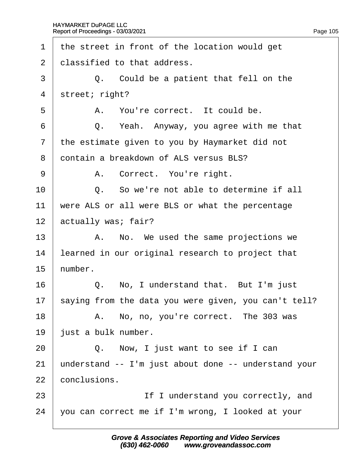| 1              | the street in front of the location would get        |
|----------------|------------------------------------------------------|
| 2              | dlassified to that address.                          |
| 3              | Q. Could be a patient that fell on the               |
| 4              | street; right?                                       |
| 5              | A. You're correct. It could be.                      |
| 6              | Q. Yeah. Anyway, you agree with me that              |
| $\overline{7}$ | the estimate given to you by Haymarket did not       |
| 8              | dontain a breakdown of ALS versus BLS?               |
| 9              | A. Correct. You're right.                            |
| 10             | Q. So we're not able to determine if all             |
| 11             | were ALS or all were BLS or what the percentage      |
| 12             | actually was; fair?                                  |
| 13             | A. No. We used the same projections we               |
| 14             | learned in our original research to project that     |
| 15             | humber.                                              |
| 16             | Q. No, I understand that. But I'm just               |
| 17             | saying from the data you were given, you can't tell? |
| 18             | A. No, no, you're correct. The 303 was               |
| 19             | just a bulk number.                                  |
| 20             | Q. Now, I just want to see if I can                  |
| 21             | understand -- I'm just about done -- understand your |
| 22             | conclusions.                                         |
| 23             | If I understand you correctly, and                   |
| 24             | you can correct me if I'm wrong, I looked at your    |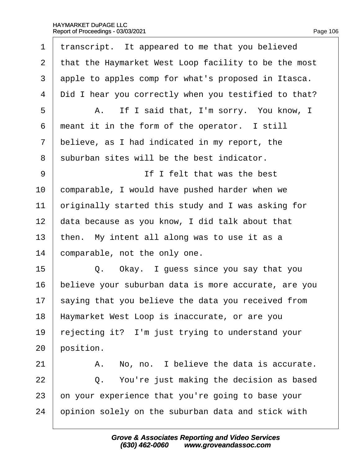| 1              | transcript. It appeared to me that you believed      |
|----------------|------------------------------------------------------|
| $\overline{2}$ | that the Haymarket West Loop facility to be the most |
| 3              | apple to apples comp for what's proposed in Itasca.  |
| $\overline{4}$ | Did I hear you correctly when you testified to that? |
| 5              | A. If I said that, I'm sorry. You know, I            |
| 6              | meant it in the form of the operator. I still        |
| $\overline{7}$ | believe, as I had indicated in my report, the        |
| 8              | suburban sites will be the best indicator.           |
| 9              | If I felt that was the best                          |
| 10             | comparable, I would have pushed harder when we       |
| 11             | priginally started this study and I was asking for   |
| 12             | data because as you know, I did talk about that      |
| 13             | then. My intent all along was to use it as a         |
| 14             | comparable, not the only one.                        |
| 15             | Q. Okay. I guess since you say that you              |
| 16             | believe your suburban data is more accurate, are you |
| 17             | saying that you believe the data you received from   |
| 18             | Haymarket West Loop is inaccurate, or are you        |
| 19             | rejecting it? I'm just trying to understand your     |
| 20             | position.                                            |
| 21             | A. No, no. I believe the data is accurate.           |
| 22             | You're just making the decision as based<br>Q.       |
| 23             | on your experience that you're going to base your    |
| 24             | opinion solely on the suburban data and stick with   |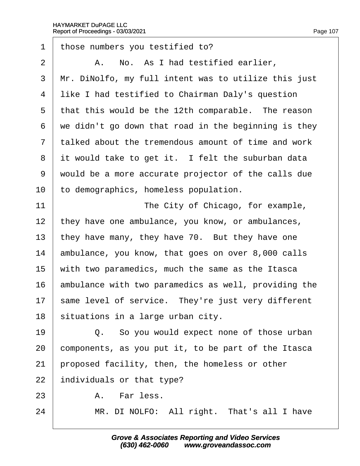$\sqrt{ }$ 

| 1                 | those numbers you testified to?                      |
|-------------------|------------------------------------------------------|
| $\overline{2}$    | A. No. As I had testified earlier,                   |
| 3                 | Mr. DiNolfo, my full intent was to utilize this just |
| 4                 | like I had testified to Chairman Daly's question     |
| 5                 | that this would be the 12th comparable. The reason   |
| 6                 | we didn't go down that road in the beginning is they |
| $\overline{7}$    | talked about the tremendous amount of time and work  |
| 8                 | it would take to get it. I felt the suburban data    |
| 9                 | would be a more accurate projector of the calls due  |
| 10                | to demographics, homeless population.                |
| 11                | The City of Chicago, for example,                    |
| $12 \overline{ }$ | they have one ambulance, you know, or ambulances,    |
| 13                | they have many, they have 70. But they have one      |
| 14                | ambulance, you know, that goes on over 8,000 calls   |
| 15                | with two paramedics, much the same as the Itasca     |
| 16                | ambulance with two paramedics as well, providing the |
| 17                | same level of service. They're just very different   |
| 18                | situations in a large urban city.                    |
| 19                | Q. So you would expect none of those urban           |
| 20                | components, as you put it, to be part of the Itasca  |
| 21                | proposed facility, then, the homeless or other       |
| 22                | individuals or that type?                            |
| 23                | A. Far less.                                         |
| 24                | MR. DI NOLFO: All right. That's all I have           |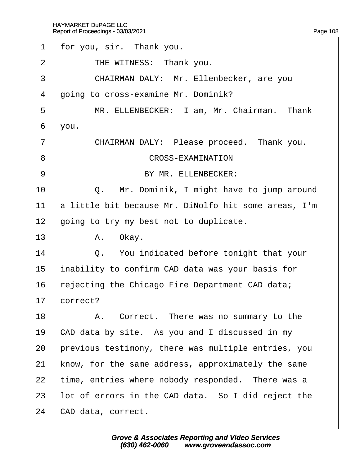$\Gamma$ 

<span id="page-108-0"></span>

| 1              | for you, sir. Thank you.                             |
|----------------|------------------------------------------------------|
| 2              | THE WITNESS: Thank you.                              |
| 3              | CHAIRMAN DALY: Mr. Ellenbecker, are you              |
| $\overline{4}$ | going to cross-examine Mr. Dominik?                  |
| 5              | MR. ELLENBECKER: I am, Mr. Chairman. Thank           |
| 6              | you.                                                 |
| 7              | CHAIRMAN DALY: Please proceed. Thank you.            |
| 8              | <b>CROSS-EXAMINATION</b>                             |
| 9              | BY MR. ELLENBECKER:                                  |
| 10             | Q. Mr. Dominik, I might have to jump around          |
| 11             | a little bit because Mr. DiNolfo hit some areas, I'm |
| 12             | going to try my best not to duplicate.               |
| 13             | A. Okay.                                             |
| 14             | Q. You indicated before tonight that your            |
| 15             | inability to confirm CAD data was your basis for     |
| 16             | rejecting the Chicago Fire Department CAD data;      |
| 17             | correct?                                             |
| 18             | A. Correct. There was no summary to the              |
| 19             | CAD data by site. As you and I discussed in my       |
| 20             | previous testimony, there was multiple entries, you  |
| 21             | know, for the same address, approximately the same   |
| 22             | time, entries where nobody responded. There was a    |
| 23             | lot of errors in the CAD data. So I did reject the   |
| 24             | CAD data, correct.                                   |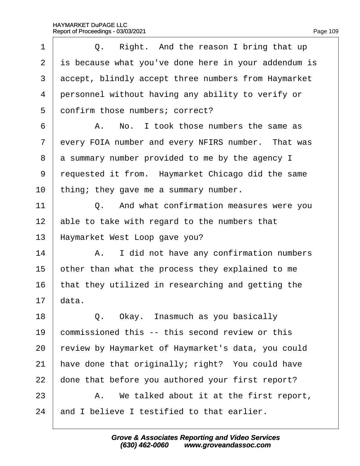<span id="page-109-0"></span>

| 1              | Q. Right. And the reason I bring that up             |
|----------------|------------------------------------------------------|
| $\overline{2}$ | is because what you've done here in your addendum is |
| 3              | accept, blindly accept three numbers from Haymarket  |
| 4              | personnel without having any ability to verify or    |
| 5              | donfirm those numbers; correct?                      |
| 6              | A. No. I took those numbers the same as              |
| $\overline{7}$ | every FOIA number and every NFIRS number. That was   |
| 8              | a summary number provided to me by the agency I      |
| 9              | requested it from. Haymarket Chicago did the same    |
| 10             | thing; they gave me a summary number.                |
| 11             | Q. And what confirmation measures were you           |
| 12             | able to take with regard to the numbers that         |
| 13             | Haymarket West Loop gave you?                        |
| 14             | A. I did not have any confirmation numbers           |
| 15             | other than what the process they explained to me     |
| 16             | that they utilized in researching and getting the    |
| 17             | data.                                                |
| 18             | Q. Okay. Inasmuch as you basically                   |
| 19             | commissioned this -- this second review or this      |
| 20             | review by Haymarket of Haymarket's data, you could   |
| 21             | have done that originally; right? You could have     |
| 22             | done that before you authored your first report?     |
| 23             | A. We talked about it at the first report,           |
| 24             | and I believe I testified to that earlier.           |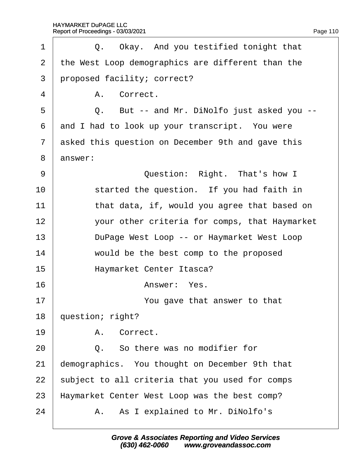<span id="page-110-0"></span>

| 1              |                  |             | Q. Okay. And you testified tonight that           |
|----------------|------------------|-------------|---------------------------------------------------|
| 2              |                  |             | the West Loop demographics are different than the |
| 3              |                  |             | proposed facility; correct?                       |
| 4              |                  | A. Correct. |                                                   |
| 5              |                  |             | Q. But -- and Mr. DiNolfo just asked you --       |
| 6              |                  |             | and I had to look up your transcript. You were    |
| $\overline{7}$ |                  |             | asked this question on December 9th and gave this |
| 8              | answer:          |             |                                                   |
| 9              |                  |             | Question: Right. That's how I                     |
| 10             |                  |             | started the question. If you had faith in         |
| 11             |                  |             | that data, if, would you agree that based on      |
| 12             |                  |             | your other criteria for comps, that Haymarket     |
| 13             |                  |             | DuPage West Loop -- or Haymarket West Loop        |
| 14             |                  |             | would be the best comp to the proposed            |
| 15             |                  |             | Haymarket Center Itasca?                          |
| 16             |                  |             | Answer: Yes.                                      |
| 17             |                  |             | You gave that answer to that                      |
| 18             | question; right? |             |                                                   |
| 19             |                  | A. Correct. |                                                   |
| 20             |                  |             | Q. So there was no modifier for                   |
| 21             |                  |             | demographics. You thought on December 9th that    |
| 22             |                  |             | subject to all criteria that you used for comps   |
| 23             |                  |             | Haymarket Center West Loop was the best comp?     |
| 24             |                  |             | A. As I explained to Mr. DiNolfo's                |
|                |                  |             |                                                   |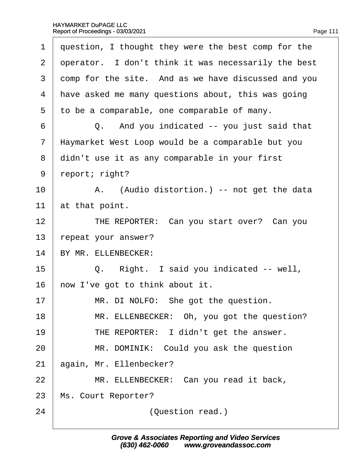<span id="page-111-0"></span>

| 1              | question, I thought they were the best comp for the |
|----------------|-----------------------------------------------------|
| 2              | operator. I don't think it was necessarily the best |
| 3              | domp for the site. And as we have discussed and you |
| 4              | have asked me many questions about, this was going  |
| 5              | to be a comparable, one comparable of many.         |
| 6              | Q. And you indicated -- you just said that          |
| $\overline{7}$ | Haymarket West Loop would be a comparable but you   |
| 8              | didn't use it as any comparable in your first       |
| 9              | report; right?                                      |
| 10             | A. (Audio distortion.) -- not get the data          |
| 11             | at that point.                                      |
| 12             | THE REPORTER: Can you start over? Can you           |
| 13             | repeat your answer?                                 |
| 14             | BY MR. ELLENBECKER:                                 |
| 15             | Right. I said you indicated -- well,<br>Q.          |
| 16             | how I've got to think about it.                     |
| 17             | MR. DI NOLFO: She got the question.                 |
| 18             | MR. ELLENBECKER: Oh, you got the question?          |
| 19             | THE REPORTER: I didn't get the answer.              |
| 20             | MR. DOMINIK: Could you ask the question             |
| 21             | again, Mr. Ellenbecker?                             |
| 22             | MR. ELLENBECKER: Can you read it back,              |
| 23             | Ms. Court Reporter?                                 |
| 24             | (Question read.)                                    |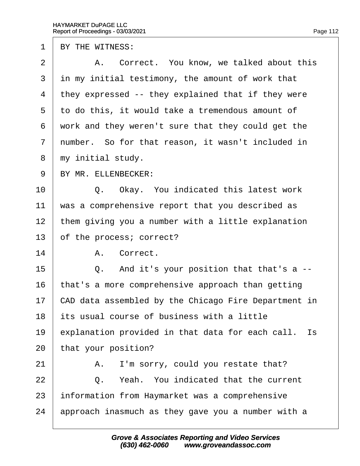<span id="page-112-0"></span>1 BY THE WITNESS: 2 | A. Correct. You know, we talked about this 3 in my initial testimony, the amount of work that 4 they expressed -- they explained that if they were 5 to do this, it would take a tremendous amount of ·6· ·work and they weren't sure that they could get the 7 number. So for that reason, it wasn't included in 8 my initial study. 9 BY MR. ELLENBECKER: 10 | Q. Okay. You indicated this latest work 11 was a comprehensive report that you described as 12 them giving you a number with a little explanation 13 of the process; correct? 14 | A. Correct.  $15$  Q. And it's your position that that's a  $-$ 16 that's a more comprehensive approach than getting 17 CAD data assembled by the Chicago Fire Department in 18 its usual course of business with a little 19 explanation provided in that data for each call. Is 20 that your position?  $21$  | A. I'm sorry, could you restate that?  $22 \mid Q$ . Yeah. You indicated that the current 23 information from Haymarket was a comprehensive 24 approach inasmuch as they gave you a number with a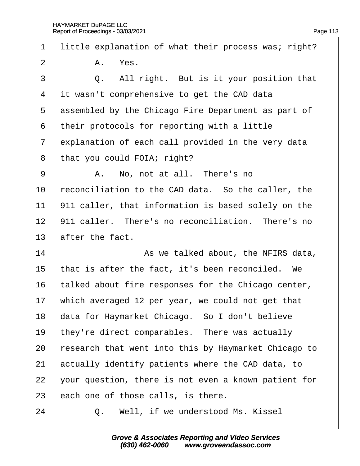$\Gamma$ 

<span id="page-113-0"></span>

| 1               | little explanation of what their process was; right? |
|-----------------|------------------------------------------------------|
| 2               | A. Yes.                                              |
| 3               | Q. All right. But is it your position that           |
| 4               | it wasn't comprehensive to get the CAD data          |
| 5               | assembled by the Chicago Fire Department as part of  |
| 6               | their protocols for reporting with a little          |
| 7               | explanation of each call provided in the very data   |
| 8               | that you could FOIA; right?                          |
| 9               | A. No, not at all. There's no                        |
| 10              | reconciliation to the CAD data. So the caller, the   |
| 11              | 911 caller, that information is based solely on the  |
| 12 <sub>2</sub> | 911 caller. There's no reconciliation. There's no    |
| 13              | after the fact.                                      |
| 14              | As we talked about, the NFIRS data,                  |
| 15              | that is after the fact, it's been reconciled. We     |
| 16              | talked about fire responses for the Chicago center,  |
| 17              | which averaged 12 per year, we could not get that    |
| 18              | data for Haymarket Chicago. So I don't believe       |
| 19              | they're direct comparables. There was actually       |
| 20              | research that went into this by Haymarket Chicago to |
| 21              | actually identify patients where the CAD data, to    |
| 22              | your question, there is not even a known patient for |
| 23              | each one of those calls, is there.                   |
| 24              | Well, if we understood Ms. Kissel<br>Q.              |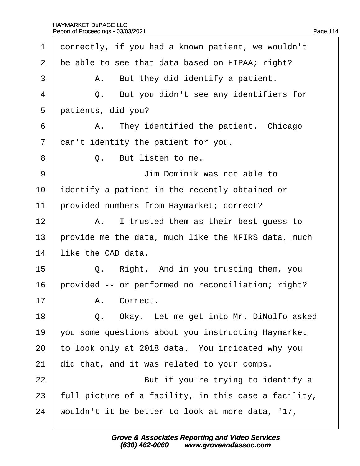<span id="page-114-0"></span>

| 1              | dorrectly, if you had a known patient, we wouldn't   |
|----------------|------------------------------------------------------|
| 2              | be able to see that data based on HIPAA; right?      |
| 3              | But they did identify a patient.<br>А.               |
| 4              | But you didn't see any identifiers for<br>Q.         |
| 5              | patients, did you?                                   |
| 6              | A. They identified the patient. Chicago              |
| $\overline{7}$ | dan't identity the patient for you.                  |
| 8              | Q. But listen to me.                                 |
| 9              | Jim Dominik was not able to                          |
| 10             | dentify a patient in the recently obtained or        |
| 11             | provided numbers from Haymarket; correct?            |
| 12             | A. I trusted them as their best guess to             |
| 13             | provide me the data, much like the NFIRS data, much  |
| 14             | like the CAD data.                                   |
| 15             | Q. Right. And in you trusting them, you              |
| 16             | provided -- or performed no reconciliation; right?   |
| 17             | A. Correct.                                          |
| 18             | Okay. Let me get into Mr. DiNolfo asked<br>Q.        |
| 19             | you some questions about you instructing Haymarket   |
| 20             | to look only at 2018 data. You indicated why you     |
| 21             | did that, and it was related to your comps.          |
| 22             | But if you're trying to identify a                   |
| 23             | full picture of a facility, in this case a facility, |
| 24             | wouldn't it be better to look at more data, '17,     |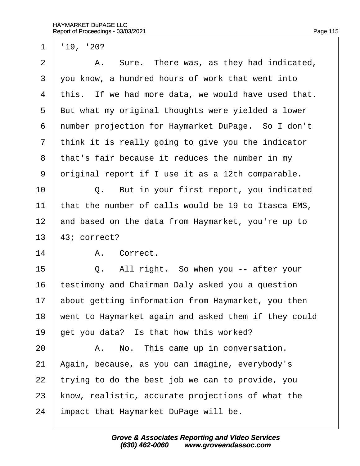<span id="page-115-0"></span>

| $1 \mid 19, 20?$                                          |  |
|-----------------------------------------------------------|--|
| 2   A. Sure. There was, as they had indicated,            |  |
| 3 you know, a hundred hours of work that went into        |  |
| المستحدث والمستحدث والمتحافظ والمستحدث والمتحاول والمتحدث |  |

4 this. If we had more data, we would have used that.

- 5 But what my original thoughts were yielded a lower
- 6 number projection for Haymarket DuPage. So I don't
- 7 think it is really going to give you the indicator
- 8 that's fair because it reduces the number in my
- 9 driginal report if I use it as a 12th comparable.
- 10 | Q. But in your first report, you indicated
- 11 that the number of calls would be 19 to Itasca EMS,
- 12 and based on the data from Haymarket, you're up to
- 13 43; correct?
- 14 | A. Correct.
- $15$   $\Box$  Q. All right. So when you -- after your
- 16 testimony and Chairman Daly asked you a question
- 17 about getting information from Haymarket, you then
- 18 went to Haymarket again and asked them if they could
- 19 get you data? Is that how this worked?
- $20$  | A. No. This came up in conversation.
- 21 Again, because, as you can imagine, everybody's
- 22 trying to do the best job we can to provide, you
- 23 know, realistic, accurate projections of what the
- 24 impact that Haymarket DuPage will be.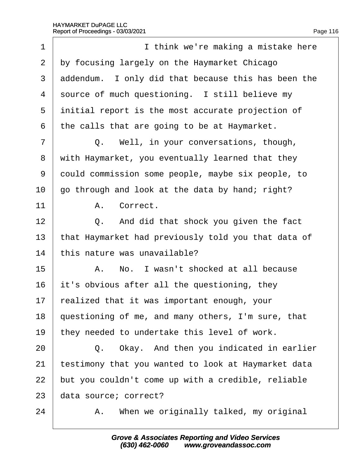<span id="page-116-0"></span>

| 1  | I think we're making a mistake here                 |
|----|-----------------------------------------------------|
| 2  | by focusing largely on the Haymarket Chicago        |
| 3  | addendum. I only did that because this has been the |
| 4  | source of much questioning. I still believe my      |
| 5  | initial report is the most accurate projection of   |
| 6  | the calls that are going to be at Haymarket.        |
| 7  | Q. Well, in your conversations, though,             |
| 8  | with Haymarket, you eventually learned that they    |
| 9  | dould commission some people, maybe six people, to  |
| 10 | go through and look at the data by hand; right?     |
| 11 | A. Correct.                                         |
| 12 | Q. And did that shock you given the fact            |
| 13 | that Haymarket had previously told you that data of |
| 14 | this nature was unavailable?                        |
| 15 | A. No. I wasn't shocked at all because              |
| 16 | it's obvious after all the questioning, they        |
| 17 | realized that it was important enough, your         |
| 18 | questioning of me, and many others, I'm sure, that  |
| 19 | they needed to undertake this level of work.        |
| 20 | Q. Okay. And then you indicated in earlier          |
| 21 | testimony that you wanted to look at Haymarket data |
| 22 | but you couldn't come up with a credible, reliable  |
| 23 | data source; correct?                               |
| 24 | When we originally talked, my original<br>Α.        |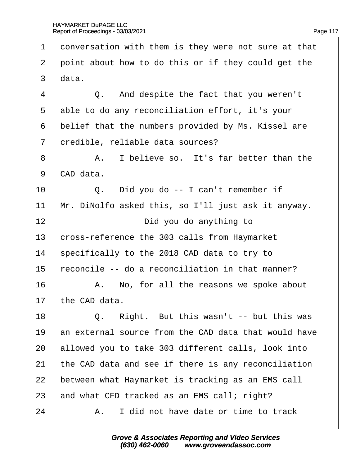<span id="page-117-0"></span>1 donversation with them is they were not sure at that 2 point about how to do this or if they could get the  $3$  data.  $4 \mid Q$ . And despite the fact that you weren't 5 able to do any reconciliation effort, it's your 6 belief that the numbers provided by Ms. Kissel are 7 dredible, reliable data sources? 8 A. I believe so. It's far better than the 9 CAD data.  $10$   $\Box$  Q. Did you do -- I can't remember if 11 Mr. DiNolfo asked this, so I'll just ask it anyway. 12 **Did you do anything to** 13 cross-reference the 303 calls from Haymarket 14 specifically to the 2018 CAD data to try to 15 reconcile -- do a reconciliation in that manner? 16 A. No, for all the reasons we spoke about 17 the CAD data.  $18$   $\Box$  Q. Right. But this wasn't -- but this was 19 an external source from the CAD data that would have 20 allowed you to take 303 different calls, look into 21 the CAD data and see if there is any reconciliation 22 between what Haymarket is tracking as an EMS call 23 and what CFD tracked as an EMS call; right?  $24$   $\parallel$  A. I did not have date or time to track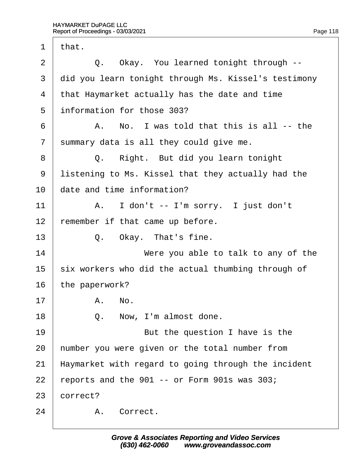$\Gamma$ 

<span id="page-118-0"></span>

| 1              | that.                                                |
|----------------|------------------------------------------------------|
| 2              | Q. Okay. You learned tonight through --              |
| 3              | did you learn tonight through Ms. Kissel's testimony |
| 4              | that Haymarket actually has the date and time        |
| 5              | information for those 303?                           |
| 6              | A. No. I was told that this is all -- the            |
| $\overline{7}$ | summary data is all they could give me.              |
| 8              | Q. Right. But did you learn tonight                  |
| 9              | listening to Ms. Kissel that they actually had the   |
| 10             | date and time information?                           |
| 11             | A. I don't -- I'm sorry. I just don't                |
| 12             | remember if that came up before.                     |
| 13             | Q. Okay. That's fine.                                |
| 14             | Were you able to talk to any of the                  |
| 15             | six workers who did the actual thumbing through of   |
| 16             | the paperwork?                                       |
| 17             | A. No.                                               |
| 18             | Q. Now, I'm almost done.                             |
| 19             | But the question I have is the                       |
| 20             | humber you were given or the total number from       |
| 21             | Haymarket with regard to going through the incident  |
| 22             | reports and the 901 -- or Form 901s was 303;         |
| 23             | correct?                                             |
| 24             | A. Correct.                                          |
|                |                                                      |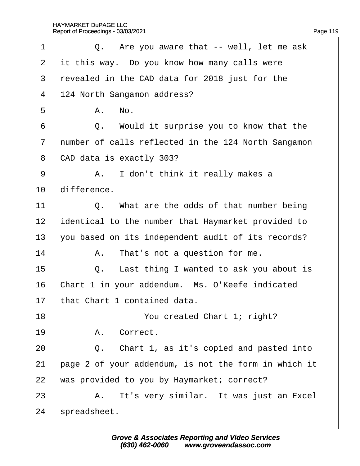<span id="page-119-0"></span>

| 1              | Q. Are you aware that -- well, let me ask            |  |
|----------------|------------------------------------------------------|--|
| 2              | it this way. Do you know how many calls were         |  |
| 3              | revealed in the CAD data for 2018 just for the       |  |
| 4              | 124 North Sangamon address?                          |  |
| 5              | A. No.                                               |  |
| 6              | Q. Would it surprise you to know that the            |  |
| $\overline{7}$ | number of calls reflected in the 124 North Sangamon  |  |
| 8              | CAD data is exactly 303?                             |  |
| 9              | A. I don't think it really makes a                   |  |
| 10             | difference.                                          |  |
| 11             | Q. What are the odds of that number being            |  |
| 12             | dentical to the number that Haymarket provided to    |  |
| 13             | you based on its independent audit of its records?   |  |
| 14             | A. That's not a question for me.                     |  |
| 15             | Q. Last thing I wanted to ask you about is           |  |
| 16             | Chart 1 in your addendum. Ms. O'Keefe indicated      |  |
| 17             | that Chart 1 contained data.                         |  |
| 18             | You created Chart 1; right?                          |  |
| 19             | A. Correct.                                          |  |
| 20             | Q. Chart 1, as it's copied and pasted into           |  |
| 21             | page 2 of your addendum, is not the form in which it |  |
| 22             | was provided to you by Haymarket; correct?           |  |
| 23             | A. It's very similar. It was just an Excel           |  |
| 24             | spreadsheet.                                         |  |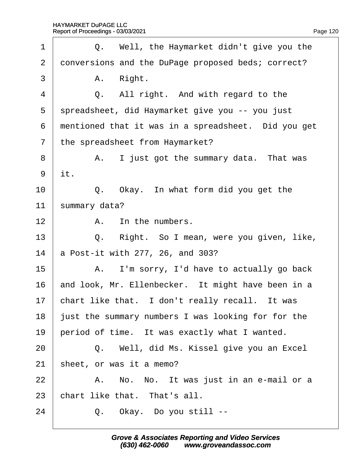$\Gamma$ 

<span id="page-120-0"></span>

| 1              |     | Q. Well, the Haymarket didn't give you the          |
|----------------|-----|-----------------------------------------------------|
| $\overline{2}$ |     | donversions and the DuPage proposed beds; correct?  |
| 3              |     | A. Right.                                           |
| 4              |     | Q. All right. And with regard to the                |
| 5              |     | spreadsheet, did Haymarket give you -- you just     |
| 6              |     | mentioned that it was in a spreadsheet. Did you get |
| $\overline{7}$ |     | the spreadsheet from Haymarket?                     |
| 8              |     | A. I just got the summary data. That was            |
| 9              | it. |                                                     |
| 10             |     | Q. Okay. In what form did you get the               |
| 11             |     | summary data?                                       |
| 12             |     | A. In the numbers.                                  |
| 13             | Q.  | Right. So I mean, were you given, like,             |
| 14             |     | a Post-it with 277, 26, and 303?                    |
| 15             |     | A. I'm sorry, I'd have to actually go back          |
| 16             |     | and look, Mr. Ellenbecker. It might have been in a  |
| 17             |     | chart like that. I don't really recall. It was      |
| 18             |     | just the summary numbers I was looking for for the  |
| 19             |     | period of time. It was exactly what I wanted.       |
| 20             |     | Q. Well, did Ms. Kissel give you an Excel           |
| 21             |     | sheet, or was it a memo?                            |
| 22             |     | A. No. No. It was just in an e-mail or a            |
| 23             |     | chart like that. That's all.                        |
| 24             |     | Q. Okay. Do you still --                            |
|                |     |                                                     |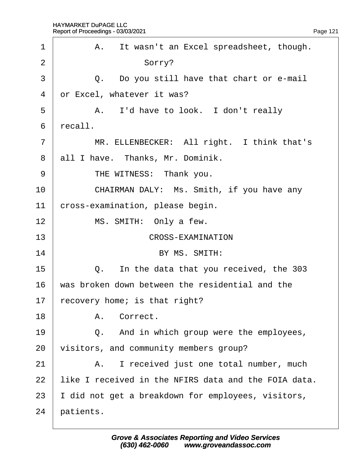<span id="page-121-0"></span>

| 1              | A. It wasn't an Excel spreadsheet, though.           |
|----------------|------------------------------------------------------|
| $\overline{2}$ | Sorry?                                               |
| 3              | Q. Do you still have that chart or e-mail            |
| 4              | or Excel, whatever it was?                           |
| 5              | A. I'd have to look. I don't really                  |
| 6              | recall.                                              |
| $\overline{7}$ | MR. ELLENBECKER: All right. I think that's           |
| 8              | all I have. Thanks, Mr. Dominik.                     |
| 9              | THE WITNESS: Thank you.                              |
| 10             | CHAIRMAN DALY: Ms. Smith, if you have any            |
| 11             | cross-examination, please begin.                     |
| 12             | MS. SMITH: Only a few.                               |
| 13             | <b>CROSS-EXAMINATION</b>                             |
| 14             | BY MS. SMITH:                                        |
| 15             | Q. In the data that you received, the 303            |
| 16             | was broken down between the residential and the      |
| 17             | recovery home; is that right?                        |
| 18             | A. Correct.                                          |
| 19             | And in which group were the employees,<br>Q.         |
| 20             | visitors, and community members group?               |
| 21             | A. I received just one total number, much            |
| 22             | like I received in the NFIRS data and the FOIA data. |
| 23             | did not get a breakdown for employees, visitors,     |
| 24             | patients.                                            |
|                |                                                      |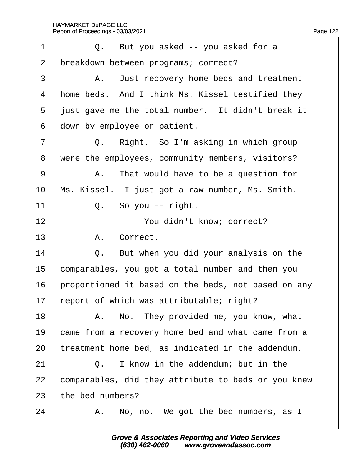<span id="page-122-0"></span>

| 1              | Q. But you asked -- you asked for a                 |  |  |  |  |
|----------------|-----------------------------------------------------|--|--|--|--|
| $\overline{2}$ | breakdown between programs; correct?                |  |  |  |  |
| 3              | A. Just recovery home beds and treatment            |  |  |  |  |
| 4              | home beds. And I think Ms. Kissel testified they    |  |  |  |  |
| 5              | just gave me the total number. It didn't break it   |  |  |  |  |
| 6              | down by employee or patient.                        |  |  |  |  |
| $\overline{7}$ | Right. So I'm asking in which group<br>Q.           |  |  |  |  |
| 8              | were the employees, community members, visitors?    |  |  |  |  |
| 9              | A. That would have to be a question for             |  |  |  |  |
| 10             | Ms. Kissel. I just got a raw number, Ms. Smith.     |  |  |  |  |
| 11             | Q. So you -- right.                                 |  |  |  |  |
| 12             | You didn't know; correct?                           |  |  |  |  |
| 13             | A. Correct.                                         |  |  |  |  |
| 14             | Q. But when you did your analysis on the            |  |  |  |  |
| 15             | comparables, you got a total number and then you    |  |  |  |  |
| 16             | proportioned it based on the beds, not based on any |  |  |  |  |
| 17             | report of which was attributable; right?            |  |  |  |  |
| 18             | A. No. They provided me, you know, what             |  |  |  |  |
| 19             | came from a recovery home bed and what came from a  |  |  |  |  |
| 20             | treatment home bed, as indicated in the addendum.   |  |  |  |  |
| 21             | Q. I know in the addendum; but in the               |  |  |  |  |
| 22             | comparables, did they attribute to beds or you knew |  |  |  |  |
| 23             | the bed numbers?                                    |  |  |  |  |
| 24             | A. No, no. We got the bed numbers, as I             |  |  |  |  |
|                |                                                     |  |  |  |  |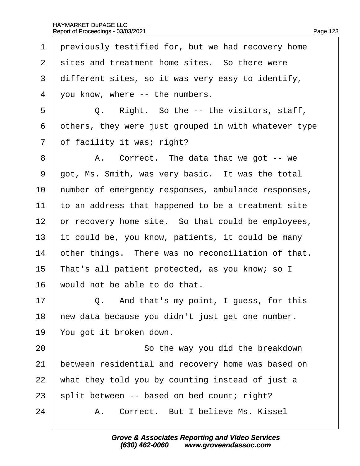<span id="page-123-0"></span>1 previously testified for, but we had recovery home 2 sites and treatment home sites. So there were 3 different sites, so it was very easy to identify, 4 vou know, where -- the numbers.  $5 \mid Q$ . Right. So the  $-$  the visitors, staff, 6 dthers, they were just grouped in with whatever type 7 of facility it was; right? 8 | A. Correct. The data that we got -- we 9 got, Ms. Smith, was very basic. It was the total 10 humber of emergency responses, ambulance responses, 11 to an address that happened to be a treatment site 12 or recovery home site. So that could be employees, 13 it could be, you know, patients, it could be many 14 bther things. There was no reconciliation of that. 15 That's all patient protected, as you know; so I 16 would not be able to do that.  $17 \parallel Q$ . And that's my point, I guess, for this 18 hew data because you didn't just get one number. 19 You got it broken down. 20 **So the way you did the breakdown** 21 between residential and recovery home was based on 22 what they told you by counting instead of just a 23 split between -- based on bed count; right? 24 · A. Correct. But I believe Ms. Kissel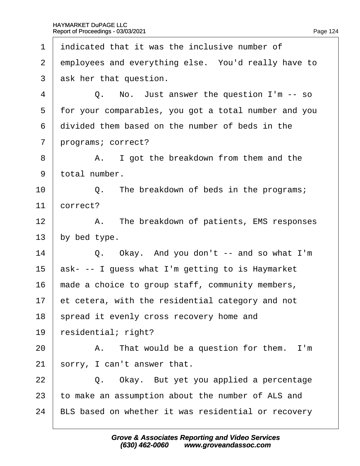<span id="page-124-0"></span>1 indicated that it was the inclusive number of 2 employees and everything else. You'd really have to 3 ask her that question.  $4 \mid Q$ . No. Just answer the question I'm  $-$  so 5 for your comparables, you got a total number and you 6 divided them based on the number of beds in the 7 programs; correct? 8 | A. I got the breakdown from them and the 9 total number. 10  $\vert$  Q. The breakdown of beds in the programs; 11 correct? 12 | A. The breakdown of patients, EMS responses 13 by bed type. 14  $\vert$  Q. Okay. And you don't -- and so what I'm 15 ask- -- I guess what I'm getting to is Haymarket 16 made a choice to group staff, community members, 17 et cetera, with the residential category and not 18 spread it evenly cross recovery home and 19 residential; right?  $20$  | A. That would be a question for them. I'm 21 sorry, I can't answer that.  $22$   $\Box$  Q. Okay. But yet you applied a percentage 23 to make an assumption about the number of ALS and 24 BLS based on whether it was residential or recovery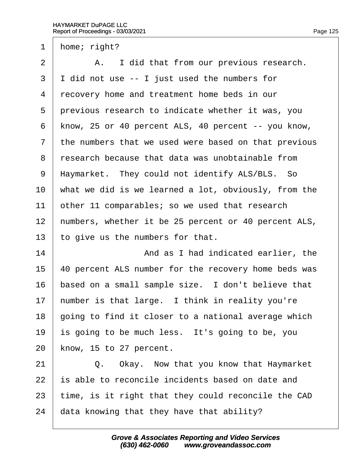- <span id="page-125-0"></span>1 home; right?
- $2 \mid$  A. I did that from our previous research.
- 3 I did not use -- I just used the numbers for
- 4 recovery home and treatment home beds in our
- 5 previous research to indicate whether it was, you
- 6 know, 25 or 40 percent ALS, 40 percent -- you know,
- 7 the numbers that we used were based on that previous
- ·8· ·research because that data was unobtainable from
- 9 Haymarket. They could not identify ALS/BLS. So
- 10 what we did is we learned a lot, obviously, from the
- 11 bther 11 comparables; so we used that research
- 12 humbers, whether it be 25 percent or 40 percent ALS,
- 13 to give us the numbers for that.
- 14 **14** And as I had indicated earlier, the
- 15 40 percent ALS number for the recovery home beds was
- 16 based on a small sample size. I don't believe that
- 17 humber is that large. I think in reality you're
- 18 going to find it closer to a national average which
- 19 is going to be much less. It's going to be, you
- 20 know, 15 to 27 percent.
- 21  $\vert$  Q. Okay. Now that you know that Haymarket
- 22 is able to reconcile incidents based on date and
- 23 time, is it right that they could reconcile the CAD
- 24  $\,$  data knowing that they have that ability?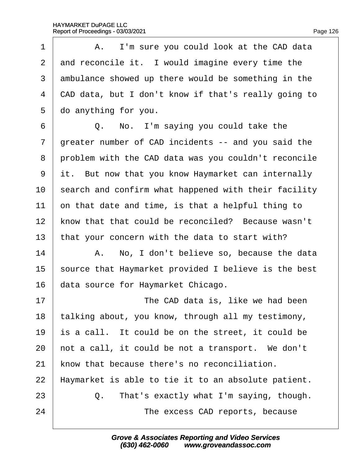<span id="page-126-0"></span>

| 1              | A. I'm sure you could look at the CAD data           |  |  |  |  |  |
|----------------|------------------------------------------------------|--|--|--|--|--|
| 2              | and reconcile it. I would imagine every time the     |  |  |  |  |  |
| 3              | ambulance showed up there would be something in the  |  |  |  |  |  |
| 4              | CAD data, but I don't know if that's really going to |  |  |  |  |  |
| 5              | do anything for you.                                 |  |  |  |  |  |
| 6              | Q. No. I'm saying you could take the                 |  |  |  |  |  |
| $\overline{7}$ | greater number of CAD incidents -- and you said the  |  |  |  |  |  |
| 8              | problem with the CAD data was you couldn't reconcile |  |  |  |  |  |
| 9              | it. But now that you know Haymarket can internally   |  |  |  |  |  |
| 10             | search and confirm what happened with their facility |  |  |  |  |  |
| 11             | on that date and time, is that a helpful thing to    |  |  |  |  |  |
| 12             | know that that could be reconciled? Because wasn't   |  |  |  |  |  |
| 13             | that your concern with the data to start with?       |  |  |  |  |  |
| 14             | A. No, I don't believe so, because the data          |  |  |  |  |  |
| 15             | source that Haymarket provided I believe is the best |  |  |  |  |  |
| 16             | data source for Haymarket Chicago.                   |  |  |  |  |  |
| 17             | The CAD data is, like we had been                    |  |  |  |  |  |
| 18             | talking about, you know, through all my testimony,   |  |  |  |  |  |
| 19             | s a call. It could be on the street, it could be     |  |  |  |  |  |
| 20             | hot a call, it could be not a transport. We don't    |  |  |  |  |  |
| 21             | know that because there's no reconciliation.         |  |  |  |  |  |
| 22             | Haymarket is able to tie it to an absolute patient.  |  |  |  |  |  |
| 23             | That's exactly what I'm saying, though.<br>Q.        |  |  |  |  |  |
| 24             | The excess CAD reports, because                      |  |  |  |  |  |
|                |                                                      |  |  |  |  |  |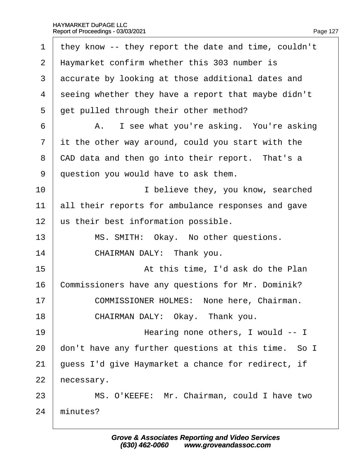$\Gamma$ 

<span id="page-127-0"></span>

| $\mathbf 1$    | they know -- they report the date and time, couldn't |  |  |  |  |
|----------------|------------------------------------------------------|--|--|--|--|
| $\overline{2}$ | Haymarket confirm whether this 303 number is         |  |  |  |  |
| 3              | accurate by looking at those additional dates and    |  |  |  |  |
| 4              | seeing whether they have a report that maybe didn't  |  |  |  |  |
| 5              | get pulled through their other method?               |  |  |  |  |
| 6              | A. I see what you're asking. You're asking           |  |  |  |  |
| $\overline{7}$ | if the other way around, could you start with the    |  |  |  |  |
| 8              | CAD data and then go into their report. That's a     |  |  |  |  |
| 9              | question you would have to ask them.                 |  |  |  |  |
| 10             | I believe they, you know, searched                   |  |  |  |  |
| 11             | all their reports for ambulance responses and gave   |  |  |  |  |
| 12             | us their best information possible.                  |  |  |  |  |
| 13             | MS. SMITH: Okay. No other questions.                 |  |  |  |  |
| 14             | CHAIRMAN DALY: Thank you.                            |  |  |  |  |
| 15             | At this time, I'd ask do the Plan                    |  |  |  |  |
| 16             | Commissioners have any questions for Mr. Dominik?    |  |  |  |  |
| 17             | COMMISSIONER HOLMES: None here, Chairman.            |  |  |  |  |
| 18             | CHAIRMAN DALY: Okay. Thank you.                      |  |  |  |  |
| 19             | Hearing none others, I would -- I                    |  |  |  |  |
| 20             | don't have any further questions at this time. So I  |  |  |  |  |
| 21             | guess I'd give Haymarket a chance for redirect, if   |  |  |  |  |
| 22             | hecessary.                                           |  |  |  |  |
| 23             | MS. O'KEEFE: Mr. Chairman, could I have two          |  |  |  |  |
| 24             | minutes?                                             |  |  |  |  |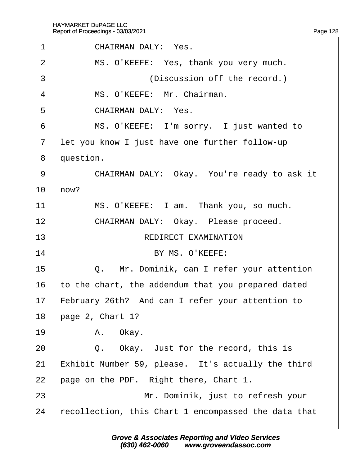<span id="page-128-0"></span>

| $\mathbf 1$    | <b>CHAIRMAN DALY: Yes.</b>                         |  |  |  |  |
|----------------|----------------------------------------------------|--|--|--|--|
| $\overline{2}$ | MS. O'KEEFE: Yes, thank you very much.             |  |  |  |  |
| 3              | (Discussion off the record.)                       |  |  |  |  |
| 4              | MS. O'KEEFE: Mr. Chairman.                         |  |  |  |  |
| 5              | <b>CHAIRMAN DALY: Yes.</b>                         |  |  |  |  |
| 6              | MS. O'KEEFE: I'm sorry. I just wanted to           |  |  |  |  |
| $\overline{7}$ | let you know I just have one further follow-up     |  |  |  |  |
| 8              | question.                                          |  |  |  |  |
| 9              | CHAIRMAN DALY: Okay. You're ready to ask it        |  |  |  |  |
| 10             | how?                                               |  |  |  |  |
| 11             | MS. O'KEEFE: I am. Thank you, so much.             |  |  |  |  |
| 12             | CHAIRMAN DALY: Okay. Please proceed.               |  |  |  |  |
| 13             | <b>REDIRECT EXAMINATION</b>                        |  |  |  |  |
| 14             | BY MS. O'KEEFE:                                    |  |  |  |  |
| 15             | Q. Mr. Dominik, can I refer your attention         |  |  |  |  |
| 16             | to the chart, the addendum that you prepared dated |  |  |  |  |
| 17             | February 26th? And can I refer your attention to   |  |  |  |  |
| 18             | page 2, Chart 1?                                   |  |  |  |  |
| 19             | A. Okay.                                           |  |  |  |  |
| 20             | Q. Okay. Just for the record, this is              |  |  |  |  |
| 21             | Exhibit Number 59, please. It's actually the third |  |  |  |  |
| 22             | page on the PDF. Right there, Chart 1.             |  |  |  |  |
|                |                                                    |  |  |  |  |
| 23             | Mr. Dominik, just to refresh your                  |  |  |  |  |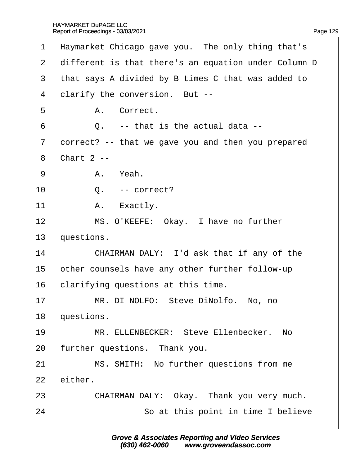<span id="page-129-0"></span>

| 1              | Haymarket Chicago gave you. The only thing that's    |  |  |  |  |
|----------------|------------------------------------------------------|--|--|--|--|
| $\overline{2}$ | different is that there's an equation under Column D |  |  |  |  |
| 3              | that says A divided by B times C that was added to   |  |  |  |  |
| 4              | clarify the conversion. But --                       |  |  |  |  |
| 5              | A. Correct.                                          |  |  |  |  |
| 6              | $Q_{-}$ -- that is the actual data --                |  |  |  |  |
| $\overline{7}$ | dorrect? -- that we gave you and then you prepared   |  |  |  |  |
| 8              | <b>Chart 2 --</b>                                    |  |  |  |  |
| 9              | A. Yeah.                                             |  |  |  |  |
| 10             | $Q. - correct?$                                      |  |  |  |  |
| 11             | A. Exactly.                                          |  |  |  |  |
| 12             | MS. O'KEEFE: Okay. I have no further                 |  |  |  |  |
| 13             | questions.                                           |  |  |  |  |
| 14             | CHAIRMAN DALY: I'd ask that if any of the            |  |  |  |  |
| 15             | other counsels have any other further follow-up      |  |  |  |  |
| 16             | clarifying questions at this time.                   |  |  |  |  |
| 17             | MR. DI NOLFO: Steve DiNolfo. No, no                  |  |  |  |  |
| 18             | questions.                                           |  |  |  |  |
| 19             | MR. ELLENBECKER: Steve Ellenbecker. No               |  |  |  |  |
| 20             | further questions. Thank you.                        |  |  |  |  |
| 21             | MS. SMITH: No further questions from me              |  |  |  |  |
| 22             | either.                                              |  |  |  |  |
| 23             | CHAIRMAN DALY: Okay. Thank you very much.            |  |  |  |  |
| 24             | So at this point in time I believe                   |  |  |  |  |
|                |                                                      |  |  |  |  |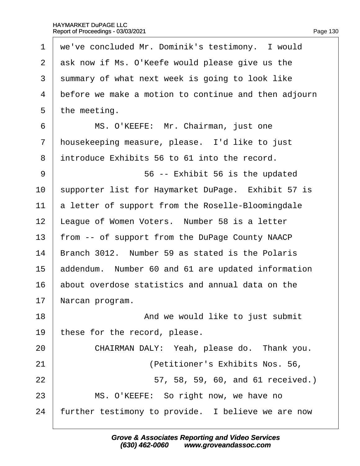<span id="page-130-0"></span>

| 1              | we've concluded Mr. Dominik's testimony. I would     |  |  |  |
|----------------|------------------------------------------------------|--|--|--|
| 2              | ask now if Ms. O'Keefe would please give us the      |  |  |  |
| 3              | summary of what next week is going to look like      |  |  |  |
| 4              | before we make a motion to continue and then adjourn |  |  |  |
| 5              | the meeting.                                         |  |  |  |
| 6              | MS. O'KEEFE: Mr. Chairman, just one                  |  |  |  |
| $\overline{7}$ | housekeeping measure, please. I'd like to just       |  |  |  |
| 8              | introduce Exhibits 56 to 61 into the record.         |  |  |  |
| 9              | 56 -- Exhibit 56 is the updated                      |  |  |  |
| 10             | supporter list for Haymarket DuPage. Exhibit 57 is   |  |  |  |
| 11             | a letter of support from the Roselle-Bloomingdale    |  |  |  |
| 12             | League of Women Voters. Number 58 is a letter        |  |  |  |
| 13             | from -- of support from the DuPage County NAACP      |  |  |  |
| 14             | Branch 3012. Number 59 as stated is the Polaris      |  |  |  |
| 15             | addendum. Number 60 and 61 are updated information   |  |  |  |
| 16             | about overdose statistics and annual data on the     |  |  |  |
| 17             | Narcan program.                                      |  |  |  |
| 18             | And we would like to just submit                     |  |  |  |
| 19             | these for the record, please.                        |  |  |  |
| 20             | CHAIRMAN DALY: Yeah, please do. Thank you.           |  |  |  |
| 21             | (Petitioner's Exhibits Nos. 56,                      |  |  |  |
| 22             | 57, 58, 59, 60, and 61 received.)                    |  |  |  |
| 23             | MS. O'KEEFE: So right now, we have no                |  |  |  |
| 24             | further testimony to provide. I believe we are now   |  |  |  |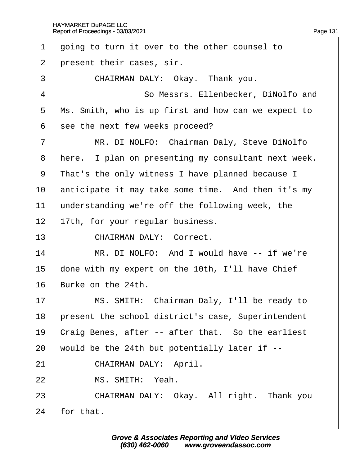$\Gamma$ 

<span id="page-131-0"></span>

| 1              | going to turn it over to the other counsel to       |  |  |  |  |  |
|----------------|-----------------------------------------------------|--|--|--|--|--|
| $\overline{2}$ | present their cases, sir.                           |  |  |  |  |  |
| 3              | CHAIRMAN DALY: Okay. Thank you.                     |  |  |  |  |  |
| $\overline{4}$ | So Messrs. Ellenbecker, DiNolfo and                 |  |  |  |  |  |
| 5              | Ms. Smith, who is up first and how can we expect to |  |  |  |  |  |
| 6              | see the next few weeks proceed?                     |  |  |  |  |  |
| 7              | MR. DI NOLFO: Chairman Daly, Steve DiNolfo          |  |  |  |  |  |
| 8              | Here. I plan on presenting my consultant next week. |  |  |  |  |  |
| 9              | That's the only witness I have planned because I    |  |  |  |  |  |
| 10             | anticipate it may take some time. And then it's my  |  |  |  |  |  |
| 11             | understanding we're off the following week, the     |  |  |  |  |  |
| 12             | 17th, for your regular business.                    |  |  |  |  |  |
| 13             | <b>CHAIRMAN DALY: Correct.</b>                      |  |  |  |  |  |
| 14             | MR. DI NOLFO: And I would have -- if we're          |  |  |  |  |  |
| 15             | done with my expert on the 10th, I'll have Chief    |  |  |  |  |  |
| 16             | Burke on the 24th.                                  |  |  |  |  |  |
| 17             | MS. SMITH: Chairman Daly, I'll be ready to          |  |  |  |  |  |
| 18             | present the school district's case, Superintendent  |  |  |  |  |  |
| 19             | Craig Benes, after -- after that. So the earliest   |  |  |  |  |  |
| 20             | would be the 24th but potentially later if --       |  |  |  |  |  |
| 21             | CHAIRMAN DALY: April.                               |  |  |  |  |  |
| 22             | MS. SMITH: Yeah.                                    |  |  |  |  |  |
| 23             | CHAIRMAN DALY: Okay. All right. Thank you           |  |  |  |  |  |
|                |                                                     |  |  |  |  |  |

24  $\,$  for that.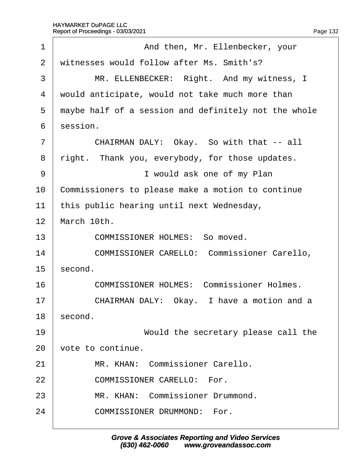<span id="page-132-0"></span>

| 1              | And then, Mr. Ellenbecker, your                      |  |  |  |  |
|----------------|------------------------------------------------------|--|--|--|--|
| $\overline{2}$ | witnesses would follow after Ms. Smith's?            |  |  |  |  |
| 3              | MR. ELLENBECKER: Right. And my witness, I            |  |  |  |  |
| 4              | would anticipate, would not take much more than      |  |  |  |  |
| 5              | maybe half of a session and definitely not the whole |  |  |  |  |
| 6              | session.                                             |  |  |  |  |
| $\overline{7}$ | CHAIRMAN DALY: Okay. So with that -- all             |  |  |  |  |
| 8              | right. Thank you, everybody, for those updates.      |  |  |  |  |
| 9              | I would ask one of my Plan                           |  |  |  |  |
| 10             | Commissioners to please make a motion to continue    |  |  |  |  |
| 11             | this public hearing until next Wednesday,            |  |  |  |  |
| 12             | March 10th.                                          |  |  |  |  |
| 13             | <b>COMMISSIONER HOLMES: So moved.</b>                |  |  |  |  |
| 14             | <b>COMMISSIONER CARELLO: Commissioner Carello,</b>   |  |  |  |  |
| 15             | second.                                              |  |  |  |  |
| 16             | <b>COMMISSIONER HOLMES: Commissioner Holmes.</b>     |  |  |  |  |
| 17             | CHAIRMAN DALY: Okay. I have a motion and a           |  |  |  |  |
| 18             | second.                                              |  |  |  |  |
| 19             | Would the secretary please call the                  |  |  |  |  |
| 20             | vote to continue.                                    |  |  |  |  |
| 21             | MR. KHAN: Commissioner Carello.                      |  |  |  |  |
| 22             | <b>COMMISSIONER CARELLO: For.</b>                    |  |  |  |  |
| 23             | MR. KHAN: Commissioner Drummond.                     |  |  |  |  |
| 24             | <b>COMMISSIONER DRUMMOND: For.</b>                   |  |  |  |  |
|                |                                                      |  |  |  |  |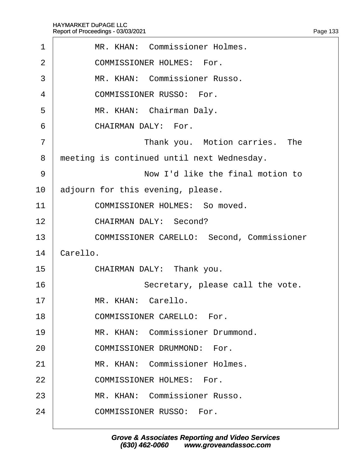$\Gamma$ 

<span id="page-133-0"></span>

| 1              | MR. KHAN: Commissioner Holmes.                    |  |  |  |  |
|----------------|---------------------------------------------------|--|--|--|--|
| 2              | <b>COMMISSIONER HOLMES: For.</b>                  |  |  |  |  |
| 3              | MR. KHAN: Commissioner Russo.                     |  |  |  |  |
| 4              | <b>COMMISSIONER RUSSO: For.</b>                   |  |  |  |  |
| 5              | MR. KHAN: Chairman Daly.                          |  |  |  |  |
| 6              | <b>CHAIRMAN DALY: For.</b>                        |  |  |  |  |
| $\overline{7}$ | Thank you. Motion carries. The                    |  |  |  |  |
| 8              | meeting is continued until next Wednesday.        |  |  |  |  |
| 9              | Now I'd like the final motion to                  |  |  |  |  |
| 10             | adjourn for this evening, please.                 |  |  |  |  |
| 11             | <b>COMMISSIONER HOLMES: So moved.</b>             |  |  |  |  |
| 12             | <b>CHAIRMAN DALY: Second?</b>                     |  |  |  |  |
| 13             | <b>COMMISSIONER CARELLO: Second, Commissioner</b> |  |  |  |  |
| 14             | Carello.                                          |  |  |  |  |
| 15             | CHAIRMAN DALY: Thank you.                         |  |  |  |  |
| 16             | Secretary, please call the vote.                  |  |  |  |  |
| 17             | MR. KHAN: Carello.                                |  |  |  |  |
| 18             | <b>COMMISSIONER CARELLO: For.</b>                 |  |  |  |  |
| 19             | MR. KHAN: Commissioner Drummond.                  |  |  |  |  |
| 20             | <b>COMMISSIONER DRUMMOND: For.</b>                |  |  |  |  |
| 21             | MR. KHAN: Commissioner Holmes.                    |  |  |  |  |
| 22             | <b>COMMISSIONER HOLMES: For.</b>                  |  |  |  |  |
| 23             | MR. KHAN: Commissioner Russo.                     |  |  |  |  |
| 24             | <b>COMMISSIONER RUSSO: For.</b>                   |  |  |  |  |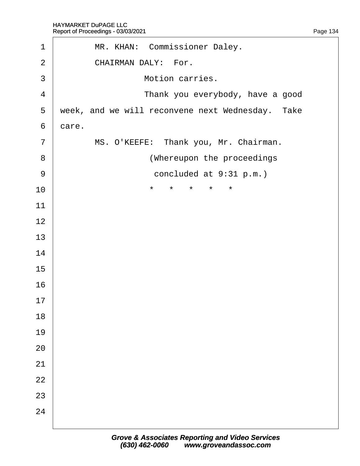<span id="page-134-0"></span>

| 1              | MR. KHAN: Commissioner Daley.                    |  |  |  |  |
|----------------|--------------------------------------------------|--|--|--|--|
| $\overline{2}$ | CHAIRMAN DALY: For.                              |  |  |  |  |
| 3              | Motion carries.                                  |  |  |  |  |
| $\overline{4}$ | Thank you everybody, have a good                 |  |  |  |  |
| 5              | week, and we will reconvene next Wednesday. Take |  |  |  |  |
| $6\,$          | dare.                                            |  |  |  |  |
| $\overline{7}$ | MS. O'KEEFE: Thank you, Mr. Chairman.            |  |  |  |  |
| 8              | (Whereupon the proceedings                       |  |  |  |  |
| $9\,$          | concluded at 9:31 p.m.)                          |  |  |  |  |
| 10             | $\star$                                          |  |  |  |  |
| 11             |                                                  |  |  |  |  |
| 12             |                                                  |  |  |  |  |
| 13             |                                                  |  |  |  |  |
| 14             |                                                  |  |  |  |  |
| 15             |                                                  |  |  |  |  |
| 16             |                                                  |  |  |  |  |
| 17             |                                                  |  |  |  |  |
| 18             |                                                  |  |  |  |  |
| 19             |                                                  |  |  |  |  |
| 20             |                                                  |  |  |  |  |
| 21             |                                                  |  |  |  |  |
| 22             |                                                  |  |  |  |  |
| 23             |                                                  |  |  |  |  |
| 24             |                                                  |  |  |  |  |
|                |                                                  |  |  |  |  |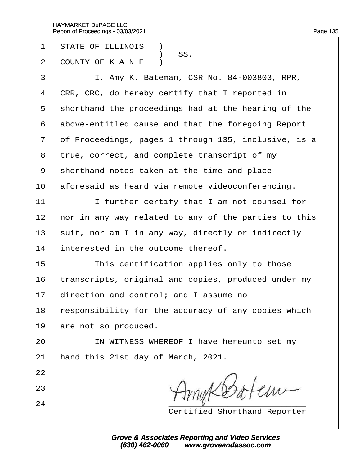| 1              | <b>STATE OF ILLINOIS</b> )                           |  |  |  |
|----------------|------------------------------------------------------|--|--|--|
| 2              | SS.<br>COUNTY OF KANE)                               |  |  |  |
| 3              | I, Amy K. Bateman, CSR No. 84-003803, RPR,           |  |  |  |
| 4              | CRR, CRC, do hereby certify that I reported in       |  |  |  |
| 5              | shorthand the proceedings had at the hearing of the  |  |  |  |
| 6              | above-entitled cause and that the foregoing Report   |  |  |  |
| $\overline{7}$ | of Proceedings, pages 1 through 135, inclusive, is a |  |  |  |
| 8              | true, correct, and complete transcript of my         |  |  |  |
| 9              | shorthand notes taken at the time and place          |  |  |  |
| 10             | aforesaid as heard via remote videoconferencing.     |  |  |  |
| 11             | I further certify that I am not counsel for          |  |  |  |
| 12             | hor in any way related to any of the parties to this |  |  |  |
| 13             | suit, nor am I in any way, directly or indirectly    |  |  |  |
| 14             | interested in the outcome thereof.                   |  |  |  |
| 15             | This certification applies only to those             |  |  |  |
| 16             | transcripts, original and copies, produced under my  |  |  |  |
| 17             | direction and control; and I assume no               |  |  |  |
| 18             | responsibility for the accuracy of any copies which  |  |  |  |
| 19             | are not so produced.                                 |  |  |  |
| 20             | IN WITNESS WHEREOF I have hereunto set my            |  |  |  |
| 21             | hand this 21st day of March, 2021.                   |  |  |  |
| 22             |                                                      |  |  |  |
| 23             |                                                      |  |  |  |
| 24             | <b>Certified Shorthand Reporter</b>                  |  |  |  |
|                |                                                      |  |  |  |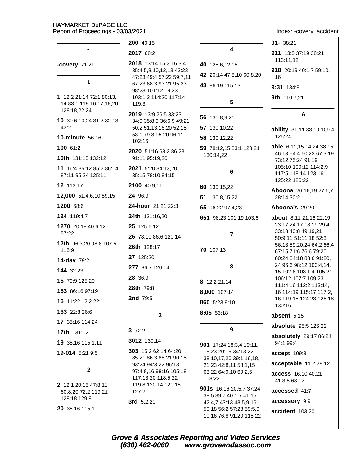Index: -covery..accident

|                                                | 200 40:15                                           |                                                     | $91 - 38:21$                                       |
|------------------------------------------------|-----------------------------------------------------|-----------------------------------------------------|----------------------------------------------------|
|                                                | 2017 68:2                                           | 4                                                   | 911 13:5 37:19 38:21                               |
| -covery 71:21                                  | 2018 13:14 15:3 16:3,4                              | 40 125:6,12,15                                      | 113:11,12                                          |
|                                                | 35:4,5,8,10,12,13 43:23<br>47:23 49:4 57:22 59:7,11 | 42 20:14 47:8,10 60:8,20                            | 918 20:19 40:1,7 59:10,<br>16                      |
| 1                                              | 67:23 68:3 93:21 95:23                              | 43 86:19 115:13                                     | 9:31 134:9                                         |
| 1 12:2 21:14 72:1 80:13,                       | 98:23 101:12,19,23<br>103:1,2 114:20 117:14         |                                                     | 9th 110:7,21                                       |
| 14 83:1 119:16,17,18,20                        | 119:3                                               | 5                                                   |                                                    |
| 128:18,22,24<br>10 30:6, 10, 24 31: 2 32: 13   | 2019 13:9 26:5 33:23                                | 56 130:8,9,21                                       | A                                                  |
| 43:2                                           | 34:9 35:8,9 36:6,9 49:21<br>50:2 51:13,16,20 52:15  | 57 130:10,22                                        | ability 31:11 33:19 109:4                          |
| <b>10-minute 56:16</b>                         | 53:1 79:8 95:20 96:11<br>102:16                     | 58 130:12,22                                        | 125:24                                             |
| 100 61:2                                       | 2020 51:16 68:2 86:23                               | 59 78:12,15 83:1 128:21                             | able 6:11,15 14:24 38:15                           |
| 10th 131:15 132:12                             | 91:11 95:19,20                                      | 130:14,22                                           | 46:13 54:4 60:23 67:3,19<br>73:12 75:24 91:19      |
| 11 16:4 35:12 85:2 86:14<br>87:11 95:24 125:11 | 2021 5:20 34:13,20<br>35:15 78:10 84:15             | 6                                                   | 105:10 109:12 114:2,9<br>117:5 118:14 123:16       |
| 12 113:17                                      | 2100 40:9,11                                        | 60 130:15,22                                        | 125:22 126:22                                      |
| 12,000 51:4,6,10 59:15                         | 24 96:9                                             | 61 130:8,15,22                                      | Aboona 26:16,19 27:6,7<br>28:14 30:2               |
| 1200 68:6                                      | 24-hour 21:21 22:3                                  | 65 96:22 97:4,23                                    | Aboona's 29:20                                     |
| 124 119:4,7                                    | 24th 131:16,20                                      | 651 98:23 101:19 103:6                              | about 8:11 21:16 22:19                             |
| 1270 20:18 40:6,12                             | 25 125:6,12                                         |                                                     | 23:17 24:17,18,19 29:4                             |
| 57:22                                          | 26 78:10 86:6 120:14                                | $\overline{7}$                                      | 33:18 40:8 49:19,21<br>50:9,11 51:11,18 52:3       |
| 12th 96:3,20 98:8 107:5<br>115:9               | 26th 128:17                                         | 70 107:13                                           | 56:18 59:20,24 64:2 66:4<br>67:15 71:6 76:6 79:20  |
| <b>14-day 79:2</b>                             | 27 125:20                                           |                                                     | 80:24 84:18 88:6 91:20,                            |
| 144 32:23                                      | 277 86:7 120:14                                     | 8                                                   | 24 96:6 98:12 100:4,14,<br>15 102:6 103:1,4 105:21 |
| 15 79:9 125:20                                 | 28 36:9                                             | 8 12:2 21:14                                        | 106:12 107:7 109:23                                |
| 153 86:16 97:19                                | 28th 79:8                                           | 8,000 107:14                                        | 111:4,16 112:2 113:14,<br>16 114:19 115:17 117:2,  |
| 16 11:22 12:2 22:1                             | 2nd 79:5                                            | 860 5:23 9:10                                       | 16 119:15 124:23 126:18                            |
| 163 22:8 26:6                                  | $\mathbf{3}$                                        | 8:05 56:18                                          | 130:16<br>absent 5:15                              |
| 17 35:16 114:24                                |                                                     |                                                     | absolute 95:5 126:22                               |
| 17th 131:12                                    | 372:2                                               | 9                                                   | absolutely 29:17 86:24                             |
| 19 35:16 115:1,11                              | 3012 130:14                                         | 901 17:24 18:3,4 19:11,                             | 94:1 99:4                                          |
| 19-014 5:21 9:5                                | 303 15:2 62:14 64:20                                | 18,23 20:19 34:13,22                                | accept 109:3                                       |
|                                                | 85:21 86:3 88:21 90:18<br>93:24 94:3,22 96:13       | 38:10,17,20 39:1,16,18,<br>21,23 42:8,11 58:1,15    | acceptable 11:2 29:12                              |
| $\mathbf 2$                                    | 97:4,8,16 98:16 105:18<br>117:13,20 118:5,22        | 63:22 64:9,10 69:2,5<br>118:22                      | access 16:10 40:21<br>41:3,5 68:12                 |
| 2 12:1 20:15 47:8,11<br>60:8,20 72:2 119:21    | 119:8 120:14 121:15<br>127:2                        | <b>901s</b> 16:16 20:5,7 37:24                      | accessed 41:7                                      |
| 128:18 129:8                                   | 3rd 5:2,20                                          | 38:5 39:7 40:1,7 41:15<br>42:4,7 43:13 48:5,9,16    | accessory 9:9                                      |
| 20 35:16 115:1                                 |                                                     | 50:18 56:2 57:23 59:5,9,<br>10,16 76:8 91:20 118:22 | accident 103:20                                    |

Grove & Associates Reporting and Video Services<br>(630) 462-0060 www.groveandassoc.com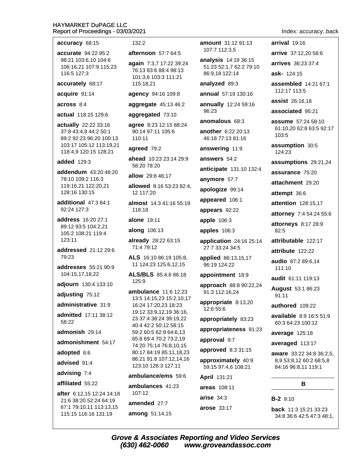#### accuracy 68:15

accurate 94:22 95:2 98:21 103:6,10 104:6 106:16.21 107:9 115:23 116:5 127:3

accurately 68:17

acquire 91:14

across 8:4

actual 118:15 129:6

actually 22:22 33:16 37:8 43:4,9 44:2 50:1 89:2 92:23 96:20 100:13 103:17 105:12 113:19,21 118:4,9 120:15 128:21

#### added 129:3

addendum 43:20 48:20 78:10 109:2 116:3 119:16,21 122:20,21 128:16 130:15

additional 47:3 84:1 92:24 127:3

address 16:20 27:1 89:12 93:5 104:2,21 105:2 108:21 119:4  $123.11$ 

addressed 21:12 29:6  $79.23$ 

addresses 55:21 90:9 104:15,17,18,22

adjourn 130:4 133:10

adjusting 75:12

administrative 31:9

admitted 17:11 38:12 58:22

admonish 29:14

admonishment 54:17

adopted 6:6

advised 91:4

advising 7:4

affiliated 55:22

after 6:12,15 12:24 14:18 21:6 38:20 52:24 64:19 67:1 79:10.11 113:13.15 115:15 116:16 131:19

#### $132:2$

afternoon 57:7 64:5

again 7:3,7 17:22 39:24 76:13 83:6 88:4 98:13 101:3,6 103:3 111:21 115:18,21

agency 94:16 109:8

aggregate  $45:1346:2$ 

aggregated 73:10

agree 8:23 12:15 88:24 90:14 97:11 105:6 110:11

#### agreed 79:2

ahead 10:23 23:14 29:9 58:20 78:20

allow 29:8 46:17

allowed 8:16 53:23 82:4. 12 117:20

almost 14:3 41:16 55:19 118:18

alone 19:11

along 106:13

already 28:22 63:15 71:4 79:12

ALS 16:10 86:19 105:8, 11 124:23 125:6.12.15

ALS/BLS 85:4,6 86:18 125:9

ambulance 11:6 12:23 13:5 14:15,23 15:2,10,17 16:24 17:20,23 18:23 19:12 33:9,12,19 36:16, 23 37:4 38:24 39:19.22 40:4 42:2 50:12 58:15 59:2 60:5 62:9 64:6,13 65:8 69:4 70:2 73:2.19 74:20 75:14 76:8,10,15 80:17 84:19 85:11,18,23 86:21 91:8 107:12,14,16 123:10 126:3 127:11

ambulance/ems 59:6

ambulances 41:23  $107:12$ amended 27:7 among 51:14,15

amount 31:12 91:13 107:7 112:3.5

analysis 14:19 36:15 51:23 52:1,7 62:2 79:10 86:9,18 122:14

analyzed 89:3

annual 57:19 130:16

annually 12:24 59:16 96:23

anomalous 68:3

another 6:22 20:13 46:18 77:13 81:16

answering 11:9

answers 54:2

anticipate 131:10 132:4

anymore 57:7

apologize 99:14

appeared 106:1

appears 92:22

apple 106:3

apples 106:3

application 24:16 25:14 27:7 33:24 34:5

applied 86:13,15,17 96:19 124:22

appointment 18:9

approach 88:8 90:22,24 91:3 112:16,24

appropriate 8:13,20 12:6 55:6

appropriately 83:23

appropriateness 81:23

approval 9:7

approved 8:3 31:15

approximately 40:9 59:15 97:4.6 108:21

**April 131:21** 

areas 108:11

 $arise 34:3$ arose 33:17

back 11:3 15:21 33:23 34:8 36:6 42:5 47:3 48:1,

**Grove & Associates Reporting and Video Services** (630) 462-0060 www.groveandassoc.com

#### Index: accuracy..back

arrival 19:16

arrive 37:12.20 58:6

arrives 36:23 37:4

ask- 124:15

assembled 14:21 67:1 112:17 113:5

assist 26:16,18

associated 95:21

assume 57:24 58:10 61:10,20 62:8 63:5 92:17 103:5

assumption 30:5 124:23

assumptions 29:21,24

assurance 75:20

attachment 29:20

attempt 36:6

attention 128:15,17

attorney 7:4 54:24 55:6

attorneys 8:17 28:9  $82:5$ 

attributable 122.17

attribute 122:22

audio 87:2 89:6,14  $111:10$ 

audit 61:11 119:13

**August 53:1 86:23**  $91:11$ 

authored 109:22

available 8:9 16:5 51:9

**aware** 33:22 34:8 36:2,5,

8.9 53:8.12 60:2 68:5.8

B

84:16 96:8.11 119:1

 $B-2$  9:10

60:3 64:23 100:12

average 125:18

averaged 113:17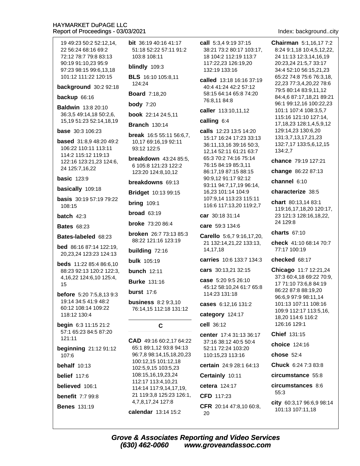19 49:23 50:2 52:12.14. 22 56:24 68:16 69:2 72:12 78:7 79:8 83:13 90:19 91:10,23 95:9 97:23 98:15 99:6.13.18 101:12 111:22 120:15 124:24 background 30:2 92:18 **Board** 7:18,20 backup 66:16 **body** 7:20 **Baldwin** 13:8 20:10 36:3,5 49:14,18 50:2,6, 15,19 51:23 52:14,18,19 **base** 30:3 106:23 **based** 31:8.9 48:20 49:2 106:22 110:11 113:11 114:2 115:12 119:13 122:16 123:21,23 124:6, 24 125:7,16,22 **basic 123:9** basically 109:18 **basis** 30:19 57:19 79:22 108:15 batch  $42:3$ **Bates 68:23** Bates-labeled 68:23 **bed** 86:16 87:14 122:19. 20,23,24 123:23 124:13 **beds** 11:22 85:4 86:6.10 88:23 92:13 120:2 122:3. 4,16,22 124:6,10 125:4, 15 **before** 5:20 7:5,8,13 9:3 19:14 34:5 41:9 48:2 60:12 108:14 109:22 118:12 130:4 begin 6:3 11:15 21:2 57:1 65:23 84:5 87:20 121:11 beginning 21:12 91:12 107:6 behalf  $10:13$ **belief** 117:6 believed 106:1 **benefit** 7:7 99:8 **Benes** 131:19

**bit** 36:19 40:16 41:17 51:18 52:22 57:11 91:2  $103.8108.11$ 

blindly 109:3

BLS 16:10 105:8,11

**book** 22:14 24:5.11

**Branch 130:14** 

break 16:5 55:11 56:6.7. 10,17 69:16,19 92:11 93:12 122:5

**breakdown** 43:24 85:5. 6 105:8 121:23 122:2 123:20 124:8,10,12

breakdowns 69:13

**Bridget** 10:13 99:15

**bring 109:1** 

broad  $63:19$ 

**broke** 73:20 86:4

broken 26:7 73:13 85:3 88:22 121:16 123:19

building 72:16

**bulk** 105:19

**bunch** 12:11

**Burke 131:16** 

**burst** 17:6

**business** 8:2 9:3.10 76:14,15 112:18 131:12

#### C

CAD 49:16 60:2,17 64:22 65:1 89:1,12 93:8 94:13 96:7,8 98:14,15,18,20,23 100:12,15 101:12,18 102:5,9,15 103:5,23 108:15,16,19,23,24 112:17 113:4,10,21 114:14 117:9,14,17,19, 21 119:3,8 125:23 126:1, 4,7,8,17,24 127:8 calendar 13:14 15:2

call 5:3.4 9:19 37:15 38:21 73:2 80:17 103:17. 18 104:2 112:19 113:7 117:22,23 126:19,20 132:19 133:16

called 13:18 16:16 37:19 40:4 41:24 42:2 57:12 58:15 64:14 65:8 74:20 76:8,11 84:8

caller 113:10,11,12

calling 6:4

calls 12:23 13:5 14:20 15:17 16:24 17:23 33:13 36:11,13,16 39:16 50:3, 12,14 52:11 61:21 63:7 65:3 70:2 74:16 75:14 76:15 84:19 85:3.11 86:17,19 87:15 88:15 90:9,12 91:17 92:12 93:11 94:7,17,19 96:14, 16,23 101:14 104:9 107:9,14 113:23 115:11 116:6 117:13,20 119:2,7

car 30:18 31:14

care 59:3 134:6

Carello 5:6,7 9:16,17,20, 21 132:14,21,22 133:13, 14, 17, 18

carries 10:6 133:7 134:3

cars 30:13,21 32:15

case 5:20 9:5 26:10 45:12 58:10,24 61:7 65:8 114:23 131:18

cases 6:12,16 131:2

category 124:17

cell 36:12

center 17:4 31:13 36:17 37:16 38:12 40:5 50:4 52:11 72:24 103:20 110:15,23 113:16

certain 24:9 28:1 64:13

Certainly 10:11

cetera 124:17

CFD 117:23 CFR 20:14 47:8,10 60:8, Index: background..city

**Chairman** 5:1.16.17 7:2 8:24 9:1.18 10:4.5.12.22. 24 11:13 12:3,14,16,19 20:23,24 21:5,7 33:17 34:4 52:10 56:15.21.23 65:22 74:8 75:6 76:3,18, 22,23 77:3,4,20,22 78:6 79:5 80:14 83:9.11.12 84:4,6 87:17,18,21 89:21 96:1 99:12,16 100:22,23 101:1 107:4 108:3,5,7 115:16 121:10 127:14, 17, 18, 23 128: 1, 4, 5, 9, 12 129:14,23 130:6,20 131:3,7,13,17,21,23 132:7,17 133:5,6,12,15 134:2.7

chance 79:19 127:21

change 86:22 87:13

channel 6:10

characterize 38:5

chart 80:13,14 83:1 119:16,17,18,20 120:17, 23 121:3 128:16,18,22, 24 129:8

charts 67:10

check 41:10 68:14 70:7 77:17 100:19

checked 68:17

Chicago 11:7 12:21,24 37:3 60:4,18 69:22 70:9, 17 71:10 73:6,8 84:19 86:22 87:8 88:19,20 96:6,9 97:9 98:11,14 101:13 107:11 108:16 109:9 112:17 113:5,16, 18,20 114:6 116:2 126:16 129:1

Chief 131:15

choice 124:16

chose 52:4

Chuck 6:24 7:3 83:8

circumstance 55:8

circumstances 8:6  $55:3$ 

city 60:3,17 96:6,9 98:14 101:13 107:11,18

20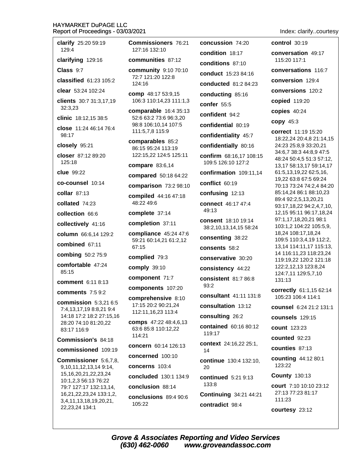#### **HAY** Repo  $21$

Index: clarify..courtesy

| <b>IAYMARKET DuPAGE LLC</b><br>eport of Proceedings - 03/03/20               |                        |
|------------------------------------------------------------------------------|------------------------|
| clarify 25:20 59:19<br>129:4                                                 | Con<br>127             |
| clarifying 129:16                                                            | com                    |
| Class 9:7                                                                    | com                    |
| classified $61:23$ 105:2                                                     | 72:<br>12 <sup>2</sup> |
| clear 53:24 102:24                                                           | com                    |
| clients 30:7 31:3,17,19<br>32:3,23                                           | 106<br>com             |
| clinic 18:12,15 38:5                                                         | 52:                    |
| close 11:24 46:14 76:4<br>98:17                                              | 98:<br>111             |
| closely 95:21                                                                | com<br>86:             |
| closer 87:12 89:20                                                           | 122                    |
| 125:18                                                                       | com                    |
| clue 99:22                                                                   | com                    |
| co-counsel 10:14                                                             | com                    |
| collar 87:13                                                                 | com                    |
| collated 74:23                                                               | 48:                    |
| collection 66:6                                                              | com                    |
| collectively 41:16                                                           | com                    |
| column 66:6,14 129:2                                                         | com<br>59:             |
| combined 67:11                                                               | 67:                    |
| combing 50:2 75:9                                                            | com                    |
| comfortable 47:24<br>85:15                                                   | com                    |
| comment 6:11 8:13                                                            | com                    |
| <b>comments</b> 7:5 9:2                                                      | com                    |
| commission 5:3,21 6:5<br>7:4,13,17,19 8:8,21 9:4<br>14:18 17:2 18:2 27:15,16 | com<br>17:<br>112      |
| 28:20 74:10 81:20,22<br>83:17 116:9                                          | com<br>63:             |
| Commission's 84:18                                                           | 114                    |
| commissioned 109:19                                                          | con                    |
| Commissioner 5:6,7,8,                                                        | con                    |
| 9,10,11,12,13,14 9:14,<br>15, 16, 20, 21, 22, 23, 24                         | con                    |
| 10:1,2,3 56:13 76:22                                                         | con                    |
| 79:7 127:17 132:13,14,<br>16,21,22,23,24 133:1,2,                            | con                    |
| 3,4,11,13,18,19,20,21,<br>22,23,24 134:1                                     | con<br>105             |
|                                                                              |                        |

nmissioners 76:21 7:16 132:10

munities 87:12

munity 9:10 70:10 7 121:20 122:8  $4:16$ 

**p** 48:17 53:9.15 6:3 110:14,23 111:1,3

parable 16:4 35:13 6 63:2 73:6 96:3,20 8 106:10,14 107:5  $:5,7,8$  115:9

parables 85:2 15 95:24 113:19 2:15,22 124:5 125:11

pare 83:6,14

pared 50:18 64:22

parison 73:2 98:10

piled 44:16 47:18 22 49:6

plete 37:14

pletion 37:11

pliance 45:24 47:6 21 60:14,21 61:2,12 15

plied 79:3

ply 39:10

ponent 71:7

ponents 107:20

prehensive 8:10 15 20:2 90:21,24 2:11,16,23 113:4

ps 47:22 48:4,6,13 6 85:8 110:12,22  $1:21$ 

cern 60:14 126:13

cerned 100:10

cerns 103:4

cluded 130:1 134:9

clusion 88:14

**clusions** 89:4 90:6  $5:22$ 

condition 18:17 conditions 87:10 conduct 15:23 84:16 conducted 81:2 84:23 conducting 85:16 confer 55:5 confident 94:2 confidential 80:19 confidentiality 45:7 confidentially 80:16 confirm 68:16,17 108:15 109:5 126:10 127:2 confirmation 109:11.14 conflict 60:19 confusing 12:13 connect 46:17 47:4 49:13 consent 18:10 19:14 38:2,10,13,14,15 58:24 consenting 38:22 consents 58:2 conservative 30:20 consistency 44:22 consistent 81:7 86:8  $93.2$ consultant 41:11 131:8 consultation 13:12 consulting 26:2 contained 60:16 80:12 119:17 context 24:16,22 25:1, 14 continue 130:4 132:10, 20 **continued** 5:21 9:13 133:8 Continuing 34:21 44:21 contradict 98:4

concussion 74:20

control 30:19 conversation 49:17 115:20 117:1 conversations 116:7 conversion 129:4 conversions 120:2 copied 119:20 copies  $40:24$ copy 45:3 correct 11:19 15:20 18:22,24 20:4,8 21:14,15 24:23 25:8,9 33:20,21 34:6,7 38:3 44:8,9 47:5 48:24 50:4,5 51:3 57:12, 13,17 58:13,17 59:14,17 61:5,13,19,22 62:5,16, 19,22 63:8 67:5 69:24 70:13 73:24 74:2,4 84:20 85:14,24 86:1 88:10,23 89:4 92:2,5,13,20,21 93:17,18,22 94:2,4,7,10, 12,15 95:11 96:17,18,24 97:1,17,18,20,21 98:1 103:1,2 104:22 105:5,9, 18,24 108:17,18,24 109:5 110:3,4,19 112:2, 13,14 114:11,17 115:13, 14 116:11,23 118:23,24 119:19.22 120:2 121:18 122:2,12,13 123:8,24 124:7,11 129:5,7,10 131:13 correctly 61:1,15 62:14 105:23 106:4 114:1 counsel 6:24 21:2 131:1 counsels 129:15 count 123:23 counted 92:23 counties 87:13 counting 44:12 80:1 123:22 **County 130:13** 

court 7:10 10:10 23:12 27:13 77:23 81:17  $111:23$ 

courtesy 23:12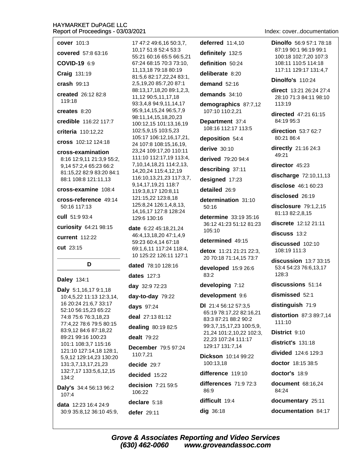cover 101:3

covered 57:8 63:16

COVID-19 6:9

Craig 131:19

crash 99:13

created 26:12 82:8 119:18

#### creates 8:20

credible 116:22 117:7

criteria 110:12.22

cross 102:12 124:18

#### cross-examination

8:16 12:9,11 21:3,9 55:2, 9,14 57:2,4 65:23 66:2 81:15,22 82:9 83:20 84:1 88:1 108:8 121:11,13

cross-examine 108:4

cross-reference 49:14 50:16 117:13

cull 51:9 93:4

curiosity 64:21 98:15

current 112:22

cut 23:15

#### D

#### **Daley 134:1**

Daly 5:1,16,17 9:1,18 10:4,5,22 11:13 12:3,14, 16 20:24 21:6,7 33:17 52:10 56:15,23 65:22 74:8 75:6 76:3,18,23 77:4,22 78:6 79:5 80:15 83:9,12 84:6 87:18,22 89:21 99:16 100:23 101:1 108:3,7 115:16 121:10 127:14,18 128:1, 5,9,12 129:14,23 130:20 131:3,7,13,17,21,23 132:7,17 133:5,6,12,15 134:2 Daly's 34:4 56:13 96:2

107:4

data 12:23 16:4 24:9 30:9 35:8,12 36:10 45:9, 17 47:2 49:6,16 50:3,7, 10.17 51:8 52:4 53:3 55:21 60:16 65:5 66:5,21 67:24 68:15 70:3 73:10, 11.13.18 79:18 80:19 81:5,6 82:17,22,24 83:1, 2,5,19,20 85:7,20 87:1 88:13,17,18,20 89:1,2,3, 11,12 90:5,11,17,18 93:3,4,8 94:9,11,14,17 95:9,14,15,24 96:5,7,9 98:11,14,15,18,20,23 100:12,15 101:13,16,19 102:5.9.15 103:5.23 105:17 106:12,16,17,21, 24 107:8 108:15,16,19, 23,24 109:17,20 110:11 111:10 112:17,19 113:4, 7,10,14,18,21 114:2,13, 14, 20, 24 115: 4, 12, 19 116:10,13,21,23 117:3,7, 9,14,17,19,21 118:7 119:3,8,17 120:8,11 121:15,22 123:8,18 125:8,24 126:1,4,8,13, 14, 16, 17 127: 8 128: 24 129:6 130:16

date 6:22 45:18.21.24 46:4,13,18,20 47:1,4,9 59:23 60:4,14 67:18 69:1,6,11 117:24 118:4, 10 125:22 126:11 127:1

dated 78:10 128:16

dates 127:3

day 32:9 72:23

day-to-day  $79:22$ 

days 97:24

deal 27:13 81:12

dealing 80:19 82:5

**dealt** 79:22

**December 79:5 97:24** 110:7,21 decide 29:7

decided  $15:22$ 

decision 7:21 59:5 106:22

declare 5:18

defer 29:11

Index: cover..documentation

**Dinolfo** 56:9 57:1 78:18 87:19 90:1 96:19 99:1 100:18 102:7.20 107:3 108:11 110:5 114:18 117:11 129:17 131:4.7

**Dinolfo's 110:24** 

deferred 11:4.10

definitely 132:5

definition 50:24

deliberate 8:20

demand 52:16

demands 34:10

107:10 110:2,21

Department 37:4

deposition 54:4

derived 79:20 94:4

describing 37:11

designed 17:23

determination 31:10

determine 33:19 35:16

detox 11:21 21:21 22:3,

20 70:18 71:14.15 73:7

developed 15:9 26:6

developing 7:12

development 9:6

DI 21:4 56:12 57:3.5

83:3 87:21 88:2 90:2

22,23 107:24 111:17

Dickson 10:14 99:22

difference 119:10

differences 71:9 72:3

129:17 131:7,14

100:13,18

difficult 19:4

dig 36:18

 $86:9$ 

65:19 78:17,22 82:16,21

99:3,7,15,17,23 100:5,9,

21,24 101:2,10,22 102:3,

determined 49:15

36:12 41:23 51:12 81:23

detailed 26:9

 $50:16$ 

 $105:10$ 

 $83:2$ 

derive  $30:10$ 

108:16 112:17 113:5

demographics 87:7,12

direct 13:21 26:24 27:4 28:10 71:3 84:11 98:10 113:19

directed 47:21 61:15 84:19 95:3

direction 53:7 62:7 80:21 86:4

directly 21:16 24:3 49:21

director 45:23

discharge 72:10,11,13

disclose 46:1 60:23

disclosed 26:19

disclosure 79:1,2,15 81:13 82:2,8,15

discrete 12:12 21:11

discuss 13:2

discussed 102:10 108:19 111:3

discussion 13:7 33:15 53:4 54:23 76:6.13.17 128:3

discussions 51:14

dismissed 52:1

distinguish 71:9

distortion 87:3 89:7.14  $111:10$ 

District 9:10

district's 131:18

divided 124:6 129:3

doctor 18:15 38:5

doctor's 18:9

document 68:16.24 84:24

documentary 25:11

documentation 84:17

**Grove & Associates Reporting and Video Services** (630) 462-0060 www.groveandassoc.com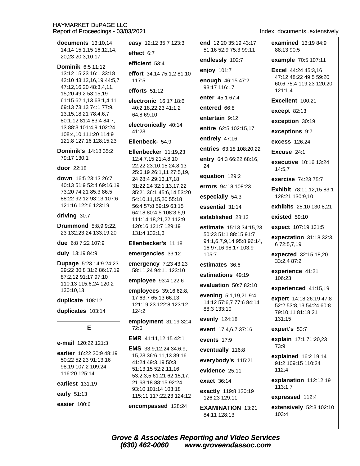documents 13:10.14 14:14 15:1.15 16:12.14. effect  $6:7$ 20.23 20:3.10.17 efficient 53:4 **Dominik 6:5 11:12** 13:12 15:23 16:1 33:18 42:10 43:12,16,19 44:5,7 117:5 47:12,16,20 48:3,4,11, efforts  $51:12$ 15,20 49:2 53:15,19 61:15 62:1,13 63:1,4,11 69:13 73:13 74:1 77:9, 13, 15, 18, 21 78: 4, 6, 7 64:8 69:10 80:1.12 81:4 83:4 84:7. 13 88:3 101:4.9 102:24 41:23 108:4,10 111:20 114:9 121:8 127:16 128:15,23 Ellenbeck- 54:9 79:17 130:1 40:13 51:9 52:4 69:16,19 73:20 74:21 85:3 86:5 88:22 92:12 93:13 107:6 121:16 122:6 123:19 23 132:23,24 133:19,20 131:4 132:1,3 29:22 30:8 31:2 86:17,19 87:2.12 91:17 97:10 110:13 115:6,24 120:2 130:10,13 duplicates 103:14 124:2 E 72:6 50:22 52:23 91:13,16 98:19 107:2 109:24 116:20 125:14

**Dominik's 14:18 35:2** 

### door 22:18

down 16:5 23:13 26:7

#### driving  $30:7$

**Drummond** 5:8,9 9:22,

due 6:8 7:22 107:9

duly 13:19 84:9

**Dupage 5:23 14:9 24:23** 

duplicate 108:12

#### e-mail 120:22 121:3

earlier 16:22 20:9 48:19

earliest 131:19

early 51:13

easier 100:6

easy 12:12 35:7 123:3

effort 34:14 75:1,2 81:10

electronic 16:17 18:6 40:2.18.22.23 41:1.2

electronically 40:14

Ellenbecker 11:19.23 12:4,7,15 21:4,8,10 22:22 23:10,15 24:8,13 25:6,19 26:1,11 27:5,19, 24 28:4 29:13,17,18 31:22,24 32:1,13,17,22 35:21 36:1 45:6,14 53:20 54:10,11,15,20 55:18 56:4 57:8 59:19 63:15 64:18 80:4,5 108:3,5,9 111:14,18,21,22 112:9 120:16 121:7 129:19

#### Ellenbecker's 11:18

emergencies 33:12

emergency 7:23 43:23 58:11.24 94:11 123:10

employee 93:4 122:6

employees 39:16 62:8, 17 63:7 65:13 66:13 121:19,23 122:8 123:12

employment 31:19 32:4

**EMR** 41:11,12,15 42:1

**EMS** 33:9,12,24 34:6,9, 15,23 36:6,11,13 39:16 41:24 49:3,19 50:3 51:13,15 52:2,11,16 53:2,3,5 61:21 62:15,17, 21 63:18 88:15 92:24 93:10 101:14 103:18 115:11 117:22,23 124:12

encompassed 128:24

end 12:20 35:19 43:17 51:16 52:9 75:3 99:11

endlessly 102:7

enjoy 101:7 enough 46:15 47:2

93:17 116:17

enter 45:1 67:4

entered 66:8

entertain 9:12 entire 62:5 102:15.17

entirely 47:16 entries 63:18 108:20,22

entry 64:3 66:22 68:16, 24

equation 129:2

errors 94:18 108:23

especially 54:3

essential 31:14

established 28:13

estimate 15:13 34:15,23 50:23 51:1 88:15 91:7 94:1,6,7,9,14 95:8 96:14, 16 97:16 98:17 103:9 105:7

#### estimates 36:6

estimations 49:19

evaluation 50:7 82:10

evening 5:1,19,21 9:4 14:12 57:6,7 77:6 84:14 88:3 133:10

evenly 124:18

event 17:4,6,7 37:16

events 17:9

eventually 116:8

everybody's 115:21

evidence 25:11

exact 36:14

exactly 119:8 120:19 126:23 129:11

**EXAMINATION 13:21** 84:11 128:13

Index: documents..extensively

examined 13:19 84:9 88:13 90:5

example 70:5 107:11

Excel 44:24 45:3,16 47:12 48:22 49:5 59:20 60:6 75:4 119:23 120:20  $121:1.4$ 

Excellent 100:21

**except** 82:13

exception 30:19

exceptions 9:7

**excess** 126:24

Excuse 24:1

executive 10:16 13:24 14:5.7

exercise 74:23 75:7

**Exhibit 78:11.12.15 83:1** 128:21 130:9.10

exhibits 25:10 130:8,21

existed 59:10

expect 107:19 131:5

expectation  $31:1832:3$ , 6 72:5,7,19

expected 32:15,18,20 33:2.4 87:2

experience 41:21 106:23

experienced 41:15,19

expert 14:18 26:19 47:8 52:2 53:8,13 54:24 60:8 79:10.11 81:18.21 131:15

expert's 53:7

explain 17:1 71:20,23 73:9

explained 16:2 19:14 91:2 109:15 110:24 112:4

explanation 112:12,19  $113:1.7$ 

expressed 112:4

extensively 52:3 102:10 103:4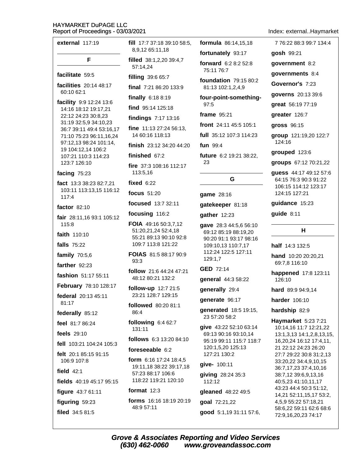| external 117:19                                    |  |
|----------------------------------------------------|--|
| F.                                                 |  |
| facilitate 59:5                                    |  |
| facilities 20:14 48:17<br>60:10 62:1               |  |
| facility 9:9 12:24 13:6                            |  |
| 14:16 18:12 19:17,21<br>22:12 24:23 30:8,23        |  |
| 31:19 32:5,9 34:10,23<br>36:7 39:11 49:4 53:16,17  |  |
| 71:10 75:23 96:11,16,24                            |  |
| 97:12,13 98:24 101:14,<br>19 104:12,14 106:2       |  |
| 107:21 110:3 114:23                                |  |
| 123:7 126:10                                       |  |
| facing 75:23                                       |  |
| fact 13:3 38:23 82:7,21<br>103:11 113:13,15 116:12 |  |
| 117:4                                              |  |
| factor 82:10                                       |  |
| fair 28:11,16 93:1 105:12<br>115:8                 |  |
| faith 110:10                                       |  |
| falls 75:22                                        |  |
| family 70:5,6                                      |  |
| farther 92:23                                      |  |
| fashion 51:17 55:11                                |  |
| February 78:10 128:17                              |  |
| federal 20:13 45:11<br>81:17                       |  |
| federally 85:12                                    |  |
| feel 81:7 86:24                                    |  |
| feels 29:10                                        |  |
| fell 103:21 104:24 105:3                           |  |
| felt 20:1 85:15 91:15                              |  |
| 106:9 107:8                                        |  |
| field $42:1$                                       |  |
| fields 40:19 45:17 95:15                           |  |
|                                                    |  |
|                                                    |  |
| figure 43:7 61:11<br>figuring 59:23                |  |

fill 17:7 37:18 39:10 58:5, 8,9,12 65:11,18 filled 38:1,2,20 39:4,7 57:14,24

filling 39:6 65:7

final 7:21 86:20 133:9

finally  $6:188:19$ 

find 95:14 125:18

findinas 7:17 13:16

fine 11:13 27:24 56:13, 14 60:16 118:13

finish 23:12 34:20 44:20

finished 67:2

fire 37:3 108:16 112:17 113:5,16

fixed  $6:22$ 

focus  $51:20$ 

focused 13:7 32:11

focusing 116:2

FOIA 49:16 50:3,7,12 51:20,21,24 52:4,18 55:21 89:13 90:10 92:8 109:7 113:8 121:22

FOIAS 81:5 88:17 90:9  $93:3$ 

follow 21:6 44:24 47:21 48:12 80:21 132:2

follow-up 12:7 21:5 23:21 128:7 129:15

followed 80:20 81:1 86:4

following  $6:462:7$ 131:11

follows 6:3 13:20 84:10

#### foreseeable 6:2

form 6:16 17:24 18:4,5 19:11,18 38:22 39:17,18 57:23 88:17 106:6 118:22 119:21 120:10

#### format  $12:3$

forms 16:16 18:19 20:19 48:9 57:11

formula 86:14,15,18

fortunately 93:17 forward  $6:28:252:8$ 75:11 76:7

foundation 79:15 80:2 81:13 102:1,2,4,9

four-point-something-97:5

frame 95:21

front 24:11 45:5 105:1

full 35:12 107:3 114:23

fun 99:4

future 6:2 19:21 38:22, 23

## G

game 28:16

qatekeeper 81:18

gather  $12:23$ 

gave 28:3 44:5,6 56:10 69:12 85:19 88:19,20 90:20 91:1 93:17 98:16 109:10.13 110:7.17 112:24 122:5 127:11 129:1,7

**GED 72:14** 

general 44:3 58:22

generally 29:4

generate 96:17

generated 18:5 19:15, 23 57:20 58:2

give 43:22 52:10 63:14 69:13 90:16 93:10,14 95:19 99:11 115:7 118:7 120:1,5,20 125:13 127:21 130:2

qive- 100:11

giving 28:24 35:3 112:12

gleaned 48:22 49:5

qoal 72:21,22 good 5:1,19 31:11 57:6,

# Index: external..Haymarket

7 76:22 88:3 99:7 134:4 gosh 99:21 qovernment 8:2 governments 8:4 Governor's 7:23

governs 20:13 39:6

qreat 56:19 77:19

greater 126:7

gross 96:15

group 121:19,20 122:7 124:16

grouped 123:6

groups 67:12 70:21,22

quess 44:17 49:12 57:6 64:15 76:3 90:3 91:22 106:15 114:12 123:17 124:15 127:21

quidance 15:23

#### guide  $8:11$

# н

half 14:3 132:5

hand 10:20 20:20,21 69:7,8 116:10

happened 17:8 123:11 126:10

hard 89:9 94:9,14

harder 106:10

hardship 82:9

Haymarket 5:23 7:21 10:14,16 11:7 12:21,22 13:1,3,13 14:1,2,8,13,15, 16, 20, 24 16: 12 17: 4, 11, 21 22:12 24:23 26:20 27:7 29:22 30:8 31:2,13 33:20,22 34:4,9,10,15 36:7,17,23 37:4,10,16 38:7,12 39:6,9,13,16 40:5,23 41:10,11,17 43:23 44:4 50:3 51:12, 14,21 52:11,15,17 53:2, 4,5,9 55:22 57:18,21 58:6,22 59:11 62:6 68:6 72:9,16,20,23 74:17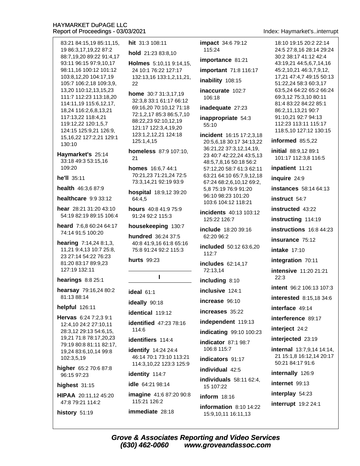83:21 84:15,19 85:11,15, 19 86:3.17.19.22 87:2 88:7,19,20 89:22 91:4,17 93:11 96:15 97:9,10,17 98:11.16 100:12 101:12 103:8,12,20 104:17,19 105:7 106:2,18 109:3,9, 13,20 110:12,13,15,23 111:7 112:23 113:18,20 114:11,19 115:6,12,17, 18,24 116:2,6,8,13,21 117:13,22 118:4,21 119:12,22 120:1,5,7 124:15 125:9,21 126:9, 15, 16, 22 127: 2, 21 129: 1 130:10

Haymarket's 25:14 33:18 49:3 53:15,16 109:20

he'll 35:11

health 46:3,6 87:9

healthcare  $9:933:12$ 

hear 28:21 31:20 43:10 54:19 82:19 89:15 106:4

heard 7:6,8 60:24 64:17 74:14 91:5 100:20

hearing 7:14,24 8:1,3, 11,21 9:4,13 10:7 25:8, 23 27:14 54:22 76:23 81:20 83:17 89:9,23 127:19 132:11

**hearings** 8:8 25:1

hearsay 79:16,24 80:2 81:13 88:14

helpful 126:11

Hervas 6:24 7:2,3 9:1 12:4,10 24:2 27:10,11 28:3,12 29:13 54:6,15, 19,21 71:8 78:17,20,23 79:19 80:8 81:11 82:17, 19,24 83:6,10,14 99:8 102:3,5,19

higher 65:2 70:6 87:8 96:15 97:23

highest 31:15

HIPAA 20:11,12 45:20 47:8 79:21 114:2

history 51:19

# hit 31:3 108:11 hold 21:23 83:8.10

Holmes 5:10,11 9:14,15, 24 10:1 76:22 127:17 132:13,16 133:1,2,11,21, 22

home 30:7 31:3,17,19 32:3,8 33:1 61:17 66:12 69:16,20 70:10,12 71:18 72:1,2,17 85:3 86:5,7,10 88:22,23 92:10,12,19 121:17 122:3,4,19,20 123:1,2,12,21 124:18 125:1,4,15

**homeless** 87:9 107:10,  $21$ 

homes 16:6,7 44:1 70:21,23 71:21,24 72:5 73:3,14,21 92:19 93:9

**hospital** 18:9,12 39:20 64:4.5

hours 40:8 41:9 75:9 91:24 92:2 115:3

housekeeping 130:7

hundred 36:24 37:5 40:8 41:9,16 61:8 65:16 75:8 91:24 92:2 115:3

 $\mathbf{I}$ 

**hurts** 99:23

ideal 61:1

ideally 90:18

identical 119:12

identified 47:23 78:16 114:6

identifiers 114:4

**identify** 14:24 24:4 46:14 70:1 73:10 113:21 114:3,10,22 123:3 125:9

**identity** 114:7

idle 64:21 98:14

imagine 41:6 87:20 90:8 115:21 126:2

immediate 28:18

impact 34:6 79:12 115:24

importance 81:21

important 71:8 116:17

inability 108:15

inaccurate 102:7 106:18

inadequate 27:23

inappropriate 54:3  $55:10$ 

incident 16:15 17:2,3,18 20:5,6,18 30:17 34:13,22 36:21,22 37:3,12,14,19, 23 40:7 42:22,24 43:5,13 48:5,7,8,16 50:18 56:2 57:12,20 58:7 61:3 62:11 63:21 64:10 65:7,9,12,18 67:24 68:2,6,10,12 69:2, 5,875:1976:991:20 96:10 98:23 101:20 103:6 104:12 118:21

incidents 40:13 103:12 125:22 126:7

include 18:20 39:16 62:20 96:2

included 50:12 63:6,20 112:7

includes 62:14,17 72:13.14

including 8:10

inclusive 124:1

increase 96:10

increases 35:22

independent 119:13

indicating 99:10 100:23

**indicator** 87:1 98:7 106:8 115:7

indicators 91:17

individual 42:5

**individuals** 58:11 62:4. 15 107:22

 $inform 18:16$ 

information  $8:10$  14:22 15:9,10,11 16:11,13

Index: Haymarket's..interrupt

18:10 19:15 20:2 22:14 24:5 27:8.16 28:14 29:24 30:2 38:17 41:12 42:4 43:19,21 44:5,6,7,14,16 45:2,10,21 46:3,7,9,12, 17,21 47:4,7 49:15 50:13 51:22,24 58:3 60:3,17 63:5.24 64:22 65:2 66:24 69:3,12 75:3,10 80:11 81:4 83:22 84:22 85:1 86:2,11,13,21 90:7 91:10,21 92:7 94:13 112:23 113:11 115:17 118:5.10 127:12 130:15 informed  $85:5,22$ initial 88:9,12 89:1 101:17 112:3,8 116:5 inpatient 11:21 inquire 24:9 **instances** 58:14 64:13 instruct 54:7 instructed 43:22 instructing 114:19 instructions 16:8 44:23 insurance 75:12 **intake** 17:10 integration 70:11 **intensive** 11:20 21:21  $22:3$ intent 96:2 106:13 107:3 interested 8:15,18 34:6 interface 49:14 interference 89:17 interject 24:2 interjected 23:19 internal 13:7,9,14 14:14, 21 15:1,8 16:12,14 20:17 50:21 84:17 91:6 internally 126:9 internet 99:13 interplay 54:23 interrupt 19:2 24:1

**Grove & Associates Reporting and Video Services** (630) 462-0060 www.groveandassoc.com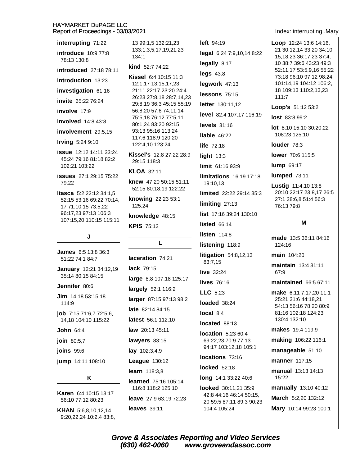### HAYMARKET DUPAGE IIO Re

| IATMARNET DUPAGE LLU<br>eport of Proceedings - 03/03/2021                  |                                                        |
|----------------------------------------------------------------------------|--------------------------------------------------------|
| interrupting 71:22                                                         | 13 99:1,5 132:21,23                                    |
| <b>introduce</b> 10:9 77:8<br>78:13 130:8                                  | 133:1,3,5,17,19,21,23<br>134:1                         |
| introduced 27:18 78:11                                                     | kind 52:7 74:22                                        |
| introduction 13:23                                                         | <b>Kissel</b> 6:4 10:15 11:3                           |
| investigation 61:16                                                        | 12:1,17 13:15,17,23<br>21:11 22:17 23:20 24:4          |
| invite 65:22 76:24                                                         | 26:23 27:8,18 28:7,14,2<br>29:8,19 36:3 45:15 55:19    |
| involve 17:9                                                               | 56:8,20 57:6 74:11,14                                  |
| involved $14:843:8$                                                        | 75:5,18 76:12 77:5,11<br>80:1,24 83:20 92:15           |
| involvement 29:5,15                                                        | 93:13 95:16 113:24                                     |
| <b>Irving 5:24 9:10</b>                                                    | 117:6 118:9 120:20<br>122:4,10 123:24                  |
| <b>issue</b> 12:12 14:11 33:24<br>45:24 79:16 81:18 82:2<br>102:21 103:22  | Kissel's 12:8 27:22 28:9<br>29:15 118:3                |
| <b>issues</b> 27:1 29:15 75:22                                             | <b>KLOA 32:11</b>                                      |
| 79:22                                                                      | <b>knew</b> 47:20 50:15 51:11<br>52:15 80:18,19 122:22 |
| Itasca 5:2 22:12 34:1,5<br>52:15 53:16 69:22 70:14,<br>17 71:10,15 73:5,22 | knowing 22:23 53:1<br>125:24                           |
| 96:17,23 97:13 106:3                                                       | knowledge 48:15                                        |
| 107:15,20 110:15 115:11                                                    | <b>KPIS 75:12</b>                                      |
| J                                                                          |                                                        |
|                                                                            | L                                                      |
| <b>James</b> 6:5 13:8 36:3<br>51:22 74:1 84:7                              | laceration 74:21                                       |
| January 12:21 34:12,19                                                     | lack 79:15                                             |
| 35:14 80:15 84:15                                                          | large 8:8 107:18 125:17                                |
| Jennifer 80:6                                                              | largely 52:1 116:2                                     |
| <b>Jim</b> $14:1853:15,18$<br>114:9                                        | larger 87:15 97:13 98:2                                |
| job 7:15 71:6,7 72:5,6,                                                    | late 82:14 84:15                                       |
| 14,18 104:10 115:22                                                        | latest 56:1 112:10                                     |
| John $64:4$                                                                | <b>law</b> $20:1345:11$                                |
| join 80:5,7                                                                | lawyers 83:15                                          |
| joins 99:6                                                                 | lay 102:3,4,9                                          |
| jump 14:11 108:10                                                          | League 130:12                                          |
|                                                                            | <b>learn</b> $118:3,8$                                 |
| Κ                                                                          | <b>learned</b> 75:16 105:14                            |

Karen 6:4 10:15 13:17

56:10 77:12 80:23

KHAN 5:6.8.10.12.14 9:20,22,24 10:2,4 83:8,

left 94:19 legal 6:24 7:9,10,14 8:22 legally 8:17 **legs 43:8** legwork 47:13 lessons 75:15 3 9 letter 130:11,12 level 82:4 107:17 116:19 levels  $31:16$ liable  $46:22$ life 72:18 9 light  $13:3$ limit 61:16 93:9 limitations 16:19 17:18 19:10,13 limited 22:22 29:14 35:3 limiting  $27:13$ list 17:16 39:24 130:10 listed 66:14 listen  $114:8$ listening 118:9 litiqation  $54:8,12,13$ 83:7,15 live 32:24 lives 76:16  $LLC$  5:23 loaded 38:24 local  $8:4$ located 88:13 location 5:23 60:4 69:22,23 70:9 77:13 94:17 103:12,18 105:1 locations 73:16 **locked** 52:18 long 14:1 33:22 40:6 looked 30:11,21 35:9 leave 27:9 63:19 72:23

42:8 44:16 46:14 50:15, 20 59:5 87:11 89:3 90:23 104:4 105:24

Index: interrupting..Mary

**Loop**  $12:24$  13:6 14:16, 21 30:12.14 33:20 34:10. 15, 18, 23 36: 17, 23 37: 4, 10 38:7 39:6 43:23 49:3 52:11,17 53:5,9,16 55:22 73:18 96:10 97:12 98:24 101:14,19 104:12 106:2, 18 109:13 110:2,13,23  $111:7$ Loop's 51:12 53:2 lost 83:8 99:2 lot 8:10 15:10 30:20.22 108:23 125:10 louder 78:3 lower 70:6 115:5 lump 69:17 lumped 73:11 Lustig 11:4,10 13:8 20:10 22:17 23:8,17 26:5 27:1 28:6.8 51:4 56:3 76:13 79:8 M made 13:5 36:11 84:16 124:16 main 104:20 maintain 13:4 31:11 67:9 maintained 66:5 67:11 make 6:11 7:17.20 11:1 25:21 31:6 44:18,21 54:13 56:16 78:20 80:9 81:16 102:18 124:23 130:4 132:10 makes 19:4 119:9 making 106:22 116:1 manageable 51:10 manner 117:15 manual 13:13 14:13 15:22 manually 13:10 40:12 March 5:2,20 132:12 Mary 10:14 99:23 100:1

**Grove & Associates Reporting and Video Services** (630) 462-0060 www.groveandassoc.com

**leaves** 39:11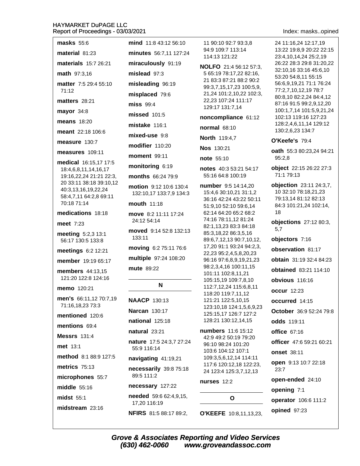Index masks opined

| seport or Froceedings - 03/03/2021              |                                                   |                                                     | muex. masksopmed                                  |  |
|-------------------------------------------------|---------------------------------------------------|-----------------------------------------------------|---------------------------------------------------|--|
| masks 55:6                                      | mind 11:8 43:12 56:10                             | 11 90:10 92:7 93:3,8                                | 24 11:16,24 12:17,19                              |  |
| material 81:23                                  | minutes 56:7,11 127:24                            | 94:9 109:7 113:14<br>114:13 121:22                  | 13:22 19:8,9 20:22 22:15<br>23:4,10,14,24 25:2,19 |  |
| materials 15:7 26:21                            | miraculously 91:19                                | NOLFO 21:4 56:12 57:3,                              | 26:22 28:3 29:8 31:20,22                          |  |
| math 97:3,16                                    | $mislead$ 97:3                                    | 5 65:19 78:17,22 82:16,                             | 32:10,16 33:16 45:6,10<br>53:20 54:8,11 55:15     |  |
| matter 7:5 29:4 55:10                           | misleading 96:19                                  | 21 83:3 87:21 88:2 90:2<br>99:3,7,15,17,23 100:5,9, | 56:6,9,19,21 71:1 76:24                           |  |
| 71:12                                           | misplaced 79:6                                    | 21,24 101:2,10,22 102:3,                            | 77:2,7,10,12,19 78:7<br>80:8,10 82:2,24 84:4,12   |  |
| matters 28:21                                   | miss 99:4                                         | 22,23 107:24 111:17<br>129:17 131:7,14              | 87:16 91:5 99:2,9,12,20                           |  |
| mayor 34:8                                      | <b>missed</b> 101:5                               | noncompliance 61:12                                 | 100:1,7,14 101:5,9,21,24<br>102:13 119:16 127:23  |  |
| <b>means</b> 18:20                              | mistake 116:1                                     | normal 68:10                                        | 128:2,4,6,11,14 129:12                            |  |
| meant 22:18 106:6                               | mixed-use 9:8                                     | North 119:4,7                                       | 130:2,6,23 134:7                                  |  |
| measure 130:7                                   | modifier 110:20                                   | <b>Nos</b> 130:21                                   | O'Keefe's 79:4                                    |  |
| measures 109:11                                 | <b>moment</b> 99:11                               | note 55:10                                          | oath 55:3 80:23,24 94:21<br>95:2,8                |  |
| medical 16:15,17 17:5                           | monitoring 6:19                                   | notes 40:3 53:21 54:17                              | object 22:15 26:22 27:3                           |  |
| 18:4,6,8,11,14,16,17<br>19:16,22,24 21:21 22:3, | months 66:24 79:9                                 | 55:16 64:8 100:19                                   | 71:1 79:13                                        |  |
| 20 33:11 38:18 39:10,12<br>40:3,13,16,19,22,24  | motion 9:12 10:6 130:4<br>132:10,17 133:7,9 134:3 | number 9:5 14:14,20<br>15:4,6 30:10,21 31:1,2       | objection 23:11 24:3,7,<br>10 32:10 78:18,21,23   |  |
| 58:4,7,11 64:2,8 69:11<br>70:18 71:14           | mouth 11:18                                       | 36:16 42:24 43:22 50:11                             | 79:13,14 81:12 82:13                              |  |
| medications 18:18                               | move 8:2 11:11 17:24                              | 51:9,10 52:10 59:6,14<br>62:14 64:20 65:2 68:2      | 84:3 101:21,24 102:14,<br>18                      |  |
| meet 7:23                                       | 24:12 54:14                                       | 74:16 78:11,12 81:24                                | objections 27:12 80:3,                            |  |
| meeting 5:2,3 13:1                              | moved 9:14 52:8 132:13                            | 82:1,13,23 83:3 84:18<br>85:3,18,22 86:3,5,16       | 5,7                                               |  |
| 56:17 130:5 133:8                               | 133:11                                            | 89:6,7,12,13 90:7,10,12,                            | objectors 7:16                                    |  |
| meetings 6:2 12:21                              | moving 6:2 75:11 76:6                             | 17,20 91:1 93:24 94:2,3,<br>22,23 95:2,4,5,8,20,23  | observation 81:17                                 |  |
| member 19:19 65:17                              | multiple 97:24 108:20                             | 96:16 97:6,8,9,19,21,23                             | obtain 31:19 32:4 84:23                           |  |
| members 44:13,15                                | mute 89:22                                        | 98:2,3,4,16 100:11,15<br>101:11 102:8,11,21         | obtained 83:21 114:10                             |  |
| 121:20 122:8 124:16                             | N                                                 | 105:15,19 109:7,8,10                                | obvious 116:16                                    |  |
| memo 120:21                                     |                                                   | 112:7,12,24 115:6,8,11<br>118:20 119:7,11,12        | <b>occur</b> 12:23                                |  |
| men's 66:11,12 70:7,19<br>71:16,18,23 73:3      | <b>NAACP 130:13</b>                               | 121:21 122:5,10,15                                  | occurred 14:15                                    |  |
| mentioned 120:6                                 | <b>Narcan 130:17</b>                              | 123:10,18 124:1,5,6,9,23<br>125:15,17 126:7 127:2   | October 36:9 52:24 79:8                           |  |
| mentions 69:4                                   | national 125:18                                   | 128:21 130:12,14,15                                 | odds 119:11                                       |  |
| <b>Messrs</b> 131:4                             | natural 23:21                                     | numbers 11:6 15:12                                  | <b>office 67:16</b>                               |  |
| met 13:1                                        | nature 17:5 24:3,7 27:24<br>55:9 116:14           | 42:9 49:2 50:19 79:20<br>96:10 98:24 101:20         | officer 47:6 59:21 60:21                          |  |
| method 8:1 88:9 127:5                           | navigating 41:19,21                               | 103:6 104:12 107:1<br>109:3,5,6,12,14 114:11        | <b>onset</b> 38:11                                |  |
| metrics $75:13$                                 | necessarily 39:8 75:18                            | 117:6 120:12,18 122:23,                             | open 9:13 10:7 22:18                              |  |
| microphones 55:7                                | 89:5 111:2                                        | 24 123:4 125:3,7,12,13                              | 23:7                                              |  |
| middle 55:16                                    | necessary 127:22                                  | nurses 12:2                                         | open-ended 24:10                                  |  |
| midst 55:1                                      | needed 59:6 62:4,9,15,                            | O                                                   | opening 7:1                                       |  |
| midstream 23:16                                 | 17,20 116:19                                      |                                                     | operator 106:6 111:2                              |  |
|                                                 | <b>NFIRS</b> 81:5 88:17 89:2,                     | O'KEEFE 10:8,11,13,23,                              | opined 97:23                                      |  |

Grove & Associates Reporting and Video Services<br>(630) 462-0060 www.groveandassoc.com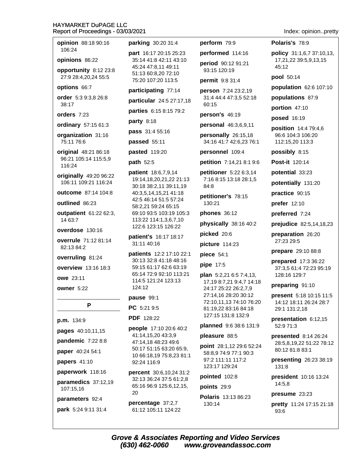opinion 88:18 90:16 106:24

opinions 86:22

opportunity 8:12 23:8 27:9 28:4,20,24 55:5

options 66:7

order 5:3 9:3,8 26:8 38:17

orders 7:23

ordinary 57:15 61:3

organization 31:16 75:11 76:6

original 48:21 86:18 96:21 105:14 115:5.9 116:24

originally 49:20 96:22 106:11 109:21 116:24

outcome 87:14 104:8

outlined 86:23

outpatient 61:22 62:3, 14 63:7

overdose 130:16

overrule 71:12 81:14 82:13 84:2

overruling 81:24

overview 13:16 18:3

owe 23:11

owner 5:22

P

p.m. 134:9 pages 40:10,11,15

pandemic 7:22 8:8

paper 40:24 54:1

papers 41:10

paperwork 118:16

paramedics 37:12,19 107:15,16

parameters 92:4

park 5:24 9:11 31:4

parking 30:20 31:4

part 16:17 20:15 25:23 35:14 41:8 42:11 43:10 45:24 47:8.11 49:11 51:13 60:8,20 72:10 75:20 107:20 113:5

#### participating 77:14

particular 24:5 27:17,18

parties 6:15 8:15 79:2

party  $8:18$ 

pass 31:4 55:16

passed 55:11

pasted 119:20

path 52:5

patient 18:6,7,9,14 19:14, 18, 20, 21, 22 21:13 30:18 38:2.11 39:11.19 40:3,5,14,15,21 41:18 42:5 46:14 51:5 57:24 58:2,21 59:24 65:15 69:10 93:5 103:19 105:3 113:22 114:1,3,6,7,10 122:6 123:15 126:22

patient's 16:17 18:17 31:11 40:16

patients 12:2 17:10 22:1 30:13 32:8 41:18 48:16 59:15 61:17 62:6 63:19 65:14 72:9 92:10 113:21 114:5 121:24 123:13 124:12

#### pause 99:1

PC 5:21 9:5

PDF 128:22

people 17:10 20:6 40:2 41:14,15,20 43:3,9 47:14.18 48:23 49:6 50:17 51:15 63:20 65:9, 10 66:18,19 75:8,23 81:1 92:24 116:9

percent 30:6,10,24 31:2 32:13 36:24 37:5 61:2,8 65:16 96:9 125:6,12,15, 20

percentage 37:2,7 61:12 105:11 124:22

(630) 462-0060

#### perform 79:9

performed 114:16

period 90:12 91:21 93:15 120:19

permit 9:8 31:4

person 7:24 23:2,19 31:4 44:4 47:3,5 52:18 60:15

person's 46:19

personal 46:3,6,9,11

personally 26:15,18 34:16 41:7 42:6,23 76:1

personnel 109:4

petition 7:14,21 8:1 9:6

petitioner 5:22 6:3,14 7:16 8:15 13:18 28:1,5 84:8

petitioner's 78:15 130:21

phones 36:12

physically 38:16 40:2

picked 20:6

picture 114:23

piece 54:1

pipe 17:5

plan 5:2,21 6:5 7:4,13, 17,19 8:7,21 9:4,7 14:18 24:17 25:22 26:2,7,9 27:14,16 28:20 30:12 72:10,11,13 74:10 76:20 81:19.22 83:16 84:18 127:15 131:8 132:9

planned 9:6 38:6 131:9

#### pleasure 88:5

point 28:1,12 29:6 52:24 58:8,9 74:9 77:1 90:3 97:2 111:11 117:2 123:17 129:24

pointed 102:8

points 29:9

**Grove & Associates Reporting and Video Services** 

Polaris 13:13 86:23 130:14

www.groveandassoc.com

#### Index: opinion..pretty

Polaris's 78:9

policy 31:1,6,7 37:10,13, 17,21,22 39:5,9,13,15 45:12

pool 50:14

population 62:6 107:10

populations 87:9

portion 47:10

**posed** 16:19

position 14:4 79:4,6 96:6 104:3 106:20 112:15,20 113:3

possibly 8:15

Post-it 120:14

potential 33:23

potentially 131:20

practice 90:15

prefer 12:10

preferred 7:24

prejudice 82:5,14,18,23

preparation 26:20 27:23 29:5

prepare 29:10 88:8

prepared 17:3 36:22 37:3,5 61:4 72:23 95:19 128:16 129:7

preparing 91:10

**present** 5:18 10:15 11:5 14:12 18:11 26:24 28:7 29:1 131:2,18

presentation 6:12,15 52:9 71:3

presented 8:14 26:24 28:5,8,19,22 51:22 78:12 80:12 81:8 83:1

presenting 26:23 38:19  $131.8$ 

president 10:16 13:24 14:5.8

pretty 11:24 17:15 21:18

presume 23:23

93:6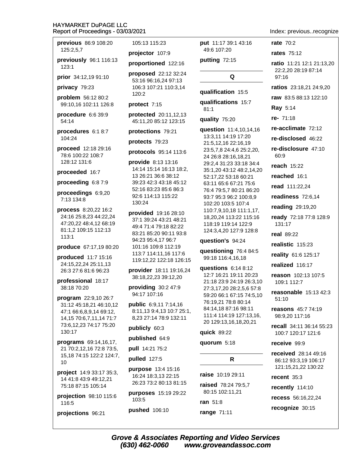previous 86:9 108:20 125:2.5.7

previously 96:1 116:13 123:1

prior 34:12,19 91:10

privacy 79:23

problem 56:12 80:2 99:10,16 102:11 126:8

procedure 6:6 39:9  $54.14$ 

procedures 6:1 8:7 104:24

proceed 12:18 29:16 78:6 100:22 108:7 128:12 131:6

#### proceeded 16:7

#### proceeding 6:8 7:9

proceedings 6:9,20 7:13 134:8

process 8:20,22 16:2 24:16 25:8,23 44:22,24 47:20,22 48:4,12 68:19 81:1,2 109:15 112:13  $113:1$ 

#### produce 67:17,19 80:20

produced 11:7 15:16 24:15.22.24 25:11.13 26:3 27:6 81:6 96:23

#### professional 18:17 38:18 70:20

program 22:9,10 26:7 31:12 45:18,21 46:10,12 47:1 66:6,8,9,14 69:12, 14, 15 70: 6, 7, 11, 14 71: 7 73:6,12,23 74:17 75:20 130:17

programs 69:14,16,17, 21 70:2,12,16 72:8 73:5, 15,18 74:15 122:2 124:7, 10

project 14:9 33:17 35:3, 14 41:8 43:9 49:12,21 75:18 87:15 105:14

projection 98:10 115:6 116:5

projections 96:21

105:13 115:23

projector 107:9

proportioned 122:16

proposed 22:12 32:24 53:16 96:16,24 97:13 106:3 107:21 110:3.14  $120:2$ 

#### protect 7:15

**protected** 20:11,12,13 45:11.20 85:12 123:15

protections 79:21

protects 79:23

protocols 95:14 113:6

provide 8:13 13:16 14:14 15:14 16:13 18:2, 13 26:21 36:6 38:12 39:23 42:3 43:18 45:12 52:16 83:23 85:6 86:3 92:6 114:13 115:22 130:24

provided 19:16 28:10 37:1 39:24 43:21 48:21 49:4 71:4 79:18 82:22 83:21 85:20 90:11 93:8 94:23 95:4,17 96:7 101:16 109:8 112:19 113:7 114:11.16 117:6 119:12,22 122:18 126:15

provider 18:11 19:16,24 38:18,22,23 39:12,20

providing  $30:247:9$ 94:17 107:16

public 6:9,11 7:14,16 8:11,13 9:4,13 10:7 25:1, 8,23 27:14 78:9 132:11

#### publicly 60:3

published 64:9

pull 14:21 75:2

#### pulled 127:5

purpose 13:4 15:16 16:24 18:3,13 22:15 26:23 73:2 80:13 81:15

**purposes** 15:19 29:22  $103.5$ 

pushed 106:10

put 11:17 39:1 43:16 49:6 107:20

putting 72:15

## Q

qualification 15:5

qualifications 15:7  $81:1$ 

quality 75:20

question 11:4,10,14,16 13:3,11 14:19 17:20 21:5,12,16 22:16,19 23:5,7,8 24:4,6 25:2,20, 24 26:8 28:16,18,21 29:2,4 31:23 33:18 34:4 35:1,20 43:12 48:2,14,20 52:17,22 53:18 60:21 63:11 65:6 67:21 75:6 76:4 79:5,7 80:21 86:20 93:7 95:3 96:2 100:8,9 102:20 103:5 107:4 110:7,9,10,18 111:1,17, 18,20,24 113:22 115:16 118:19 119:14 122:9 124:3,4,20 127:9 128:8

#### question's 94:24

questioning 76:4 84:5 99:18 116:4,16,18

questions  $6:148:12$ 12:7 16:21 19:11 20:23 21:18 23:9 24:19 26:3,10 27:3,17,20 28:2,5,6 57:8 59:20 66:1 67:15 74:5,10 76:19,21 78:8 80:14 84:14,18 87:16 98:11 111:4 114:19 127:13.16. 20 129:13,16,18,20,21

#### quick 89:22

#### quorum 5:18

#### $\mathsf{R}$

raise 10:19 29:11 raised 78:24 79:5,7 80:15 102:11,21 ran 51:8

**range 71:11** 

Index: previous..recognize

**rate 70:2** rates 75:12 ratio 11:21 12:1 21:13,20 22:2,20 28:19 87:14 97:16 ratios 23:18,21 24:9,20 raw 83:5 88:13 122:10 **Ray 5:14** re- 71:18 re-acclimate 72:12 re-disclosed 46:22 re-disclosure 47:10 60:9 **reach** 15:22 reached 16:1 read 111:22.24 readiness 72:6,14 reading 29:19,20 ready 72:18 77:8 128:9 131:17 real 89:22 realistic 115:23 reality 61:6 125:17 realized 116:17 reason 102:13 107:5 109:1 112:7 reasonable 15:13 42:3  $51:10$ reasons 45:7 74:19 98:9,20 117:16 recall 34:11 36:14 55:23 100:7 120:17 121:6 receive 99:9 received 28:14 49:16 86:12 93:3.19 106:17 121:15.21.22 130:22 recent  $35:3$ 

recently 114:10

recess 56:16,22,24

recognize 30:15

**Grove & Associates Reporting and Video Services** (630) 462-0060 www.groveandassoc.com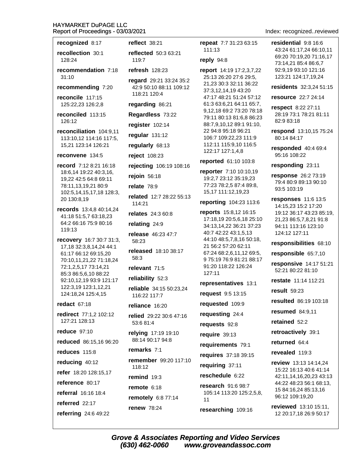| recognized 8:17                                  | reflect 38:21                           | repeat 7:7 31:23 63:15                                | residential $9:8$ 16:6                             |  |
|--------------------------------------------------|-----------------------------------------|-------------------------------------------------------|----------------------------------------------------|--|
| recollection 30:1                                | 111:13<br>reflected 50:3 63:21          |                                                       | 43:24 61:17,24 66:10,11<br>69:20 70:19,20 71:16,17 |  |
| 128:24                                           | 119:7                                   | reply 94:8                                            | 73:14,21 85:4 86:6,7                               |  |
| recommendation 7:18<br>31:10                     | refresh 128:23                          | report 14:19 17:2,3,7,22<br>25:13 26:20 27:6 29:5,    | 92:9,19 93:10 121:16<br>123:21 124:17,19,24        |  |
|                                                  | regard 29:21 33:24 35:2                 | 21,23 30:3 32:11 36:22                                |                                                    |  |
| recommending 7:20                                | 42:9 50:10 88:11 109:12<br>118:21 120:4 | 37:3,12,14,19 43:20                                   | residents 32:3,24 51:15                            |  |
| reconcile 117:15<br>125:22,23 126:2,8            | regarding 86:21                         | 47:17 48:21 51:24 57:12<br>61:3 63:6,21 64:11 65:7,   | resource 22:7 24:14                                |  |
| reconciled 113:15                                | Regardless 73:22                        | 9,12,18 69:2 73:20 78:18                              | respect 8:22 27:11<br>28:19 73:1 78:21 81:11       |  |
| 126:12                                           | register 102:14                         | 79:11 80:13 81:6,8 86:23<br>88:7,9,10,12 89:1 91:10,  | 82:9 83:18                                         |  |
| reconciliation 104:9,11                          |                                         | 22 94:8 95:18 96:21                                   | respond 13:10,15 75:24                             |  |
| 113:10,12 114:16 117:5,                          | regular 131:12                          | 106:7 109:22,23 111:9<br>112:11 115:9,10 116:5        | 80:14 84:17                                        |  |
| 15,21 123:14 126:21                              | regularly 68:13                         | 122:17 127:1,4,8                                      | responded 40:4 69:4                                |  |
| reconvene 134:5                                  | reject 108:23                           | reported 61:10 103:8                                  | 95:16 108:22                                       |  |
| record 7:12 8:21 16:18<br>18:6,14 19:22 40:3,16, | rejecting 106:19 108:16                 | reporter 7:10 10:10,19                                | responding 23:11                                   |  |
| 19,22 42:5 64:8 69:11                            | rejoin 56:18                            | 19:2,7 23:12 35:19,23                                 | response 26:2 73:19<br>79:4 80:9 89:13 90:10       |  |
| 78:11,13,19,21 80:9                              | relate 78:9                             | 77:23 78:2,5 87:4 89:8,<br>15,17 111:12,19,23         | 93:5 103:19                                        |  |
| 102:5, 14, 15, 17, 18 128:3,<br>20 130:8,19      | related 12:7 28:22 55:13                | reporting 104:23 113:6                                | responses 11:6 13:5                                |  |
| records 13:4,8 40:14,24                          | 114:21                                  |                                                       | 14:15,23 15:2 17:20                                |  |
| 41:18 51:5,7 63:18,23                            | relates 24:3 60:8                       | reports 15:8,12 16:15<br>17:18,19 20:5,6,18 25:10     | 19:12 36:17 43:23 85:19,<br>21,23 86:5,7,8,21 91:8 |  |
| 64:2 66:16 75:9 80:16<br>119:13                  | relating 24:9                           | 34:13,14,22 36:21 37:23                               | 94:11 113:16 123:10                                |  |
| recovery 16:7 30:7 31:3,                         | release 46:23 47:7                      | 40:7 42:22 43:1,5,13<br>44:10 48:5,7,8,16 50:18,      | 124:12 127:11                                      |  |
| 17,18 32:3,8,14,24 44:1                          | 58:23                                   | 21 56:2 57:20 62:11                                   | responsibilities 68:10                             |  |
| 61:17 66:12 69:15,20                             | released 18:10 38:17<br>58:3            | 67:24 68:2,6,11,12 69:5,<br>975:1976:981:2188:17      | responsible 65:7,10                                |  |
| 70:10,11,21,22 71:18,24<br>72:1,2,5,17 73:14,21  | relevant 71:5                           | 91:20 118:22 126:24                                   | responsive 14:17 51:21                             |  |
| 85:3 86:5,6,10 88:22                             | reliability 52:3                        | 127:11                                                | 52:21 80:22 81:10                                  |  |
| 92:10,12,19 93:9 121:17<br>122:3,19 123:1,12,21  | reliable 34:15 50:23,24                 | representatives 13:1                                  | restate 11:14 112:21                               |  |
| 124:18,24 125:4,15                               | 116:22 117:7                            | request 9:5 13:15                                     | result 59:23                                       |  |
| redact 67:18                                     | reliance 16:20                          | requested 109:9                                       | <b>resulted</b> 86:19 103:18                       |  |
| redirect 77:1,2 102:12                           | relied 29:22 30:6 47:16                 | requesting 24:4                                       | <b>resumed</b> 84:9,11                             |  |
| 127:21 128:13                                    | 53:6 81:4                               | requests 92:8                                         | retained 52:2                                      |  |
| <b>reduce</b> 97:10                              | relying 17:19 19:10                     | require 39:13                                         | retroactively 39:1                                 |  |
| reduced 86:15,16 96:20                           | 88:14 90:17 94:8                        | requirements 79:1                                     | returned 64:4                                      |  |
| reduces 115:8                                    | remarks 7:1                             | requires 37:18 39:15                                  | revealed 119:3                                     |  |
| reducing 40:12                                   | remember 99:20 117:10                   | requiring 37:11                                       | <b>review</b> 13:13 14:14,24                       |  |
| refer 18:20 128:15,17                            | 118:12                                  | reschedule 6:22                                       | 15:22 16:13 40:6 41:14                             |  |
| reference 80:17                                  | remind 19:3                             |                                                       | 42:11,14,16,20,23 43:13<br>44:22 48:23 56:1 68:13, |  |
| referral 16:16 18:4                              | remote $6:18$                           | <b>research</b> 91:6 98:7<br>105:14 113:20 125:2,5,8, | 15 84:16,24 85:13,16                               |  |
| referred 22:17                                   | remotely 6:8 77:14                      | 11                                                    | 96:12 109:19,20                                    |  |
| referring 24:6 49:22                             | <b>renew 78:24</b>                      | researching 109:16                                    | reviewed 13:10 15:11,<br>12 20:17,18 26:9 50:17    |  |
|                                                  |                                         |                                                       |                                                    |  |

Index: recognized..reviewed

Grove & Associates Reporting and Video Services<br>(630) 462-0060 www.groveandassoc.com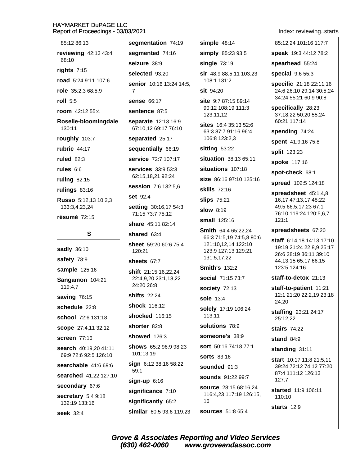| 85:12 86:13                                    | segmentation 74:19                           | simple 48:14                                                                          | 85:12                     |
|------------------------------------------------|----------------------------------------------|---------------------------------------------------------------------------------------|---------------------------|
| reviewing 42:13 43:4                           | segmented 74:16                              | simply 85:23 93:5                                                                     | speak                     |
| 68:10                                          | seizure 38:9                                 | single 73:19                                                                          | spearl                    |
| rights $7:15$                                  | selected 93:20                               | sir 48:9 88:5,11 103:23                                                               | specia                    |
| road 5:24 9:11 107:6                           | senior 10:16 13:24 14:5,                     | 108:1 131:2                                                                           | specif                    |
| role 35:2,3 68:5,9                             | $\overline{7}$                               | sit 94:20                                                                             | 24:62<br>34:24            |
| roll $5:5$                                     | <b>sense 66:17</b>                           | site 9:7 87:15 89:14<br>90:12 108:19 111:3                                            | specif                    |
| room 42:12 55:4                                | sentence 87:5                                | 123:11,12                                                                             | 37:18                     |
| Roselle-bloomingdale<br>130:11                 | separate 12:13 16:9<br>67:10,12 69:17 76:10  | sites 16:4 35:13 52:6<br>63:3 87:7 91:16 96:4                                         | 60:21<br>spend            |
| roughly 103:7                                  | separated 25:17                              | 106:8 123:2,3                                                                         | spent                     |
| rubric 44:17                                   | sequentially 66:19                           | sitting 53:22                                                                         | split 1                   |
| ruled $82:3$                                   | service 72:7 107:17                          | situation 38:13 65:11                                                                 | spoke                     |
| rules $6:6$                                    | <b>services</b> 33:9 53:3                    | situations 107:18                                                                     | spot-c                    |
| <b>ruling 82:15</b>                            | 62:15,18,21 92:24                            | size 86:16 97:10 125:16                                                               | spread                    |
| rulings 83:16                                  | <b>session</b> 7:6 132:5,6                   | <b>skills</b> 72:16                                                                   | spread                    |
| Russo 5:12,13 10:2,3                           | set 92:4                                     | <b>slips</b> 75:21                                                                    | 16,17                     |
| 133:3,4,23,24                                  | setting 30:16,17 54:3<br>71:15 73:7 75:12    | <b>slow 8:19</b>                                                                      | 49:56<br>76:10            |
| résumé 72:15                                   | share 45:11 82:14                            | <b>small</b> 125:16                                                                   | 121:1                     |
| S                                              | shared 63:4                                  | <b>Smith 64:4 65:22,24</b>                                                            | spread                    |
| <b>sadly</b> 36:10<br>safety 78:9              | sheet 59:20 60:6 75:4<br>120:21              | 66:3 71:5,19 74:5,8 80:6<br>121:10,12,14 122:10<br>123:9 127:13 129:21<br>131:5,17,22 | staff 6<br>19:19<br>26:62 |
| sample 125:16                                  | sheets 67:7                                  | <b>Smith's 132:2</b>                                                                  | 44:13<br>123:5            |
| Sangamon 104:21                                | shift 21:15,16,22,24<br>22:4,9,20 23:1,18,22 | social 71:15 73:7                                                                     | staff-to                  |
| 119:4,7                                        | 24:20 26:8                                   | society 72:13                                                                         | staff-to                  |
| saving 76:15                                   | <b>shifts</b> 22:24                          | sole 13:4                                                                             | 12:12                     |
| schedule 22:8                                  | shock 116:12                                 | solely 17:19 106:24                                                                   | 24:20<br>staffin          |
| school 72:6 131:18                             | shocked 116:15                               | 113:11                                                                                | 25:12                     |
| scope 27:4,11 32:12                            | shorter 82:8                                 | solutions 78:9                                                                        | stairs                    |
| <b>screen 77:16</b>                            | showed 126:3                                 | someone's 38:9                                                                        | stand                     |
| search 40:19,20 41:11<br>69:9 72:6 92:5 126:10 | shows 65:2 96:9 98:23<br>101:13,19           | <b>sort</b> 50:16 74:18 77:1                                                          | standi                    |
| searchable $41:669:6$                          | sign 6:12 38:16 58:22                        | <b>sorts</b> 83:16                                                                    | start 1                   |
| searched 41:22 127:10                          | 59:1                                         | sounded 91:3                                                                          | 39:24<br>87:41            |
|                                                | $sign-up$ 6:16                               | <b>sounds</b> 91:22 99:7                                                              | 127:7                     |
| secondary 67:6                                 | significance 7:10                            | <b>source</b> 28:15 68:16,24<br>116:4,23 117:19 126:15,                               | starteo                   |
| secretary 5:4 9:18<br>132:19 133:16            | significantly 65:2                           | 16                                                                                    | 110:1                     |
|                                                |                                              | <b>sources</b> 51:8 65:4                                                              | starts                    |
| <b>seek</b> 32:4                               | similar 60:5 93:6 119:23                     |                                                                                       |                           |

Index: reviewing..starts

24 101:16 117:7

19:3 44:12 78:2

nead 55:24

al 9:6 55:3

ic 21:18 22:11,16 26:10 29:14 30:5,24 55:21 60:9 90:8

ically 28:23 ,22 50:20 55:24  $117:14$ 

ling 74:24

41:9,16 75:8

23:23

117:16

heck 68:1

d 102:5 124:18

dsheet 45:1,4,8, 47:13,17 48:22 6:5,17,23 67:1 119:24 120:5,6,7

dsheets 67:20

6:14,18 14:13 17:10 21:24 22:8,9 25:17 28:19 36:11 39:10 15 65:17 66:15 124:16

o-detox 21:13

o-patient 11:21 21:20 22:2,19 23:18

g 23:21 24:17  $.22\,$ 

74:22

84:9

ng 31:11

10:17 11:8 21:5,11 72:12 74:12 77:20 11:12 126:13

d 11:9 106:11 0

 $12:9$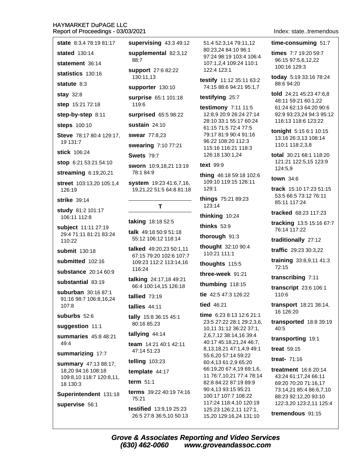| <b>state</b> 8:3,4 78:19 81:17                | supervising 43:3 49:12                                     | 51:4 52:3,14 79:11,12<br>80:23,24 84:10 96:1                                                                                                             |
|-----------------------------------------------|------------------------------------------------------------|----------------------------------------------------------------------------------------------------------------------------------------------------------|
| <b>stated</b> 130:14                          | supplemental 82:3,12<br>88:7                               | 97:24 98:19 103:4 106:4                                                                                                                                  |
| statement 36:14                               |                                                            | 107:1,2,4 109:24 110:1                                                                                                                                   |
| statistics 130:16                             | support 27:6 82:22<br>130:11,13                            | 122:4 123:1                                                                                                                                              |
| statute 8:3                                   | supporter 130:10                                           | testify 11:12 35:11 63:2<br>74:15 88:6 94:21 95:1,7                                                                                                      |
| <b>stay 32:8</b>                              | surprise 65:1 101:18                                       | testifying 25:7                                                                                                                                          |
| step 15:21 72:18                              | 119:6                                                      | testimony 7:11 11:5                                                                                                                                      |
| step-by-step 8:11                             | surprised 65:5 98:22                                       | 12:8,9 20:9 26:24 27:14                                                                                                                                  |
| steps 100:10                                  | sustain 24:10                                              | 28:10 33:1 55:17 60:24<br>61:15 71:5 72:4 77:5                                                                                                           |
| Steve 78:17 80:4 129:17,                      | swear 77:8,23                                              | 79:17 81:9 90:4 91:16                                                                                                                                    |
| 19 131:7                                      | swearing 7:10 77:21                                        | 96:22 108:20 112:3<br>115:16 116:21 118:3                                                                                                                |
| stick 106:24                                  | <b>Swets 79:7</b>                                          | 126:18 130:1,24                                                                                                                                          |
| stop 6:21 53:21 54:10                         | sworn 10:9,18,21 13:19                                     | text 99:9                                                                                                                                                |
| streaming 6:19,20,21                          | 78:1 84:9                                                  | thing 46:18 59:18 102:6                                                                                                                                  |
| street 103:13,20 105:1,4<br>126:19            | system 19:23 41:6,7,16,<br>19,21,22 51:5 64:8 81:18        | 109:10 119:15 126:11<br>129:1                                                                                                                            |
| strike 39:14                                  |                                                            | things 75:21 89:23                                                                                                                                       |
| study 81:2 101:17                             | т                                                          | 123:14                                                                                                                                                   |
| 106:11 112:8                                  | <b>taking</b> 18:18 52:5                                   | thinking 10:24                                                                                                                                           |
| subject 11:11 27:19<br>29:4 71:11 81:21 83:24 | <b>talk</b> $49:1850:951:18$                               | thinks $53:9$                                                                                                                                            |
| 110:22                                        | 55:12 106:12 118:14                                        | thorough 91:3                                                                                                                                            |
| submit 130:18                                 | <b>talked</b> $49:20,2350:1,11$<br>67:15 79:20 102:6 107:7 | thought 32:10 90:4<br>110:21 111:1                                                                                                                       |
| submitted 102:16                              | 109:23 112:2 113:14,16                                     | thoughts 115:5                                                                                                                                           |
| <b>substance</b> 20:14 60:9                   | 116:24                                                     | three-week 91:21                                                                                                                                         |
| substantial 83:19                             | talking 24:17,18 49:21<br>66:4 100:14,15 126:18            | thumbing 118:15                                                                                                                                          |
| suburban 30:16 87:1<br>91:16 98:7 106:8,16,24 | tallied $73:19$                                            | tie 42:5 47:3 126:22                                                                                                                                     |
| 107:8                                         | tallies $44:11$                                            | tied 46:21                                                                                                                                               |
| suburbs 52:6                                  | tally 15:8 36:15 45:1                                      | time 6:23 8:13 12:6 21:1                                                                                                                                 |
| suggestion 11:1                               | 80:16 85:23                                                | 23:5 27:22 28:1 29:2,3,6,<br>10,11 31:12 36:22 37:1,                                                                                                     |
| <b>summaries</b> 45:8 48:21                   | tallying 44:14                                             | 2,6,7,12 38:14,16 39:4<br>40:17 45:18,21,24 46:7,<br>8,13,18,21 47:1,4,9 49:1<br>55:6,20 57:14 59:22<br>60:4,13 61:2,9 65:20<br>66:19,20 67:4,19 69:1,6, |
| 49:4                                          | <b>team</b> 14:21 40:1 42:11<br>47:14 51:23                |                                                                                                                                                          |
| summarizing 17:7                              |                                                            |                                                                                                                                                          |
| summary 47:13 88:17,<br>18,20 94:16 108:18    | <b>telling</b> 103:23                                      |                                                                                                                                                          |
| 109:8,10 118:7 120:8,11,                      | template 44:17                                             | 11 76:7,10,21 77:4 78:14                                                                                                                                 |
| 18 130:3                                      | term $51:1$                                                | 82:8 84:22 87:19 89:9<br>90:4,13 93:15 95:21                                                                                                             |
| Superintendent 131:18                         | terms 39:22 40:19 74:16<br>75:21                           | 100:17 107:7 108:22                                                                                                                                      |
| supervise 56:1                                | <b>testified</b> 13:9,19 25:23<br>26:5 27:8 36:5,10 50:13  | 117:24 118:4,10 120:19<br>125:23 126:2,11 127:1,<br>15,20 129:16,24 131:10                                                                               |
|                                               |                                                            |                                                                                                                                                          |

Index: state..tremendous

#### time-consuming 51:7

times 7:7 19:20 59:7 96:15 97:5,6,12,22 100:16 129:3

today 5:19 33:16 78:24 88:6 94:20

told 24:21 45:23 47:6,8 48:11 59:21 60:1,22 61:24 62:13 64:20 90:6 92:9 93:23,24 94:3 95:12 116:13 118:6 123:22

tonight 5:15 6:1 10:15 13:16 26:3,13 108:14 110:1 118:2,3,8

total 30:21 68:1 118:20 121:21 122:5,15 123:9 124:5,9

town 34:6

track 15:10 17:23 51:15 53:5 66:5 73:12 76:11 85:11 117:24

tracked 68:23 117:23

tracking 13:5 15:16 67:7 76:14 117:22

traditionally 27:12

traffic 29:23 30:3,22

training 33:8,9,11 41:3 72:15

transcribing 7:11

transcript 23:6 106:1 110:6

transport 18:21 38:14, 16 126:20

transported 18:8 39:19 40:5

transporting 19:1

treat 59:15

treat- 71:16

treatment 16:6 20:14 43:24 61:17,24 66:11 69:20 70:20 71:16,17 73:14,21 85:4 86:6,7,10 88:23 92:12,20 93:10 122:3,20 123:2,11 125:4

tremendous 91:15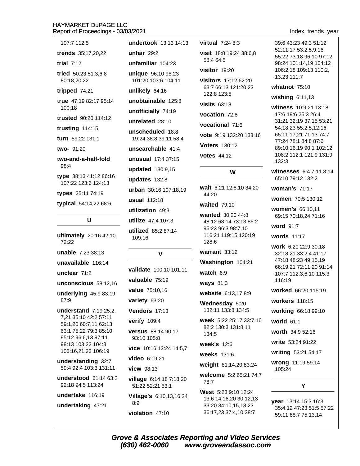#### **HAYMARKET DuPAGE LLC** 3/2021 **Rep**

| eport of Proceedings - 03/0 ?                 |
|-----------------------------------------------|
| 107:7 112:5                                   |
| trends 35:17,20,22                            |
| trial $7:12$                                  |
| tried 50:23 51:3,6,8<br>80:18,20,22           |
| tripped 74:21                                 |
| true 47:19 82:17 95:14<br>100:18              |
| <b>trusted</b> 90:20 114:12                   |
| trusting 114:15                               |
| turn 59:22 131:1                              |
| two- $91:20$                                  |
| two-and-a-half-fold<br>98:4                   |
| type 38:13 41:12 86:16<br>107:22 123:6 124:13 |
| types 25:11 74:19                             |
| typical 54:14,22 68:6                         |
| U                                             |
| ultimately 20:16 42:10<br>72:22               |
| <b>unable</b> $7:233:38:13$                   |

unavailable 116:14

unclear  $71:2$ 

unconscious 58:12.16

underlying 45:9 83:19 87:9

understand 7:19 25:2. 7,21 35:10 42:2 57:11 59:1,20 60:7,11 62:13 63:1 75:22 79:3 85:10 95:12 96:6,13 97:11 98:13 103:22 104:3 105:16.21.23 106:19

understanding 32:7 59:4 92:4 103:3 131:11

understood 61:14 63:2 92:18 94:5 113:24

undertake 116:19

undertaking 47:21

undertook 13:13 14:13 unfair  $29:2$ unfamiliar 104:23 unique 96:10 98:23 101:20 103:6 104:11 unlikely 64:16 unobtainable 125:8 unofficially 74:19 unrelated 28:10 unscheduled 18:8 19:24 38:8 39:11 58:4 unsearchable 41:4 unusual 17:4 37:15 updated 130:9.15 updates  $132:8$ urban 30:16 107:18.19 **usual** 112:18 utilization 49:3 utilize 47:4 107:3 utilized 85:2 87:14 109:16

#### $\mathbf v$

validate 100:10 101:11 valuable 75:19 value 75:10,16 variety 63:20 Vendors 17:13 verify 109:4 versus 88:14 90:17 93:10 105:8 vice 10:16 13:24 14:5.7 video 6:19,21 view 98:13 village 6:14,18 7:18,20 51:22 52:21 53:1 Village's 6:10,13,16,24  $8:9$ 

violation 47:10

virtual 7:24 8:3

visit 18:8 19:24 38:6.8 58:4 64:5

 $$ 

visitors 17:12 62:20 63:7 66:13 121:20.23 122:8 123:5

 $$ 

vocation 72:6

vocational 71.6

vote 9:19 132:20 133:16

**Voters** 130:12

**votes** 44:12

#### W

wait 6:21 12:8,10 34:20 44:20

#### waited  $79:10$

**wanted** 30:20 44:8 48:12 68:14 73:13 85:2 95:23 96:3 98:7.10 116:21 119:15 120:19 128:6

warrant  $33:12$ 

Washington 104:21

watch  $6:9$ 

ways 81:3

website 6:13,17 8:9

Wednesday 5:20 132:11 133:8 134:5

week 5:22 25:17 33:7,16 82:2 130:3 131:8,11 134:5

week's 12:6

weeks 131:6

weight 81:14,20 83:24

welcome 5:2 65:21 74:7 78:7

West 5:23 9:10 12:24 13:6 14:16,20 30:12,13 33:20 34:10,15,18,23 36:17,23 37:4,10 38:7

Index: trends..year

39:6 43:23 49:3 51:12 52:11.17 53:2.5.9.16 55:22 73:18 96:10 97:12 98:24 101:14,19 104:12 106:2.18 109:13 110:2. 13,23 111:7

whatnot 75:10

wishing 6:11,13

witness 10:9,21 13:18 17:6 19:6 25:3 26:4 31:21 32:19 37:15 53:21 54:18,23 55:2,5,12,16 65:11,17,21 71:13 74:7 77:24 78:1 84:8 87:6 89:10,16,19 90:1 102:12 108:2 112:1 121:9 131:9 132:3

witnesses 6:4 7:11 8:14 65:10 79:12 132:2

**woman's 71:17** 

women 70:5 130:12

women's 66:10,11 69:15 70:18,24 71:16

word 91:7

words 11:17

work 6:20 22:9 30:18 32:18.21 33:2.4 41:17 47:18 48:23 49:15,19 66:19.21 72:11.20 91:14 107:7 112:3,6,10 115:3 116:19

worked 66:20 115:19

workers 118:15

working 66:18 99:10

world  $61:1$ 

worth 34:9 52:16

write 53:24 91:22

writing 53:21 54:17

wrong 11:19 59:14 105:24

Y

year 13:14 15:3 16:3 35:4,12 47:23 51:5 57:22 59:11 68:7 75:13,14